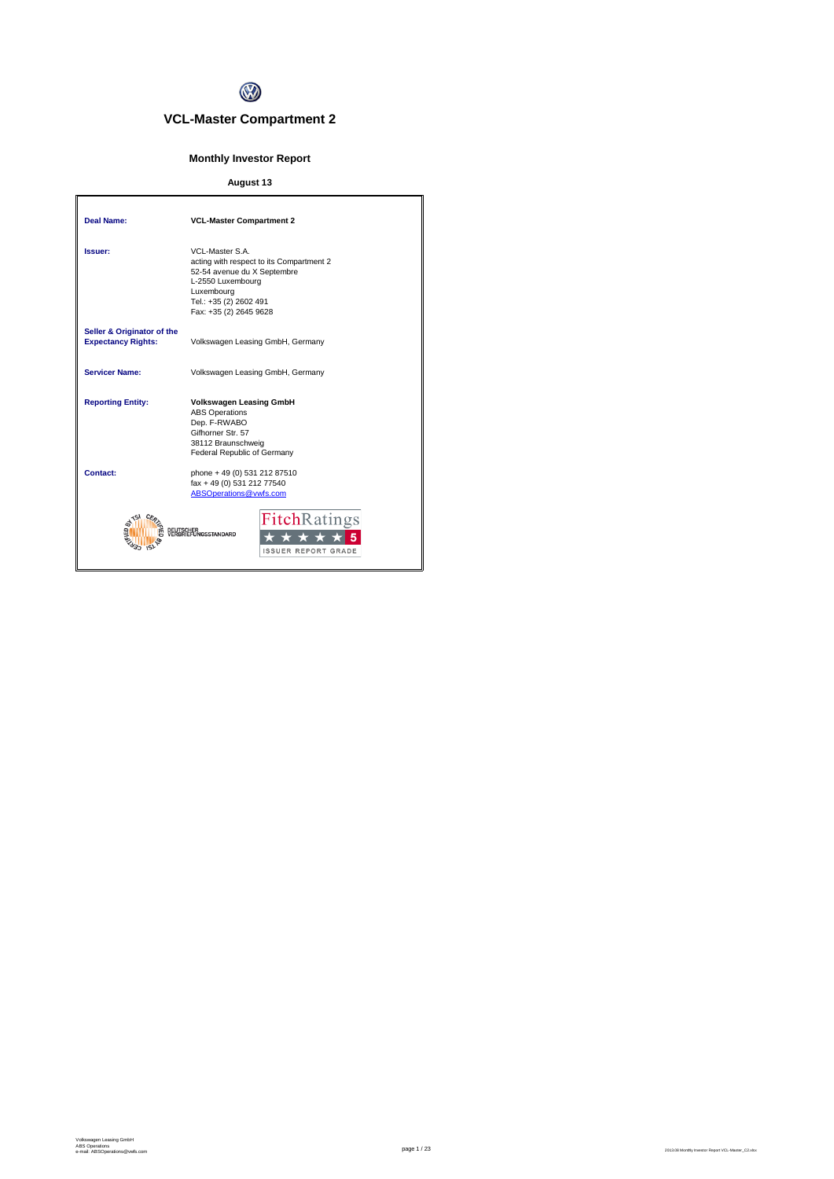

# **VCL-Master Compartment 2**

# **Monthly Investor Report**

# **August 13**

| Deal Name:                                              | <b>VCL-Master Compartment 2</b>                                                                                                                                                   |
|---------------------------------------------------------|-----------------------------------------------------------------------------------------------------------------------------------------------------------------------------------|
| Issuer:                                                 | VCL-Master S.A.<br>acting with respect to its Compartment 2<br>52-54 avenue du X Septembre<br>L-2550 Luxembourg<br>Luxembourg<br>Tel.: +35 (2) 2602 491<br>Fax: +35 (2) 2645 9628 |
| Seller & Originator of the<br><b>Expectancy Rights:</b> | Volkswagen Leasing GmbH, Germany                                                                                                                                                  |
| <b>Servicer Name:</b>                                   | Volkswagen Leasing GmbH, Germany                                                                                                                                                  |
| <b>Reporting Entity:</b>                                | <b>Volkswagen Leasing GmbH</b><br><b>ABS Operations</b><br>Dep. F-RWABO<br>Gifhorner Str. 57<br>38112 Braunschweig<br>Federal Republic of Germany                                 |
| Contact:                                                | phone + 49 (0) 531 212 87510<br>fax + 49 (0) 531 212 77540<br>ABSOperations@vwfs.com                                                                                              |
|                                                         | <b>FitchRatings</b><br><b><i><u>AGSSTANDARD</u></i></b><br><b>ISSUER REPORT GRADE</b>                                                                                             |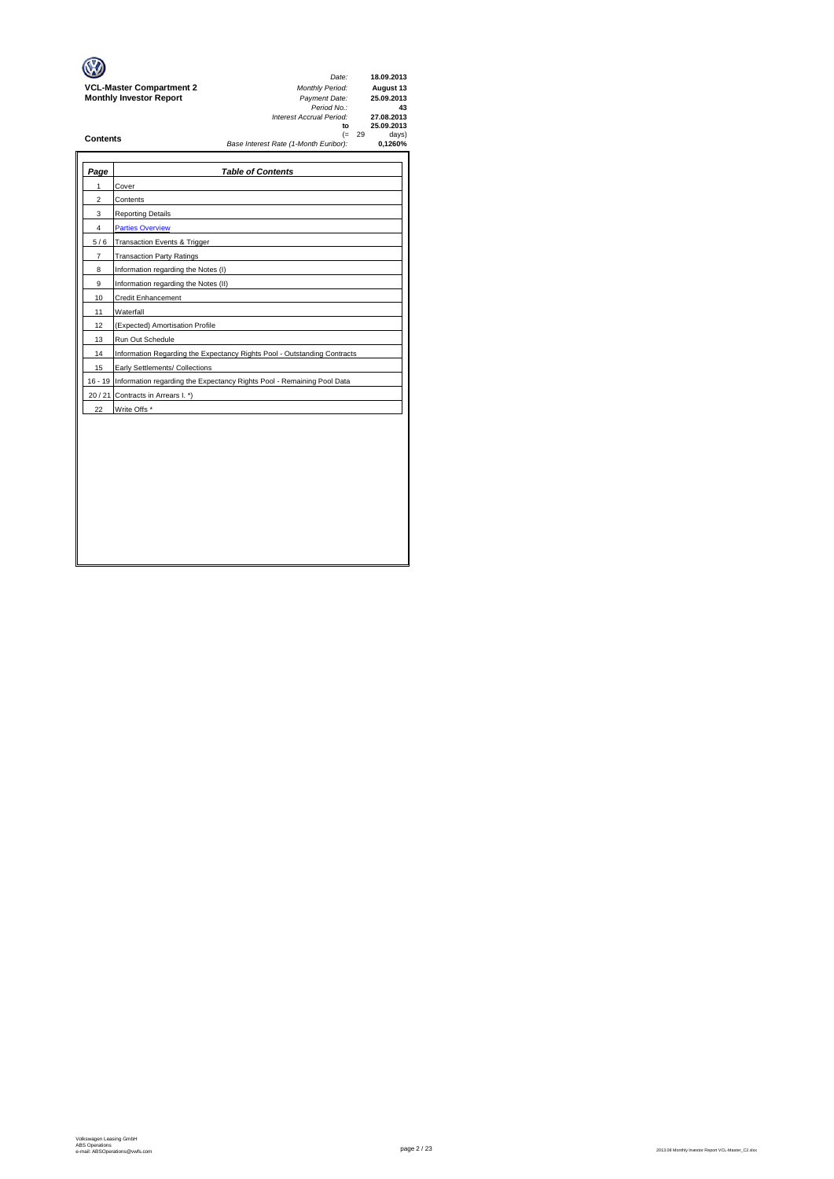|                                 | Date:                                 |     | 18.09.2013 |
|---------------------------------|---------------------------------------|-----|------------|
| <b>VCL-Master Compartment 2</b> | <b>Monthly Period:</b>                |     | August 13  |
| <b>Monthly Investor Report</b>  | Payment Date:                         |     | 25.09.2013 |
|                                 | Period No.:                           |     | 43         |
|                                 | Interest Accrual Period:              |     | 27.08.2013 |
|                                 | to                                    |     | 25.09.2013 |
| <b>Contents</b>                 | (=                                    | -29 | days)      |
|                                 | Base Interest Rate (1-Month Euribor): |     | 0.1260%    |
|                                 |                                       |     |            |
|                                 |                                       |     |            |

| Page  | <b>Table of Contents</b>                                                       |
|-------|--------------------------------------------------------------------------------|
| 1     | Cover                                                                          |
| 2     | Contents                                                                       |
| 3     | <b>Reporting Details</b>                                                       |
| 4     | <b>Parties Overview</b>                                                        |
| 5/6   | <b>Transaction Events &amp; Trigger</b>                                        |
| 7     | <b>Transaction Party Ratings</b>                                               |
| 8     | Information regarding the Notes (I)                                            |
| 9     | Information regarding the Notes (II)                                           |
| 10    | <b>Credit Enhancement</b>                                                      |
| 11    | Waterfall                                                                      |
| 12    | (Expected) Amortisation Profile                                                |
| 13    | Run Out Schedule                                                               |
| 14    | Information Regarding the Expectancy Rights Pool - Outstanding Contracts       |
| 15    | Early Settlements/ Collections                                                 |
|       | 16 - 19 Information regarding the Expectancy Rights Pool - Remaining Pool Data |
| 20/21 | Contracts in Arrears I. *)                                                     |
| 22    | Write Offs *                                                                   |
|       |                                                                                |
|       |                                                                                |
|       |                                                                                |
|       |                                                                                |
|       |                                                                                |
|       |                                                                                |
|       |                                                                                |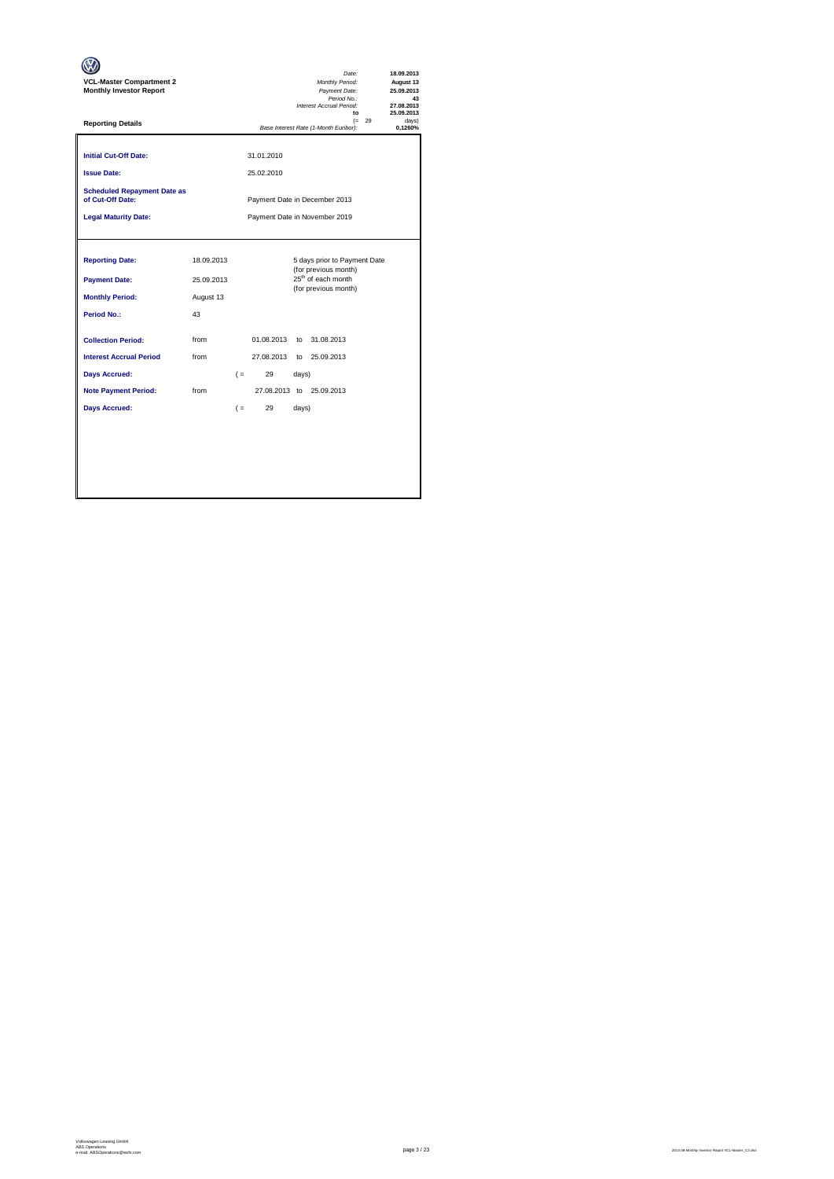| <b>VCL-Master Compartment 2</b><br><b>Monthly Investor Report</b>                              |                                                   |       |                          |       | Date:<br>Monthly Period:<br>Payment Date:<br>Period No.:<br>Interest Accrual Period:<br>to                     |  | 18.09.2013<br>August 13<br>25.09.2013<br>43<br>27.08.2013<br>25.09.2013 |
|------------------------------------------------------------------------------------------------|---------------------------------------------------|-------|--------------------------|-------|----------------------------------------------------------------------------------------------------------------|--|-------------------------------------------------------------------------|
| <b>Reporting Details</b>                                                                       | $(= 29)$<br>Base Interest Rate (1-Month Euribor): |       |                          |       |                                                                                                                |  | davs)<br>0.1260%                                                        |
| <b>Initial Cut-Off Date:</b><br><b>Issue Date:</b>                                             |                                                   |       | 31.01.2010<br>25.02.2010 |       |                                                                                                                |  |                                                                         |
| <b>Scheduled Repayment Date as</b><br>of Cut-Off Date:                                         |                                                   |       |                          |       | Payment Date in December 2013                                                                                  |  |                                                                         |
| <b>Legal Maturity Date:</b>                                                                    | Payment Date in November 2019                     |       |                          |       |                                                                                                                |  |                                                                         |
| <b>Reporting Date:</b><br><b>Payment Date:</b><br><b>Monthly Period:</b><br><b>Period No.:</b> | 18.09.2013<br>25.09.2013<br>August 13<br>43       |       |                          |       | 5 days prior to Payment Date<br>(for previous month)<br>25 <sup>th</sup> of each month<br>(for previous month) |  |                                                                         |
| <b>Collection Period:</b><br><b>Interest Accrual Period</b>                                    | from<br>from                                      |       | 01.08.2013<br>27.08.2013 | to    | 31.08.2013<br>to 25.09.2013                                                                                    |  |                                                                         |
| <b>Days Accrued:</b>                                                                           |                                                   |       | 29<br>$($ =              | days) |                                                                                                                |  |                                                                         |
| <b>Note Payment Period:</b>                                                                    | from                                              |       |                          |       | 27.08.2013 to 25.09.2013                                                                                       |  |                                                                         |
| <b>Days Accrued:</b>                                                                           |                                                   | $( =$ | 29                       | days) |                                                                                                                |  |                                                                         |
|                                                                                                |                                                   |       |                          |       |                                                                                                                |  |                                                                         |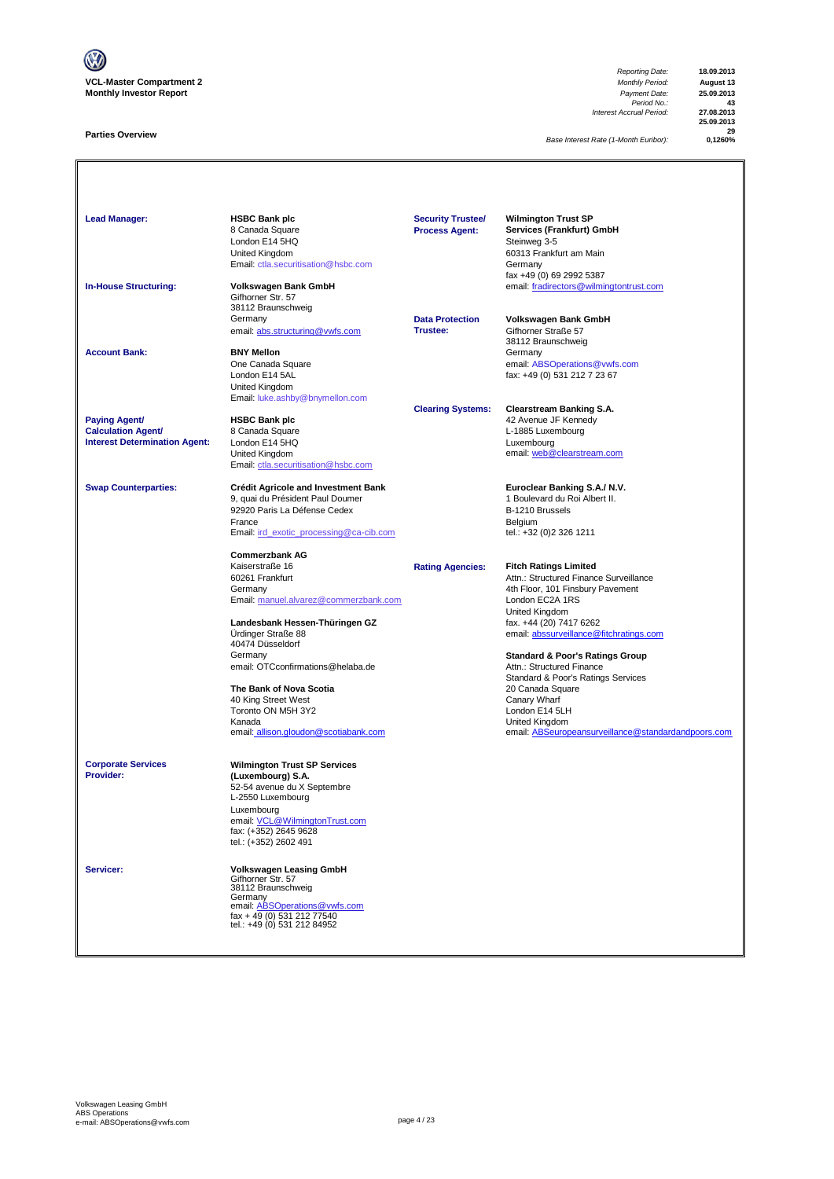

#### **Parties Overview**

*Reporting Date:* **18.09.2013** *Period No.:* **43** *Interest Accrual Period:* **27.08.2013**

**25.09.2013 29**

**Base Interest Rate (1-Month Euribor):** 

| <b>Lead Manager:</b><br><b>In-House Structuring:</b>                                      | <b>HSBC Bank plc</b><br>8 Canada Square<br>London E14 5HQ<br>United Kingdom<br>Email: ctla.securitisation@hsbc.com<br>Volkswagen Bank GmbH<br>Gifhorner Str. 57                                                                                                                                                                               | <b>Security Trustee/</b><br><b>Process Agent:</b> | <b>Wilmington Trust SP</b><br>Services (Frankfurt) GmbH<br>Steinweg 3-5<br>60313 Frankfurt am Main<br>Germany<br>fax +49 (0) 69 2992 5387<br>email: fradirectors@wilmingtontrust.com                                                                                                                                                                                                                                                                                  |
|-------------------------------------------------------------------------------------------|-----------------------------------------------------------------------------------------------------------------------------------------------------------------------------------------------------------------------------------------------------------------------------------------------------------------------------------------------|---------------------------------------------------|-----------------------------------------------------------------------------------------------------------------------------------------------------------------------------------------------------------------------------------------------------------------------------------------------------------------------------------------------------------------------------------------------------------------------------------------------------------------------|
|                                                                                           | 38112 Braunschweig<br>Germany<br>email: abs.structuring@vwfs.com                                                                                                                                                                                                                                                                              | <b>Data Protection</b><br>Trustee:                | Volkswagen Bank GmbH<br>Gifhorner Straße 57<br>38112 Braunschweig                                                                                                                                                                                                                                                                                                                                                                                                     |
| <b>Account Bank:</b>                                                                      | <b>BNY Mellon</b><br>One Canada Square<br>London E14 5AL<br>United Kingdom<br>Email: luke.ashby@bnymellon.com                                                                                                                                                                                                                                 |                                                   | Germany<br>email: ABSOperations@vwfs.com<br>fax: +49 (0) 531 212 7 23 67                                                                                                                                                                                                                                                                                                                                                                                              |
| <b>Paying Agent/</b><br><b>Calculation Agent/</b><br><b>Interest Determination Agent:</b> | <b>HSBC Bank plc</b><br>8 Canada Square<br>London E14 5HQ<br>United Kingdom<br>Email: ctla.securitisation@hsbc.com                                                                                                                                                                                                                            | <b>Clearing Systems:</b>                          | <b>Clearstream Banking S.A.</b><br>42 Avenue JF Kennedy<br>L-1885 Luxembourg<br>Luxembourg<br>email: web@clearstream.com                                                                                                                                                                                                                                                                                                                                              |
| <b>Swap Counterparties:</b>                                                               | <b>Crédit Agricole and Investment Bank</b><br>9, quai du Président Paul Doumer<br>92920 Paris La Défense Cedex<br>France<br>Email: ird exotic processing@ca-cib.com<br><b>Commerzbank AG</b>                                                                                                                                                  |                                                   | Euroclear Banking S.A./ N.V.<br>1 Boulevard du Roi Albert II.<br>B-1210 Brussels<br>Belgium<br>tel.: +32 (0)2 326 1211                                                                                                                                                                                                                                                                                                                                                |
|                                                                                           | Kaiserstraße 16<br>60261 Frankfurt<br>Germany<br>Email: manuel.alvarez@commerzbank.com<br>Landesbank Hessen-Thüringen GZ<br>Ürdinger Straße 88<br>40474 Düsseldorf<br>Germany<br>email: OTCconfirmations@helaba.de<br>The Bank of Nova Scotia<br>40 King Street West<br>Toronto ON M5H 3Y2<br>Kanada<br>email: allison.gloudon@scotiabank.com | <b>Rating Agencies:</b>                           | <b>Fitch Ratings Limited</b><br>Attn.: Structured Finance Surveillance<br>4th Floor, 101 Finsbury Pavement<br>London EC2A 1RS<br>United Kingdom<br>fax. +44 (20) 7417 6262<br>email: abssurveillance@fitchratings.com<br><b>Standard &amp; Poor's Ratings Group</b><br>Attn.: Structured Finance<br>Standard & Poor's Ratings Services<br>20 Canada Square<br>Canary Wharf<br>London E14 5LH<br>United Kingdom<br>email: ABSeuropeansurveillance@standardandpoors.com |
| <b>Corporate Services</b><br>Provider:                                                    | <b>Wilmington Trust SP Services</b><br>(Luxembourg) S.A.<br>52-54 avenue du X Septembre<br>L-2550 Luxembourg<br>Luxembourg<br>email: VCL@WilmingtonTrust.com<br>fax: (+352) 2645 9628<br>tel.: (+352) 2602 491                                                                                                                                |                                                   |                                                                                                                                                                                                                                                                                                                                                                                                                                                                       |
| Servicer:                                                                                 | <b>Volkswagen Leasing GmbH</b><br>Gifhorner Str. 57<br>38112 Braunschweig<br>Germany<br>email: ABSOperations@vwfs.com<br>fax + 49 (0) 531 212 77540<br>tel.: +49 (0) 531 212 84952                                                                                                                                                            |                                                   |                                                                                                                                                                                                                                                                                                                                                                                                                                                                       |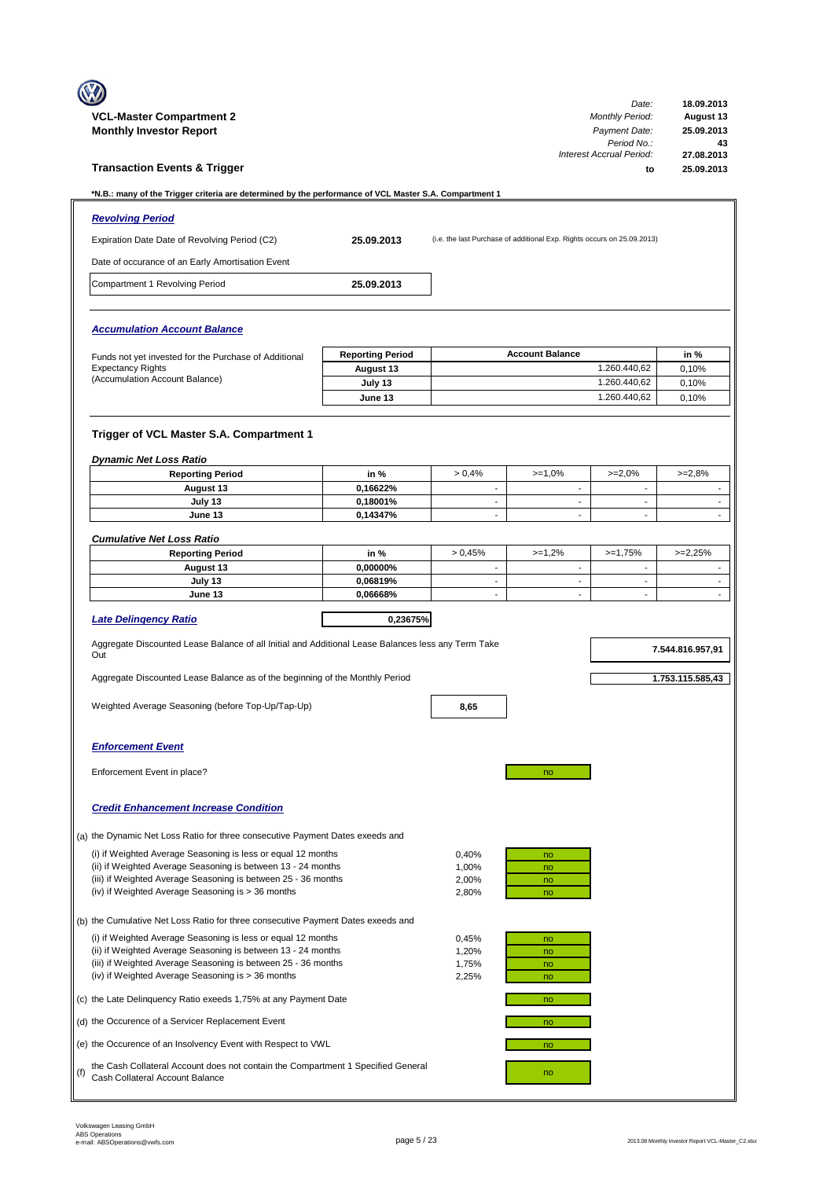|     | <b>VCL-Master Compartment 2</b>                                                                                              |                         |                                |                                                                         | Date:<br><b>Monthly Period:</b>          | 18.09.2013<br>August 13          |
|-----|------------------------------------------------------------------------------------------------------------------------------|-------------------------|--------------------------------|-------------------------------------------------------------------------|------------------------------------------|----------------------------------|
|     | <b>Monthly Investor Report</b>                                                                                               |                         |                                |                                                                         | Payment Date:<br>Period No.:             | 25.09.2013<br>43                 |
|     | <b>Transaction Events &amp; Trigger</b>                                                                                      |                         |                                |                                                                         | Interest Accrual Period:<br>to           | 27.08.2013<br>25.09.2013         |
|     | N.B.: many of the Trigger criteria are determined by the performance of VCL Master S.A. Compartment 1*                       |                         |                                |                                                                         |                                          |                                  |
|     | <b>Revolving Period</b>                                                                                                      |                         |                                |                                                                         |                                          |                                  |
|     | Expiration Date Date of Revolving Period (C2)                                                                                | 25.09.2013              |                                | (i.e. the last Purchase of additional Exp. Rights occurs on 25.09.2013) |                                          |                                  |
|     | Date of occurance of an Early Amortisation Event                                                                             |                         |                                |                                                                         |                                          |                                  |
|     | Compartment 1 Revolving Period                                                                                               | 25.09.2013              |                                |                                                                         |                                          |                                  |
|     |                                                                                                                              |                         |                                |                                                                         |                                          |                                  |
|     | <b>Accumulation Account Balance</b>                                                                                          |                         |                                |                                                                         |                                          |                                  |
|     | Funds not yet invested for the Purchase of Additional                                                                        | <b>Reporting Period</b> |                                | <b>Account Balance</b>                                                  |                                          | in %                             |
|     | <b>Expectancy Rights</b><br>(Accumulation Account Balance)                                                                   | August 13<br>July 13    |                                |                                                                         | 1.260.440,62<br>1.260.440,62             | 0,10%<br>0,10%                   |
|     |                                                                                                                              | June 13                 |                                |                                                                         | 1.260.440,62                             | 0,10%                            |
|     |                                                                                                                              |                         |                                |                                                                         |                                          |                                  |
|     | Trigger of VCL Master S.A. Compartment 1                                                                                     |                         |                                |                                                                         |                                          |                                  |
|     | <b>Dynamic Net Loss Ratio</b>                                                                                                |                         |                                |                                                                         |                                          |                                  |
|     | <b>Reporting Period</b>                                                                                                      | in %                    | > 0.4%                         | $>=1,0%$                                                                | $>=2,0%$                                 | $>=2.8%$                         |
|     | August 13                                                                                                                    | 0,16622%                | $\overline{\phantom{a}}$       | $\overline{\phantom{m}}$                                                | $\overline{\phantom{a}}$                 | $\overline{\phantom{a}}$         |
|     | July 13<br>June 13                                                                                                           | 0,18001%<br>0,14347%    | $\overline{\phantom{a}}$<br>L. | $\overline{\phantom{a}}$<br>$\mathbf{r}$                                | $\overline{\phantom{a}}$<br>$\mathbf{r}$ | $\blacksquare$<br>$\blacksquare$ |
|     |                                                                                                                              |                         |                                |                                                                         |                                          |                                  |
|     | <b>Cumulative Net Loss Ratio</b>                                                                                             |                         |                                |                                                                         |                                          |                                  |
|     | <b>Reporting Period</b><br>August 13                                                                                         | in %<br>0,00000%        | > 0.45%<br>$\sim$              | $>=1,2%$<br>$\sim$                                                      | $>=1,75%$<br>$\sim$                      | $>=2,25%$<br>$\blacksquare$      |
|     | July 13                                                                                                                      | 0,06819%                | $\overline{\phantom{m}}$       | $\overline{\phantom{a}}$                                                | $\overline{\phantom{a}}$                 | $\blacksquare$                   |
|     | June 13                                                                                                                      | 0,06668%                | $\blacksquare$                 | $\blacksquare$                                                          | $\overline{\phantom{a}}$                 | $\blacksquare$                   |
|     | <b>Late Delingency Ratio</b>                                                                                                 | 0,23675%                |                                |                                                                         |                                          |                                  |
|     | Aggregate Discounted Lease Balance of all Initial and Additional Lease Balances less any Term Take<br>Out                    |                         |                                |                                                                         |                                          | 7.544.816.957,91                 |
|     | Aggregate Discounted Lease Balance as of the beginning of the Monthly Period                                                 |                         |                                |                                                                         |                                          | 1.753.115.585,43                 |
|     | Weighted Average Seasoning (before Top-Up/Tap-Up)                                                                            |                         |                                |                                                                         |                                          |                                  |
|     |                                                                                                                              |                         | 8,65                           |                                                                         |                                          |                                  |
|     | <b>Enforcement Event</b>                                                                                                     |                         |                                |                                                                         |                                          |                                  |
|     | Enforcement Event in place?                                                                                                  |                         |                                | no                                                                      |                                          |                                  |
|     | <b>Credit Enhancement Increase Condition</b>                                                                                 |                         |                                |                                                                         |                                          |                                  |
|     | (a) the Dynamic Net Loss Ratio for three consecutive Payment Dates exeeds and                                                |                         |                                |                                                                         |                                          |                                  |
|     | (i) if Weighted Average Seasoning is less or equal 12 months                                                                 |                         | 0,40%                          | no                                                                      |                                          |                                  |
|     | (ii) if Weighted Average Seasoning is between 13 - 24 months                                                                 |                         | 1,00%                          | no                                                                      |                                          |                                  |
|     | (iii) if Weighted Average Seasoning is between 25 - 36 months<br>(iv) if Weighted Average Seasoning is > 36 months           |                         | 2,00%<br>2,80%                 | no<br>no                                                                |                                          |                                  |
|     |                                                                                                                              |                         |                                |                                                                         |                                          |                                  |
|     | (b) the Cumulative Net Loss Ratio for three consecutive Payment Dates exeeds and                                             |                         |                                |                                                                         |                                          |                                  |
|     | (i) if Weighted Average Seasoning is less or equal 12 months<br>(ii) if Weighted Average Seasoning is between 13 - 24 months |                         | 0,45%<br>1,20%                 | no<br>no                                                                |                                          |                                  |
|     | (iii) if Weighted Average Seasoning is between 25 - 36 months<br>(iv) if Weighted Average Seasoning is > 36 months           |                         | 1,75%<br>2,25%                 | no<br>no                                                                |                                          |                                  |
|     | (c) the Late Delinquency Ratio exeeds 1,75% at any Payment Date                                                              |                         |                                | no                                                                      |                                          |                                  |
|     | (d) the Occurence of a Servicer Replacement Event                                                                            |                         |                                | no                                                                      |                                          |                                  |
|     | (e) the Occurence of an Insolvency Event with Respect to VWL                                                                 |                         |                                | no                                                                      |                                          |                                  |
| (f) | the Cash Collateral Account does not contain the Compartment 1 Specified General<br>Cash Collateral Account Balance          |                         |                                | no                                                                      |                                          |                                  |
|     |                                                                                                                              |                         |                                |                                                                         |                                          |                                  |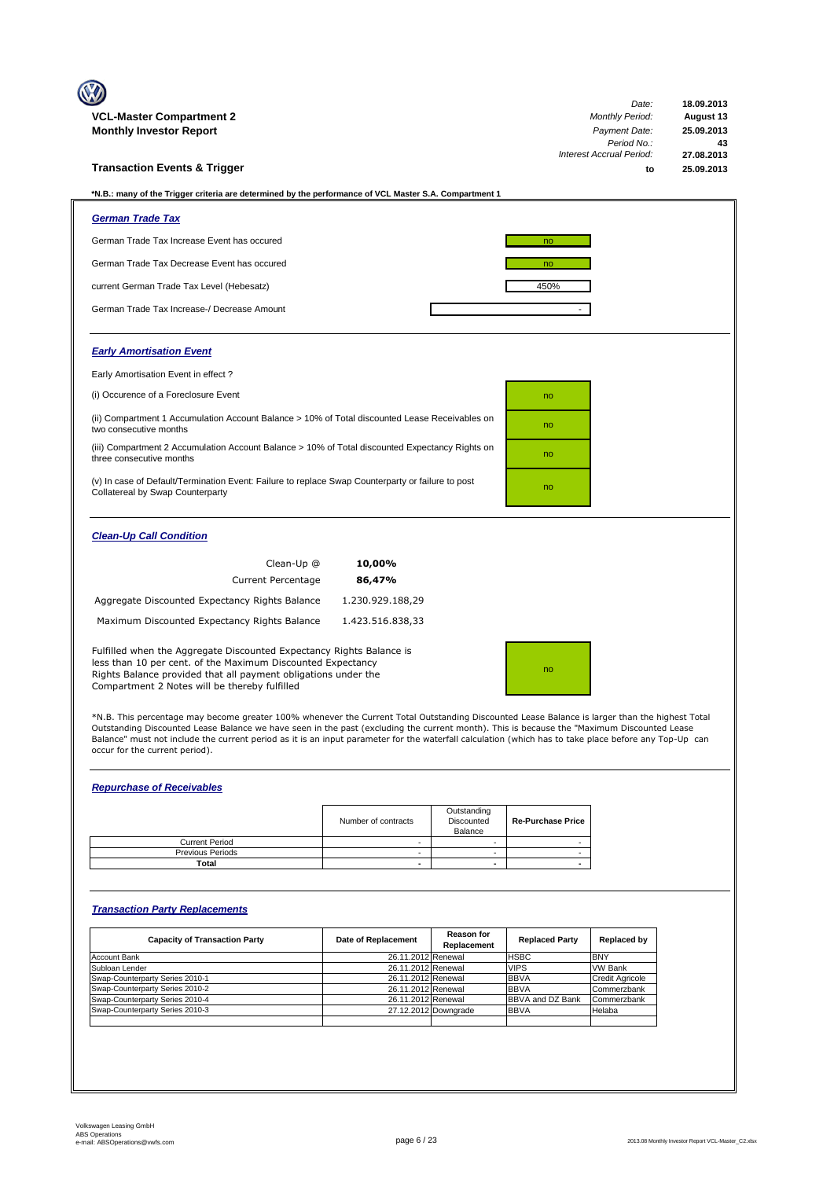|                                                                                                                                                                                                                                                        |                              | Date:                           | 18.09.2013 |
|--------------------------------------------------------------------------------------------------------------------------------------------------------------------------------------------------------------------------------------------------------|------------------------------|---------------------------------|------------|
| VCL-Master Compartment 2                                                                                                                                                                                                                               | <b>Monthly Period:</b>       | August 13                       |            |
| <b>Monthly Investor Report</b>                                                                                                                                                                                                                         | Payment Date:<br>Period No.: | 25.09.2013<br>43                |            |
|                                                                                                                                                                                                                                                        |                              | <b>Interest Accrual Period:</b> | 27.08.2013 |
| <b>Transaction Events &amp; Trigger</b>                                                                                                                                                                                                                |                              | to                              | 25.09.2013 |
|                                                                                                                                                                                                                                                        |                              |                                 |            |
| *N.B.: many of the Trigger criteria are determined by the performance of VCL Master S.A. Compartment 1                                                                                                                                                 |                              |                                 |            |
| <b>German Trade Tax</b>                                                                                                                                                                                                                                |                              |                                 |            |
| German Trade Tax Increase Event has occured                                                                                                                                                                                                            |                              | no                              |            |
| German Trade Tax Decrease Event has occured                                                                                                                                                                                                            |                              | no                              |            |
| current German Trade Tax Level (Hebesatz)                                                                                                                                                                                                              |                              | 450%                            |            |
| German Trade Tax Increase-/ Decrease Amount                                                                                                                                                                                                            |                              |                                 |            |
| <b>Early Amortisation Event</b>                                                                                                                                                                                                                        |                              |                                 |            |
| Early Amortisation Event in effect?                                                                                                                                                                                                                    |                              |                                 |            |
| (i) Occurence of a Foreclosure Event                                                                                                                                                                                                                   |                              | no                              |            |
| (ii) Compartment 1 Accumulation Account Balance > 10% of Total discounted Lease Receivables on<br>two consecutive months                                                                                                                               |                              | no                              |            |
| (iii) Compartment 2 Accumulation Account Balance > 10% of Total discounted Expectancy Rights on<br>three consecutive months                                                                                                                            |                              | no                              |            |
| (v) In case of Default/Termination Event: Failure to replace Swap Counterparty or failure to post<br>Collatereal by Swap Counterparty                                                                                                                  |                              | no                              |            |
| <b>Clean-Up Call Condition</b>                                                                                                                                                                                                                         |                              |                                 |            |
| Clean-Up @                                                                                                                                                                                                                                             | 10,00%                       |                                 |            |
| <b>Current Percentage</b>                                                                                                                                                                                                                              | 86,47%                       |                                 |            |
| Aggregate Discounted Expectancy Rights Balance                                                                                                                                                                                                         | 1.230.929.188,29             |                                 |            |
| Maximum Discounted Expectancy Rights Balance                                                                                                                                                                                                           | 1.423.516.838,33             |                                 |            |
| Fulfilled when the Aggregate Discounted Expectancy Rights Balance is<br>less than 10 per cent. of the Maximum Discounted Expectancy<br>Rights Balance provided that all payment obligations under the<br>Compartment 2 Notes will be thereby fulfilled |                              | no                              |            |

\*N.B. This percentage may become greater 100% whenever the Current Total Outstanding Discounted Lease Balance is larger than the highest Total<br>Outstanding Discounted Lease Balance we have seen in the past (excluding the cu Balance" must not include the current period as it is an input parameter for the waterfall calculation (which has to take place before any Top-Up can occur for the current period).

### *Repurchase of Receivables*

|                         | Number of contracts | Outstanding<br>Discounted<br>Balance | <b>Re-Purchase Price</b> |
|-------------------------|---------------------|--------------------------------------|--------------------------|
| <b>Current Period</b>   |                     |                                      |                          |
| <b>Previous Periods</b> |                     |                                      |                          |
| Total                   |                     |                                      |                          |

### *Transaction Party Replacements*

| <b>Capacity of Transaction Party</b> | Date of Replacement | <b>Reason for</b><br>Replacement | <b>Replaced Party</b>   | Replaced by            |
|--------------------------------------|---------------------|----------------------------------|-------------------------|------------------------|
| <b>Account Bank</b>                  | 26.11.2012 Renewal  |                                  | <b>HSBC</b>             | <b>BNY</b>             |
| Subloan Lender                       | 26.11.2012 Renewal  |                                  | <b>VIPS</b>             | <b>VW Bank</b>         |
| Swap-Counterparty Series 2010-1      | 26.11.2012 Renewal  |                                  | <b>BBVA</b>             | <b>Credit Agricole</b> |
| Swap-Counterparty Series 2010-2      | 26.11.2012 Renewal  |                                  | <b>BBVA</b>             | Commerzbank            |
| Swap-Counterparty Series 2010-4      | 26.11.2012 Renewal  |                                  | <b>BBVA and DZ Bank</b> | Commerzbank            |
| Swap-Counterparty Series 2010-3      |                     | 27.12.2012 Downgrade             | <b>BBVA</b>             | Helaba                 |
|                                      |                     |                                  |                         |                        |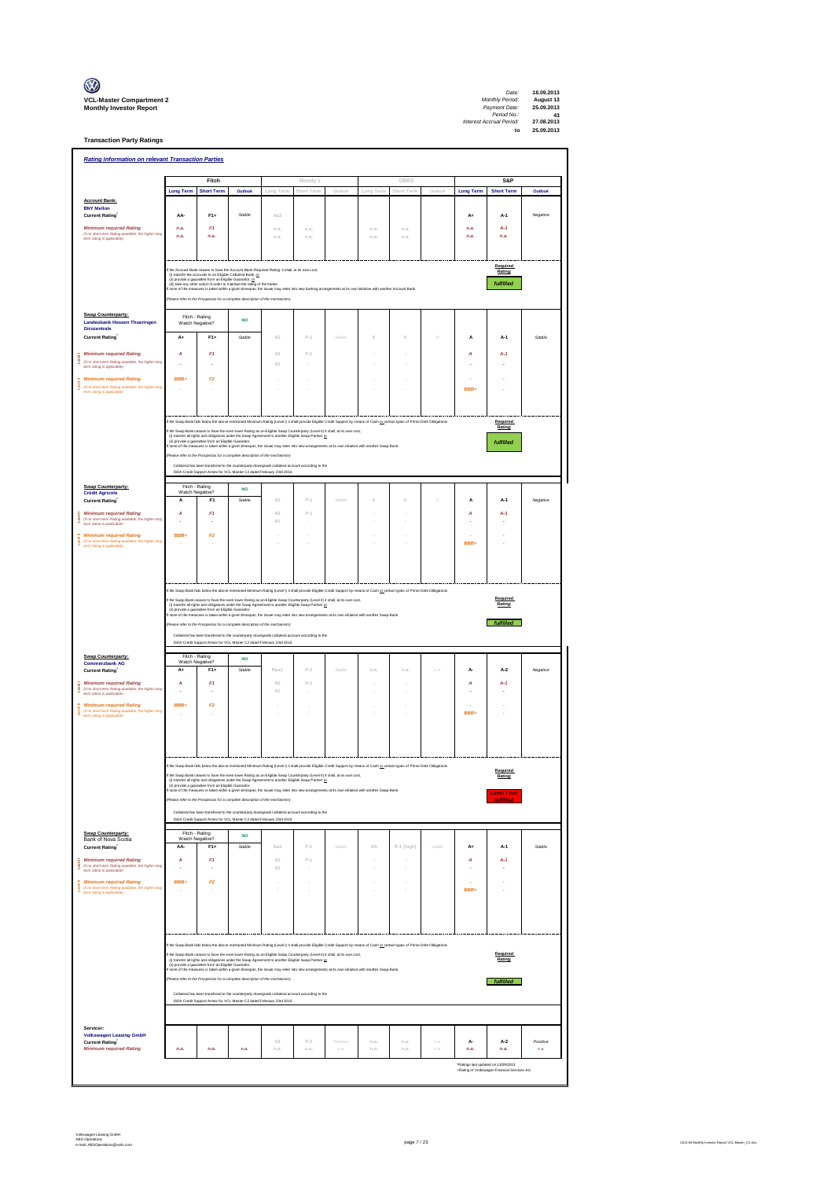| $\mathbb{C}$                                                      |
|-------------------------------------------------------------------|
| <b>VCL-Master Compartment</b> :<br><b>Monthly Investor Report</b> |

**Transaction Party Ratings**

| <b>Rating Information on relevant Transaction Parties</b>                                                                |                                                                                                                                                                                                                                                                                                        |                                                         |                                                                                                                                                                                                                                                                                                                          |                     |                                                                                                                             |            |                       |                          |          |                  |                                 |          |
|--------------------------------------------------------------------------------------------------------------------------|--------------------------------------------------------------------------------------------------------------------------------------------------------------------------------------------------------------------------------------------------------------------------------------------------------|---------------------------------------------------------|--------------------------------------------------------------------------------------------------------------------------------------------------------------------------------------------------------------------------------------------------------------------------------------------------------------------------|---------------------|-----------------------------------------------------------------------------------------------------------------------------|------------|-----------------------|--------------------------|----------|------------------|---------------------------------|----------|
|                                                                                                                          |                                                                                                                                                                                                                                                                                                        | Fitch                                                   |                                                                                                                                                                                                                                                                                                                          |                     | Moody's                                                                                                                     |            |                       | <b>DBRS</b>              |          |                  | S&P                             |          |
|                                                                                                                          | <b>Long Term</b>                                                                                                                                                                                                                                                                                       | <b>Short Term</b>                                       | Outlook                                                                                                                                                                                                                                                                                                                  | Long Tern           | Short Term                                                                                                                  | Outlook    |                       |                          | Outlool  | <b>Long Term</b> | <b>Short Term</b>               | Outlook  |
| <b>Account Bank:</b><br><b>BNY Mellon</b>                                                                                |                                                                                                                                                                                                                                                                                                        |                                                         |                                                                                                                                                                                                                                                                                                                          |                     |                                                                                                                             |            |                       |                          |          |                  |                                 |          |
| <b>Current Rating</b><br><b>Minimum required Rating</b>                                                                  | AA-<br>n.a.                                                                                                                                                                                                                                                                                            | $F1+$<br>F1                                             | Stable                                                                                                                                                                                                                                                                                                                   | Aa3<br>n.a.         | n.a.                                                                                                                        |            | n.a.                  | n.a.                     |          | A+<br>n.a.       | A-1<br>$A-1$                    | Negative |
| (if no short term Rating available, the higher long<br>term rating is applicable)                                        | n.a.                                                                                                                                                                                                                                                                                                   | n.a.                                                    |                                                                                                                                                                                                                                                                                                                          | n.a.                | n.a.                                                                                                                        |            | n.a.                  | n.a.                     |          | n.a.             | n.a.                            |          |
|                                                                                                                          |                                                                                                                                                                                                                                                                                                        |                                                         |                                                                                                                                                                                                                                                                                                                          |                     |                                                                                                                             |            |                       |                          |          |                  |                                 |          |
|                                                                                                                          |                                                                                                                                                                                                                                                                                                        |                                                         | the Account Bank ceases to have the Account Bank Required Rating it shall, at its own cost,                                                                                                                                                                                                                              |                     |                                                                                                                             |            |                       |                          |          |                  | Required<br>Rating:             |          |
|                                                                                                                          |                                                                                                                                                                                                                                                                                                        | (ii) provide a guarantee from an Eligible Guaranter, or | (i) transfer the accounts to an Eligible Collateral Bank, or<br>(ii) take any other action in order to maintain the rating of the Notes.                                                                                                                                                                                 |                     |                                                                                                                             |            |                       |                          |          |                  | fulfilled                       |          |
|                                                                                                                          |                                                                                                                                                                                                                                                                                                        |                                                         | none of the measures is taken within a given timespan, the Issuer may enter into new banking arrangements at its own initiative with another Account Bank<br>Rease refer to the Prospectus for a complete description of the mechanism)                                                                                  |                     |                                                                                                                             |            |                       |                          |          |                  |                                 |          |
| Swap Counterparty:                                                                                                       |                                                                                                                                                                                                                                                                                                        | Fitch - Rating                                          |                                                                                                                                                                                                                                                                                                                          |                     |                                                                                                                             |            |                       |                          |          |                  |                                 |          |
| <b>Landesbank Hessen Thueringen</b><br>Girozentrale                                                                      |                                                                                                                                                                                                                                                                                                        | Watch Negative?                                         | <b>NO</b>                                                                                                                                                                                                                                                                                                                |                     |                                                                                                                             |            |                       |                          |          |                  |                                 |          |
| <b>Current Rating</b>                                                                                                    | A+                                                                                                                                                                                                                                                                                                     | $F1+$                                                   | Stable                                                                                                                                                                                                                                                                                                                   | A2                  | $P-1$                                                                                                                       | Stable     | $\circ$               | $\ddot{\rm{o}}$          | $\theta$ | A                | A-1                             | Stable   |
| <b>Minimum required Rating</b><br>ŝ<br>(if no short term Rating available, the higher long                               | A                                                                                                                                                                                                                                                                                                      | F1                                                      |                                                                                                                                                                                                                                                                                                                          | A2<br>A1            | $p_{-1}$                                                                                                                    |            |                       |                          |          | A                | A-1                             |          |
| term rating is applicable)<br><b>Minimum required Rating</b>                                                             | BBB+                                                                                                                                                                                                                                                                                                   | F2                                                      |                                                                                                                                                                                                                                                                                                                          |                     |                                                                                                                             |            |                       |                          |          |                  |                                 |          |
| š<br>(if no short term Rating available, the higher long<br>term rating is applicable)                                   |                                                                                                                                                                                                                                                                                                        |                                                         |                                                                                                                                                                                                                                                                                                                          |                     |                                                                                                                             |            |                       |                          |          | <b>BBB</b>       |                                 |          |
|                                                                                                                          |                                                                                                                                                                                                                                                                                                        |                                                         |                                                                                                                                                                                                                                                                                                                          |                     |                                                                                                                             |            |                       |                          |          |                  |                                 |          |
|                                                                                                                          |                                                                                                                                                                                                                                                                                                        |                                                         | If the Swap Bank falls below the above mentioned Minimum Rating (Level I) it shall provide Eligible Credit Support by means of Cash or certain types of Prime Debt Obligations                                                                                                                                           |                     |                                                                                                                             |            |                       |                          |          |                  | Required                        |          |
|                                                                                                                          |                                                                                                                                                                                                                                                                                                        |                                                         | the Swap Bank ceases to have the even lower Rating as an Eligible Swap Counterparty (Level II) it shall, at its own cost<br>(i) transfer all rights and obligations under the Swap Agreement to another Eligible Swap Partner or                                                                                         |                     |                                                                                                                             |            |                       |                          |          |                  | Rating:                         |          |
|                                                                                                                          |                                                                                                                                                                                                                                                                                                        |                                                         | (ii) provide a guarantee from an Eligible Guarantor.<br>none of the measures is taken within a given timespan, the Issuer may enter into new arrangements at its own initiative with another Swap Bank                                                                                                                   |                     |                                                                                                                             |            |                       |                          |          |                  | fulfilled                       |          |
|                                                                                                                          |                                                                                                                                                                                                                                                                                                        |                                                         | se refer to the Prospectus for a complete description of the mechanism)<br>Collateral has been transfered to the counterparty downgrade collateral account according to the                                                                                                                                              |                     |                                                                                                                             |            |                       |                          |          |                  |                                 |          |
|                                                                                                                          |                                                                                                                                                                                                                                                                                                        |                                                         | ISDA Credit Support Annex for VCL Master C2 dated February 23rd 2010.                                                                                                                                                                                                                                                    |                     |                                                                                                                             |            |                       |                          |          |                  |                                 |          |
| Swap Counterparty:<br><b>Crédit Agricole</b>                                                                             | $\Delta$                                                                                                                                                                                                                                                                                               | Fitch - Rating<br>Watch Negative?<br>F <sub>1</sub>     | <b>NO</b><br>Stable                                                                                                                                                                                                                                                                                                      | A2                  | $P-1$                                                                                                                       | Stable     |                       | $\Omega$                 | ó        |                  |                                 |          |
| <b>Current Rating</b><br><b>Minimum required Rating</b>                                                                  | A                                                                                                                                                                                                                                                                                                      | F1                                                      |                                                                                                                                                                                                                                                                                                                          | A2                  | p.s                                                                                                                         |            | $\theta$              |                          |          | A<br>A           | $A-1$<br>A-1                    | Negative |
| Š<br>(if no short term Rating available, the higher long<br>term rating is applicable)                                   |                                                                                                                                                                                                                                                                                                        |                                                         |                                                                                                                                                                                                                                                                                                                          | A1                  |                                                                                                                             |            |                       |                          |          |                  |                                 |          |
| <b>Minimum required Rating</b><br>Ī<br>(if no short term Rating available, the higher long                               | BBB+                                                                                                                                                                                                                                                                                                   | F <sub>2</sub>                                          |                                                                                                                                                                                                                                                                                                                          |                     |                                                                                                                             |            |                       |                          |          | <b>BBB</b>       |                                 |          |
| term rating is applicable)                                                                                               |                                                                                                                                                                                                                                                                                                        |                                                         |                                                                                                                                                                                                                                                                                                                          |                     |                                                                                                                             |            |                       |                          |          |                  |                                 |          |
|                                                                                                                          |                                                                                                                                                                                                                                                                                                        |                                                         |                                                                                                                                                                                                                                                                                                                          |                     |                                                                                                                             |            |                       |                          |          |                  |                                 |          |
|                                                                                                                          |                                                                                                                                                                                                                                                                                                        |                                                         |                                                                                                                                                                                                                                                                                                                          |                     |                                                                                                                             |            |                       |                          |          |                  |                                 |          |
|                                                                                                                          |                                                                                                                                                                                                                                                                                                        |                                                         | If the Swap Bank falls below the above mentioned Minimum Rating (Level I) it shall provide Eligible Credit Support by means of Cash or oertain types of Prime Debt Obligations                                                                                                                                           |                     |                                                                                                                             |            |                       |                          |          |                  | Required                        |          |
|                                                                                                                          | f the Swap Bank ceases to have the even lower Rating as an Eligible Swap Counterparty (Level II) it shall, at its own cost,<br>(i) transfer all rights and obligations under the Swap Agreement to another Eligible Swap Partner or<br>Rating:<br>(ii) provide a guarantee from an Eligible Guaranter. |                                                         |                                                                                                                                                                                                                                                                                                                          |                     |                                                                                                                             |            |                       |                          |          |                  |                                 |          |
|                                                                                                                          | none of the measures is taken within a given timespan, the Issuer may enter into new arrangements at its own initiative with another Swap Bank<br>refer to the Prospectus for a complete description of the mechanism)                                                                                 |                                                         |                                                                                                                                                                                                                                                                                                                          |                     |                                                                                                                             |            |                       |                          |          |                  |                                 |          |
|                                                                                                                          |                                                                                                                                                                                                                                                                                                        |                                                         |                                                                                                                                                                                                                                                                                                                          |                     |                                                                                                                             |            |                       |                          |          |                  | fulfilled                       |          |
|                                                                                                                          |                                                                                                                                                                                                                                                                                                        |                                                         | Collateral has been transfered to the counterparty downgrade collateral account according to the<br>ISDA Credit Support Annex for VCL Master C2 dated February 23rd 2010.                                                                                                                                                |                     |                                                                                                                             |            |                       |                          |          |                  |                                 |          |
| Swap Counterparty:<br><b>Commerzbank AG</b>                                                                              |                                                                                                                                                                                                                                                                                                        | Fitch - Rating<br>Watch Negative?                       | <b>NO</b>                                                                                                                                                                                                                                                                                                                |                     |                                                                                                                             |            |                       |                          |          |                  |                                 |          |
| <b>Current Rating</b>                                                                                                    | $A+$                                                                                                                                                                                                                                                                                                   | $F1+$                                                   | Stable                                                                                                                                                                                                                                                                                                                   | Baa1                | $P-2$                                                                                                                       | Stable     | n.a                   | n.a.                     | n.a.     | A                | $A-2$                           | Negative |
| <b>Minimum required Rating</b><br>Ī<br>(if no short term Rating available, the higher long<br>term rating is applicable) | A                                                                                                                                                                                                                                                                                                      | F1<br>÷,                                                |                                                                                                                                                                                                                                                                                                                          | A2<br>$\triangle 1$ | $P-1$                                                                                                                       |            |                       |                          |          | A                | $A-1$                           |          |
| <b>Minimum required Rating</b>                                                                                           | BBB+                                                                                                                                                                                                                                                                                                   | F <sub>2</sub>                                          |                                                                                                                                                                                                                                                                                                                          |                     |                                                                                                                             |            |                       |                          |          |                  |                                 |          |
| (if no short term Rating available, the higher long<br>term rating is applicable)                                        |                                                                                                                                                                                                                                                                                                        |                                                         |                                                                                                                                                                                                                                                                                                                          |                     |                                                                                                                             |            |                       |                          |          | <b>BBB</b>       |                                 |          |
|                                                                                                                          |                                                                                                                                                                                                                                                                                                        |                                                         |                                                                                                                                                                                                                                                                                                                          |                     |                                                                                                                             |            |                       |                          |          |                  |                                 |          |
|                                                                                                                          |                                                                                                                                                                                                                                                                                                        |                                                         |                                                                                                                                                                                                                                                                                                                          |                     |                                                                                                                             |            |                       |                          |          |                  |                                 |          |
|                                                                                                                          |                                                                                                                                                                                                                                                                                                        |                                                         |                                                                                                                                                                                                                                                                                                                          |                     | ed Minimum Rating (Level I) it shall provide Eligible Credit Support by means of Cash or certain types of Prime Debt Obliga |            |                       |                          |          |                  |                                 |          |
|                                                                                                                          |                                                                                                                                                                                                                                                                                                        | (ii) provide a quarantee from an Eligible Guaranter.    | If the Swap Bank ceases to have the even lower Rating as an Eligible Swap Counterparty (Level II) it shall, at its own cost,<br>(i) transfer all rights and obligations under the Swap Agreement to another Eligible Swap Partner                                                                                        |                     |                                                                                                                             |            |                       |                          |          |                  | Rating:                         |          |
|                                                                                                                          |                                                                                                                                                                                                                                                                                                        |                                                         | f none of the measures is taken within a given timespan, the Issuer may enter into new arrangements at its own initiative with another Swap Bank<br>(Please refer to the Prospectus for a complete description of the mechanism)                                                                                         |                     |                                                                                                                             |            |                       |                          |          |                  | Level I not<br><b>fulfilled</b> |          |
|                                                                                                                          |                                                                                                                                                                                                                                                                                                        |                                                         | Collateral has been transfered to the counterparty downgrade collateral account according to the                                                                                                                                                                                                                         |                     |                                                                                                                             |            |                       |                          |          |                  |                                 |          |
|                                                                                                                          |                                                                                                                                                                                                                                                                                                        |                                                         | ISDA Credit Support Annex for VCL Master C2 dated February 23rd 2010.                                                                                                                                                                                                                                                    |                     |                                                                                                                             |            |                       |                          |          |                  |                                 |          |
| <b>Swap Counterparty:</b><br>Bank of Nova Scotia                                                                         |                                                                                                                                                                                                                                                                                                        | Fitch - Rating<br>Watch Negative?                       | <b>NO</b><br>Stable                                                                                                                                                                                                                                                                                                      |                     | $p_{-1}$                                                                                                                    | Stable     | $\triangle \triangle$ |                          | stable   |                  |                                 | Stable   |
| Current Rating<br><b>Minimum required Rating</b>                                                                         | AA-<br>A                                                                                                                                                                                                                                                                                               | $F1+$<br>F1                                             |                                                                                                                                                                                                                                                                                                                          | Aa2<br>A2           | $P-1$                                                                                                                       |            |                       | R-1 (high)               |          | A+<br>A          | A-1<br>$A-1$                    |          |
| š<br>(if no short term Rating available, the higher long<br>term rating is applicable)                                   |                                                                                                                                                                                                                                                                                                        | ä,                                                      |                                                                                                                                                                                                                                                                                                                          | A1                  | J.                                                                                                                          |            |                       | i,                       |          |                  |                                 |          |
| <b>Minimum required Rating</b><br>š<br>(if no short term Rating available, the higher long<br>term ration is anniicable) | BBB+                                                                                                                                                                                                                                                                                                   | F2                                                      |                                                                                                                                                                                                                                                                                                                          |                     |                                                                                                                             |            | ×,                    | $\overline{\phantom{a}}$ |          | ä,<br>BBB+       |                                 |          |
|                                                                                                                          |                                                                                                                                                                                                                                                                                                        |                                                         |                                                                                                                                                                                                                                                                                                                          |                     |                                                                                                                             |            |                       |                          |          |                  |                                 |          |
|                                                                                                                          |                                                                                                                                                                                                                                                                                                        |                                                         |                                                                                                                                                                                                                                                                                                                          |                     |                                                                                                                             |            |                       |                          |          |                  |                                 |          |
|                                                                                                                          |                                                                                                                                                                                                                                                                                                        |                                                         |                                                                                                                                                                                                                                                                                                                          |                     |                                                                                                                             |            |                       |                          |          |                  |                                 |          |
|                                                                                                                          |                                                                                                                                                                                                                                                                                                        |                                                         | If the Swap Bank falls below the above mentioned Minimum Rating (Level I) it shall provide Eligible Credit Support by means of Cash or oetain types of Prime Debt Obligations                                                                                                                                            |                     |                                                                                                                             |            |                       |                          |          |                  |                                 |          |
|                                                                                                                          |                                                                                                                                                                                                                                                                                                        |                                                         | the Swap Bank ceases to have the even lower Rating as an Eligible Swap Counterparty (Level II) it shall, at its own cost,                                                                                                                                                                                                |                     |                                                                                                                             |            |                       |                          |          |                  | Required<br>Rating:             |          |
|                                                                                                                          |                                                                                                                                                                                                                                                                                                        |                                                         | (i) tanafar all rights and obligations under the Swap Agreement to another Eligible Swap Partner <u>or</u><br>(ii) provide a guaratiee from an Eligible Guarantor.<br>none of the measures is taken within a given timespan, the Issuer m<br>Please refer to the Prospectus for a complete description of the mechanism) |                     |                                                                                                                             |            |                       |                          |          |                  |                                 |          |
|                                                                                                                          |                                                                                                                                                                                                                                                                                                        |                                                         | Collateral has been transfered to the counterparty downgrade collateral account according to the                                                                                                                                                                                                                         |                     |                                                                                                                             |            |                       |                          |          |                  | fulfilled                       |          |
|                                                                                                                          |                                                                                                                                                                                                                                                                                                        |                                                         | ISDA Credit Support Annex for VCL Master C2 dated February 23rd 2010.                                                                                                                                                                                                                                                    |                     |                                                                                                                             |            |                       |                          |          |                  |                                 |          |
|                                                                                                                          |                                                                                                                                                                                                                                                                                                        |                                                         |                                                                                                                                                                                                                                                                                                                          |                     |                                                                                                                             |            |                       |                          |          |                  |                                 |          |
| Servicer:<br><b>Volkswagen Leasing GmbH</b><br><b>Current Rating</b>                                                     |                                                                                                                                                                                                                                                                                                        |                                                         |                                                                                                                                                                                                                                                                                                                          | A3                  | $P-2$                                                                                                                       | Positive   | n.a.                  | n.a.                     | 12.21    | A-               | $A-2$                           | Positive |
| <b>Minimum required Rating</b>                                                                                           | n.a.                                                                                                                                                                                                                                                                                                   | n.a.                                                    | n.a.                                                                                                                                                                                                                                                                                                                     | n.a.                | n.a.                                                                                                                        | $\it n.a.$ | n.a.                  | n.a.                     | n.a.     | n.a.             | n.a.                            | n.a.     |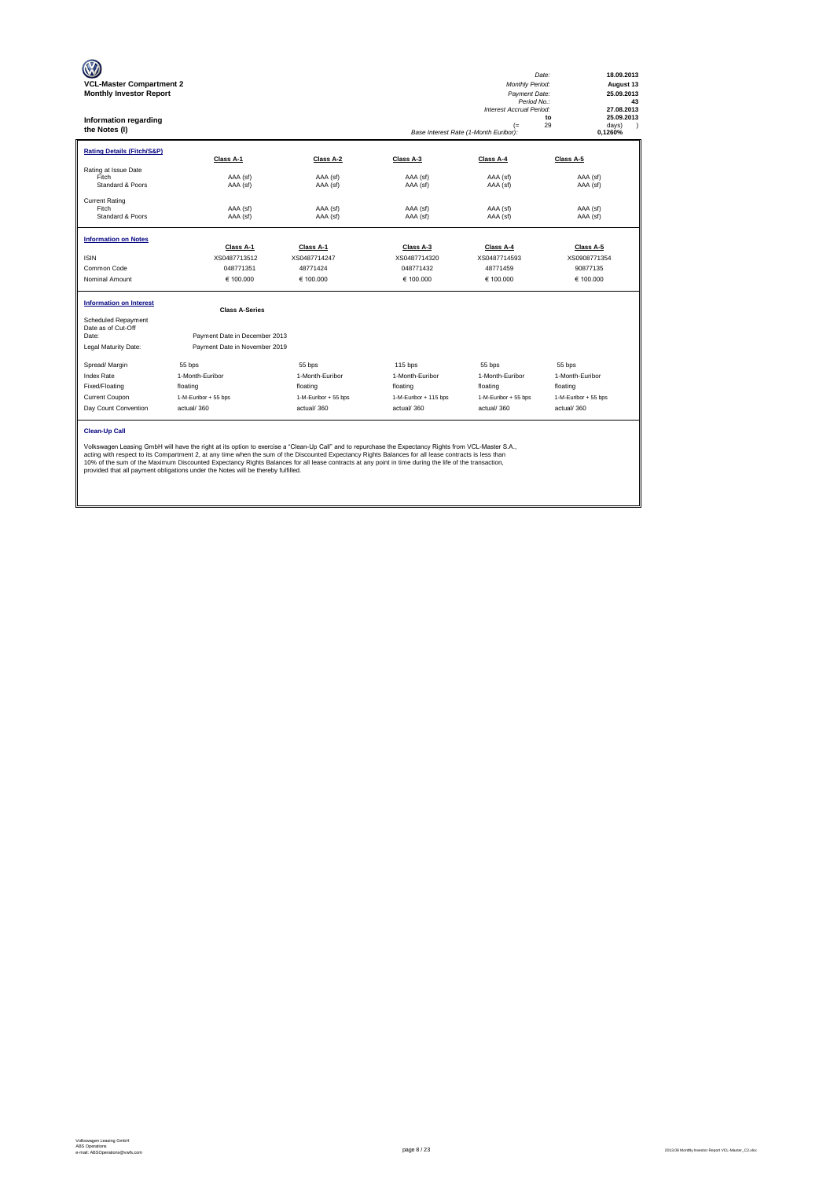| <b>VCL-Master Compartment 2</b><br><b>Monthly Investor Report</b><br>Information regarding<br>the Notes (I) |                                                                                                                                                                                                                                                                                                                                                                                                                                                                                                                                                           |                      |                       | Monthly Period:<br>Payment Date:<br>Period No.:<br>Interest Accrual Period:<br>$(=$<br>Base Interest Rate (1-Month Euribor): | 18.09.2013<br>Date:<br>August 13<br>25.09.2013<br>43<br>27.08.2013<br>25.09.2013<br>to<br>29<br>davs)<br>$\lambda$<br>0,1260% |
|-------------------------------------------------------------------------------------------------------------|-----------------------------------------------------------------------------------------------------------------------------------------------------------------------------------------------------------------------------------------------------------------------------------------------------------------------------------------------------------------------------------------------------------------------------------------------------------------------------------------------------------------------------------------------------------|----------------------|-----------------------|------------------------------------------------------------------------------------------------------------------------------|-------------------------------------------------------------------------------------------------------------------------------|
| <b>Rating Details (Fitch/S&amp;P)</b>                                                                       | Class A-1                                                                                                                                                                                                                                                                                                                                                                                                                                                                                                                                                 | Class A-2            | Class A-3             | Class A-4                                                                                                                    | Class A-5                                                                                                                     |
| Rating at Issue Date<br>Fitch<br>Standard & Poors                                                           | AAA (sf)<br>AAA (sf)                                                                                                                                                                                                                                                                                                                                                                                                                                                                                                                                      | AAA (sf)<br>AAA (sf) | AAA (sf)<br>AAA (sf)  | AAA (sf)<br>AAA (sf)                                                                                                         | AAA (sf)<br>AAA (sf)                                                                                                          |
| <b>Current Rating</b><br>Fitch<br>Standard & Poors                                                          | AAA (sf)<br>AAA (sf)                                                                                                                                                                                                                                                                                                                                                                                                                                                                                                                                      | AAA (sf)<br>AAA (sf) | AAA (sf)<br>AAA (sf)  | AAA (sf)<br>AAA (sf)                                                                                                         | AAA (sf)<br>AAA (sf)                                                                                                          |
| <b>Information on Notes</b>                                                                                 | Class A-1                                                                                                                                                                                                                                                                                                                                                                                                                                                                                                                                                 | Class A-1            | Class A-3             | Class A-4                                                                                                                    | Class A-5                                                                                                                     |
| <b>ISIN</b>                                                                                                 | XS0487713512                                                                                                                                                                                                                                                                                                                                                                                                                                                                                                                                              | XS0487714247         | XS0487714320          | XS0487714593                                                                                                                 | XS0908771354                                                                                                                  |
| Common Code                                                                                                 | 048771351                                                                                                                                                                                                                                                                                                                                                                                                                                                                                                                                                 | 48771424             | 048771432             | 48771459                                                                                                                     | 90877135                                                                                                                      |
| Nominal Amount                                                                                              | € 100.000                                                                                                                                                                                                                                                                                                                                                                                                                                                                                                                                                 | € 100,000            | € 100.000             | € 100.000                                                                                                                    | € 100.000                                                                                                                     |
| <b>Information on Interest</b>                                                                              | <b>Class A-Series</b>                                                                                                                                                                                                                                                                                                                                                                                                                                                                                                                                     |                      |                       |                                                                                                                              |                                                                                                                               |
| Scheduled Repayment<br>Date as of Cut-Off<br>Date:<br>Legal Maturity Date:                                  | Payment Date in December 2013<br>Payment Date in November 2019                                                                                                                                                                                                                                                                                                                                                                                                                                                                                            |                      |                       |                                                                                                                              |                                                                                                                               |
| Spread/ Margin                                                                                              | 55 bps                                                                                                                                                                                                                                                                                                                                                                                                                                                                                                                                                    | 55 bps               | 115 bps               | 55 bps                                                                                                                       | 55 bps                                                                                                                        |
| <b>Index Rate</b>                                                                                           | 1-Month-Euribor                                                                                                                                                                                                                                                                                                                                                                                                                                                                                                                                           | 1-Month-Euribor      | 1-Month-Euribor       | 1-Month-Euribor                                                                                                              | 1-Month-Euribor                                                                                                               |
| Fixed/Floating                                                                                              | floating                                                                                                                                                                                                                                                                                                                                                                                                                                                                                                                                                  | floating             | floating              | floating                                                                                                                     | floating                                                                                                                      |
| Current Coupon                                                                                              | 1-M-Euribor + 55 bps                                                                                                                                                                                                                                                                                                                                                                                                                                                                                                                                      | 1-M-Euribor + 55 bps | 1-M-Euribor + 115 bps | 1-M-Euribor + 55 bps                                                                                                         | 1-M-Euribor + 55 bps                                                                                                          |
| Day Count Convention                                                                                        | actual/360                                                                                                                                                                                                                                                                                                                                                                                                                                                                                                                                                | actual/360           | actual/360            | actual/360                                                                                                                   | actual/360                                                                                                                    |
| <b>Clean-Up Call</b>                                                                                        | Volkswagen Leasing GmbH will have the right at its option to exercise a "Clean-Up Call" and to repurchase the Expectancy Rights from VCL-Master S.A.,<br>acting with respect to its Compartment 2, at any time when the sum of the Discounted Expectancy Rights Balances for all lease contracts is less than<br>10% of the sum of the Maximum Discounted Expectancy Rights Balances for all lease contracts at any point in time during the life of the transaction,<br>provided that all payment obligations under the Notes will be thereby fulfilled. |                      |                       |                                                                                                                              |                                                                                                                               |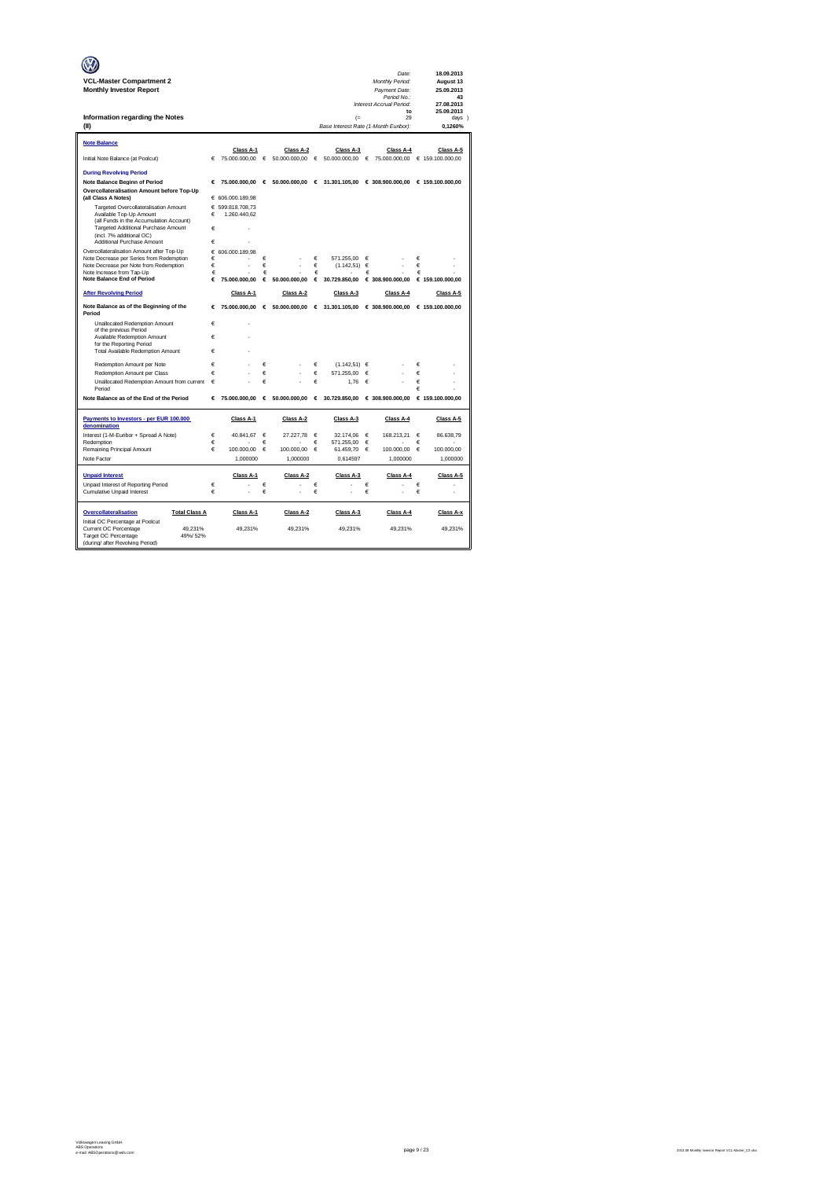|                                                                                       |        |                  |            |                                 |   |                                       |   | Date:                                           |   | 18.09.2013       |
|---------------------------------------------------------------------------------------|--------|------------------|------------|---------------------------------|---|---------------------------------------|---|-------------------------------------------------|---|------------------|
| <b>VCL-Master Compartment 2</b>                                                       |        |                  |            |                                 |   |                                       |   | Monthly Period:                                 |   | August 13        |
| <b>Monthly Investor Report</b>                                                        |        |                  |            |                                 |   |                                       |   | Payment Date:                                   |   | 25.09.2013       |
|                                                                                       |        |                  |            |                                 |   |                                       |   | Period No.:<br>Interest Accrual Period:         |   | 43<br>27.08.2013 |
|                                                                                       |        |                  |            |                                 |   |                                       |   | to                                              |   | 25.09.2013       |
| Information regarding the Notes                                                       |        |                  |            |                                 |   | (                                     |   | 29                                              |   | days )           |
| (II)                                                                                  |        |                  |            |                                 |   | Base Interest Rate (1-Month Euribor): |   |                                                 |   | 0.1260%          |
| <b>Note Balance</b>                                                                   |        |                  |            |                                 |   |                                       |   |                                                 |   |                  |
|                                                                                       |        | Class A-1        |            | Class A-2                       |   | Class A-3                             |   | Class A-4                                       |   | Class A-5        |
| Initial Note Balance (at Poolcut)                                                     | €      | 75.000.000,00    | $\epsilon$ | 50.000.000,00                   | € | 50.000.000,00                         | € | 75.000.000,00  € 159.100.000,00                 |   |                  |
| <b>During Revolving Period</b>                                                        |        |                  |            |                                 |   |                                       |   |                                                 |   |                  |
| <b>Note Balance Beginn of Period</b>                                                  | €      |                  |            | 75.000.000.00 € 50.000.000.00 € |   |                                       |   | 31.301.105.00 € 308.900.000.00 € 159.100.000.00 |   |                  |
| Overcollateralisation Amount before Top-Up                                            |        |                  |            |                                 |   |                                       |   |                                                 |   |                  |
| (all Class A Notes)                                                                   |        | € 606.000.189,98 |            |                                 |   |                                       |   |                                                 |   |                  |
| Targeted Overcollateralisation Amount                                                 |        | € 599.818.708.73 |            |                                 |   |                                       |   |                                                 |   |                  |
| Available Top-Up Amount<br>(all Funds in the Accumulation Account)                    | €      | 1.260.440.62     |            |                                 |   |                                       |   |                                                 |   |                  |
| Targeted Additional Purchase Amount                                                   | €      |                  |            |                                 |   |                                       |   |                                                 |   |                  |
| (incl. 7% additional OC)                                                              |        |                  |            |                                 |   |                                       |   |                                                 |   |                  |
| Additional Purchase Amount                                                            | €      |                  |            |                                 |   |                                       |   |                                                 |   |                  |
| Overcollateralisation Amount after Top-Up<br>Note Decrease per Series from Redemption | €<br>€ | 606,000.189.98   | €          |                                 | € | 571.255.00                            | € |                                                 | € |                  |
| Note Decrease per Note from Redemption                                                | €      |                  | €          |                                 | € | (1.142, 51)                           | € |                                                 | € |                  |
| Note Increase from Tap-Up                                                             | €      |                  | €          |                                 | € |                                       | € |                                                 | € |                  |
| <b>Note Balance End of Period</b>                                                     | €      | 75.000.000.00    | €          | 50,000,000.00                   | € | 30.729.850.00                         |   | € 308.900.000.00                                |   | € 159.100.000.00 |
| <b>After Revolving Period</b>                                                         |        | Class A-1        |            | Class A-2                       |   | Class A-3                             |   | Class A-4                                       |   | Class A-5        |
| Note Balance as of the Beginning of the<br>Period                                     | €      | 75.000.000,00    |            | € 50.000.000,00 € 31.301.105,00 |   |                                       |   | € 308.900.000,00                                |   | € 159.100.000,00 |
| Unallocated Redemption Amount                                                         | €      | ł.               |            |                                 |   |                                       |   |                                                 |   |                  |
| of the previous Period                                                                | €      |                  |            |                                 |   |                                       |   |                                                 |   |                  |
| Available Redemption Amount<br>for the Reporting Period                               |        |                  |            |                                 |   |                                       |   |                                                 |   |                  |
| <b>Total Available Redemption Amount</b>                                              | €      |                  |            |                                 |   |                                       |   |                                                 |   |                  |
| Redemotion Amount per Note                                                            | €      |                  | €          |                                 | € | $(1.142.51) \in$                      |   |                                                 | € |                  |
| Redemption Amount per Class                                                           | €      |                  | €          |                                 | € | 571.255.00                            | € |                                                 | € |                  |
| Unallocated Redemption Amount from current                                            | €      |                  | €          |                                 | € | 1.76                                  | € |                                                 | € |                  |
| Period                                                                                |        |                  |            |                                 |   |                                       |   |                                                 | € |                  |
| Note Balance as of the End of the Period                                              | €      | 75,000,000,00    | $\epsilon$ | 50,000,000.00 €                 |   | 30,729,850.00                         |   | € 308,900,000,00                                |   | € 159.100.000,00 |
| Payments to Investors - per EUR 100.000                                               |        | Class A-1        |            | Class A-2                       |   | Class A-3                             |   | Class A-4                                       |   | Class A-5        |
| denomination                                                                          |        |                  |            |                                 |   |                                       |   |                                                 |   |                  |
| Interest (1-M-Euribor + Spread A Note)                                                | €      | 40.841,67        | €          | 27.227,78                       | € | 32.174,06                             | € | 168.213,21                                      | € | 86.638,79        |
| Redemption                                                                            | €      |                  | €          |                                 | € | 571.255.00                            | € |                                                 | € |                  |
| Remaining Principal Amount                                                            | €      | 100.000,00       | €          | 100.000,00                      | € | 61.459.70                             | € | 100.000,00                                      | € | 100.000,00       |
| Note Factor                                                                           |        | 1,000000         |            | 1,000000                        |   | 0,614597                              |   | 1,000000                                        |   | 1,000000         |
| <b>Unpaid Interest</b>                                                                |        | Class A-1        |            | Class A-2                       |   | Class A-3                             |   | Class A-4                                       |   | Class A-5        |
| Unpaid Interest of Reporting Period                                                   | €      |                  | €          |                                 | € |                                       | € |                                                 | € |                  |
| Cumulative Unpaid Interest                                                            | €      |                  | €          |                                 | € |                                       | € |                                                 | € |                  |
| Overcollateralisation<br><b>Total Class A</b>                                         |        | Class A-1        |            | Class A-2                       |   | Class A-3                             |   | Class A-4                                       |   | Class A-x        |
| Initial OC Percentage at Poolcut                                                      |        |                  |            |                                 |   |                                       |   |                                                 |   |                  |
| Current OC Percentage<br>49.231%<br>49%/52%                                           |        | 49.231%          |            | 49.231%                         |   | 49.231%                               |   | 49.231%                                         |   | 49.231%          |
| Target OC Percentage<br>(during/ after Revolving Period)                              |        |                  |            |                                 |   |                                       |   |                                                 |   |                  |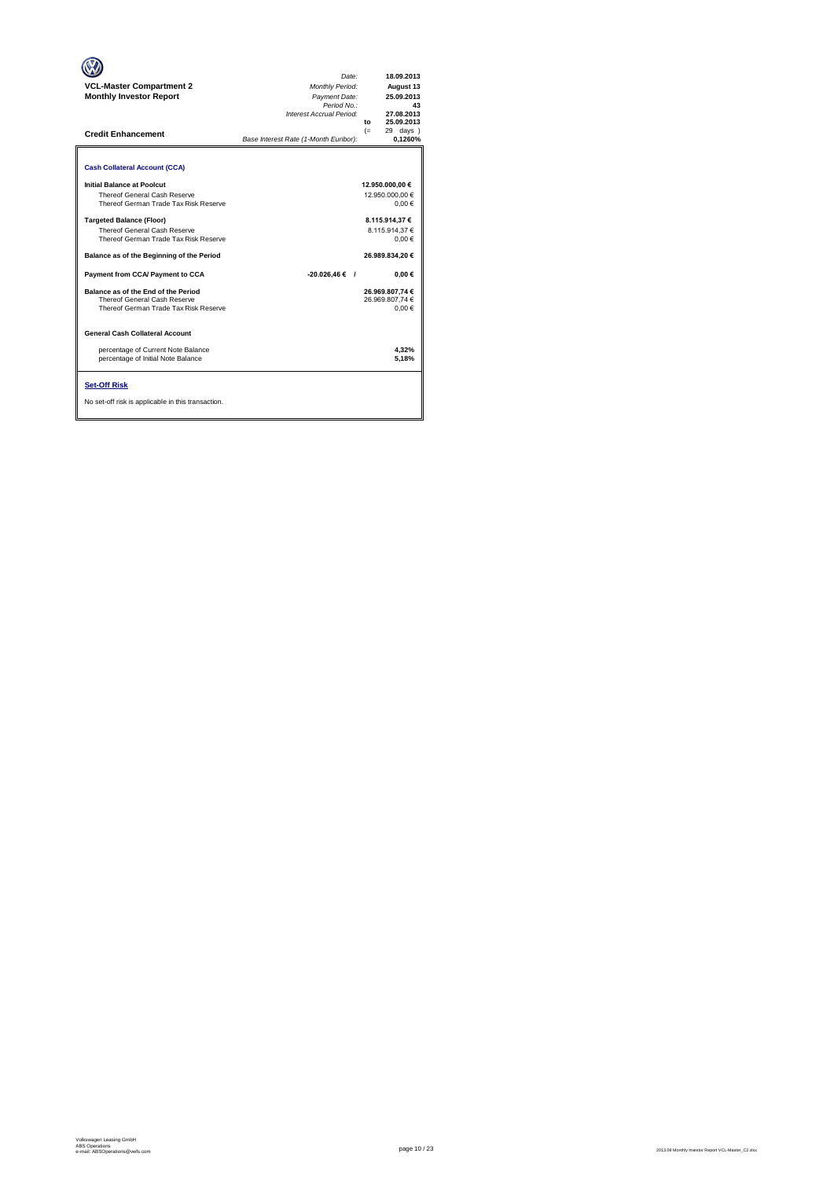| <b>VCL-Master Compartment 2</b><br><b>Monthly Investor Report</b><br><b>Credit Enhancement</b>                                                   | Date:<br><b>Monthly Period:</b><br>Payment Date:<br>Period No.:<br>Interest Accrual Period:<br>Base Interest Rate (1-Month Euribor): | 18.09.2013<br>August 13<br>25.09.2013<br>43<br>27.08.2013<br>25.09.2013<br>to<br>$(=$<br>29 days<br>0.1260% |
|--------------------------------------------------------------------------------------------------------------------------------------------------|--------------------------------------------------------------------------------------------------------------------------------------|-------------------------------------------------------------------------------------------------------------|
| <b>Cash Collateral Account (CCA)</b><br>Initial Balance at Poolcut                                                                               |                                                                                                                                      | 12.950.000,00 €                                                                                             |
| Thereof General Cash Reserve<br>Thereof German Trade Tax Risk Reserve<br><b>Targeted Balance (Floor)</b>                                         |                                                                                                                                      | 12.950.000.00 €<br>0.00€<br>8.115.914,37 €                                                                  |
| <b>Thereof General Cash Reserve</b><br>Thereof German Trade Tax Risk Reserve                                                                     |                                                                                                                                      | 8.115.914.37 €<br>0.00€                                                                                     |
| Balance as of the Beginning of the Period                                                                                                        |                                                                                                                                      | 26.989.834.20 €                                                                                             |
| Payment from CCA/ Payment to CCA<br>Balance as of the End of the Period<br>Thereof General Cash Reserve<br>Thereof German Trade Tax Risk Reserve | -20.026.46 € /                                                                                                                       | $0.00 \in$<br>26.969.807.74 €<br>26.969.807.74 €<br>0.00€                                                   |
| General Cash Collateral Account                                                                                                                  |                                                                                                                                      |                                                                                                             |
| percentage of Current Note Balance<br>percentage of Initial Note Balance                                                                         |                                                                                                                                      | 4,32%<br>5.18%                                                                                              |
| <b>Set-Off Risk</b><br>No set-off risk is applicable in this transaction.                                                                        |                                                                                                                                      |                                                                                                             |

**. . . .** Trigger Level 1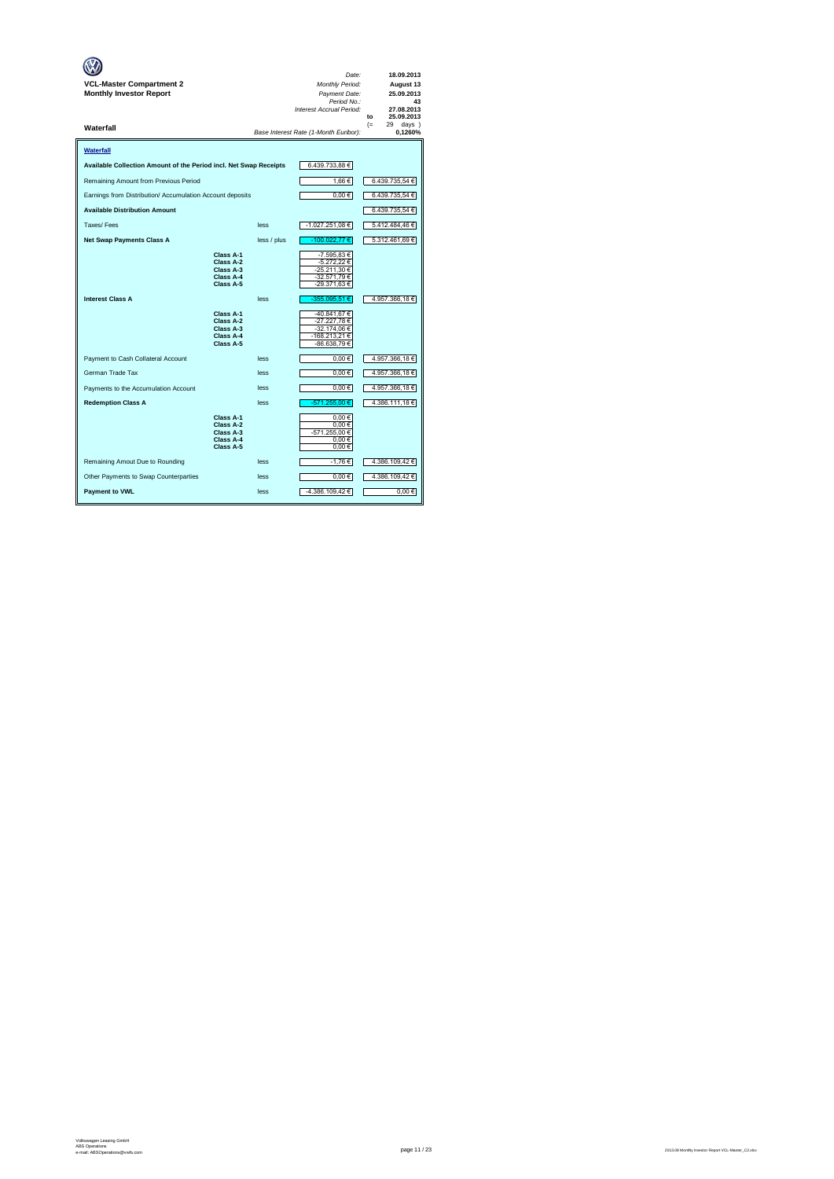| VCL-Master Compartment 2<br><b>Monthly Investor Report</b>        |                                                               |             | Date:<br>Monthly Period:<br>Payment Date:<br>Period No.:<br>Interest Accrual Period: | 18.09.2013<br>August 13<br>25.09.2013<br>43<br>27.08.2013<br>25.09.2013<br>to |
|-------------------------------------------------------------------|---------------------------------------------------------------|-------------|--------------------------------------------------------------------------------------|-------------------------------------------------------------------------------|
| Waterfall                                                         |                                                               |             | Base Interest Rate (1-Month Euribor):                                                | $(=$<br>29<br>days )<br>0,1260%                                               |
| Waterfall                                                         |                                                               |             |                                                                                      |                                                                               |
| Available Collection Amount of the Period incl. Net Swap Receipts |                                                               |             | 6.439.733,88 €                                                                       |                                                                               |
| Remaining Amount from Previous Period                             |                                                               |             | 1,66€                                                                                | 6.439.735,54 €                                                                |
| Earnings from Distribution/ Accumulation Account deposits         |                                                               |             | $0,00 \in$                                                                           | 6.439.735,54 €                                                                |
| <b>Available Distribution Amount</b>                              |                                                               |             |                                                                                      | 6.439.735,54 €                                                                |
| Taxes/Fees                                                        |                                                               | less        | -1.027.251,08 €                                                                      | 5.412.484,46€                                                                 |
| <b>Net Swap Payments Class A</b>                                  |                                                               | less / plus | -100.022,77€                                                                         | 5.312.461,69 €                                                                |
|                                                                   | Class A-1<br>Class A-2<br>Class A-3<br>Class A-4<br>Class A-5 |             | -7.595,83 €<br>-5.272,22 €<br>-25.211,30 €<br>-32.571,79 €<br>-29.371,63 €           |                                                                               |
| <b>Interest Class A</b>                                           |                                                               | less        | -355.095,51 €                                                                        | 4.957.366,18€                                                                 |
|                                                                   | Class A-1<br>Class A-2<br>Class A-3<br>Class A-4<br>Class A-5 |             | -40.841,67 €<br>-27.227,78 €<br>-32.174,06 €<br>-168.213,21€<br>-86.638,79 €         |                                                                               |
| Payment to Cash Collateral Account                                |                                                               | less        | $0,00 \in$                                                                           | 4.957.366,18€                                                                 |
| German Trade Tax                                                  |                                                               | less        | $0,00 \in$                                                                           | 4.957.366,18 €                                                                |
| Payments to the Accumulation Account                              |                                                               | less        | $0,00 \in$                                                                           | 4.957.366,18 €                                                                |
| <b>Redemption Class A</b>                                         |                                                               | less        | -571.255.00 €                                                                        | 4.386.111,18 €                                                                |
|                                                                   | Class A-1<br>Class A-2<br>Class A-3<br>Class A-4<br>Class A-5 |             | 0.00€<br>0.00€<br>-571.255,00 €<br>$0,00 \in$<br>$0,00 \in$                          |                                                                               |
| Remaining Amout Due to Rounding                                   |                                                               | less        | -1,76€                                                                               | 4.386.109,42 €                                                                |
| Other Payments to Swap Counterparties                             |                                                               | less        | $0,00 \in$                                                                           | 4.386.109,42 €                                                                |
| <b>Payment to VWL</b>                                             |                                                               | less        | -4.386.109,42 €                                                                      | 0.00€                                                                         |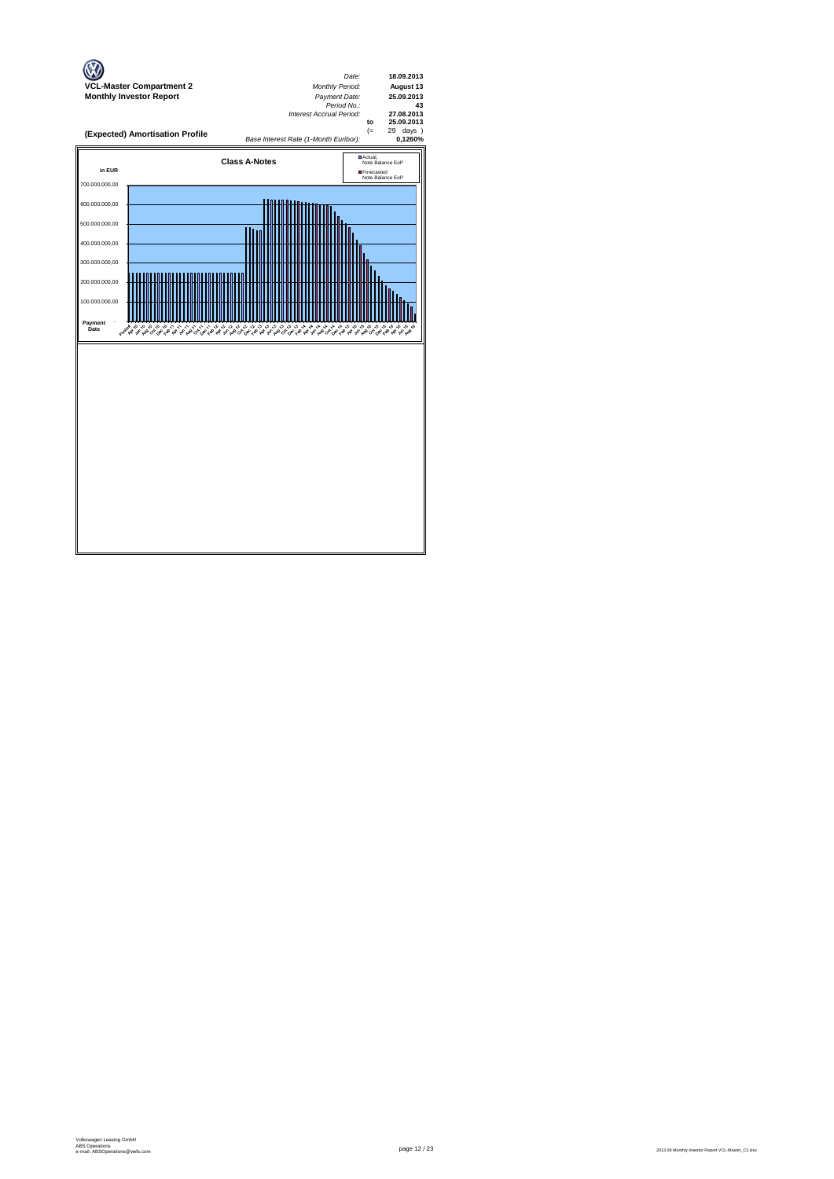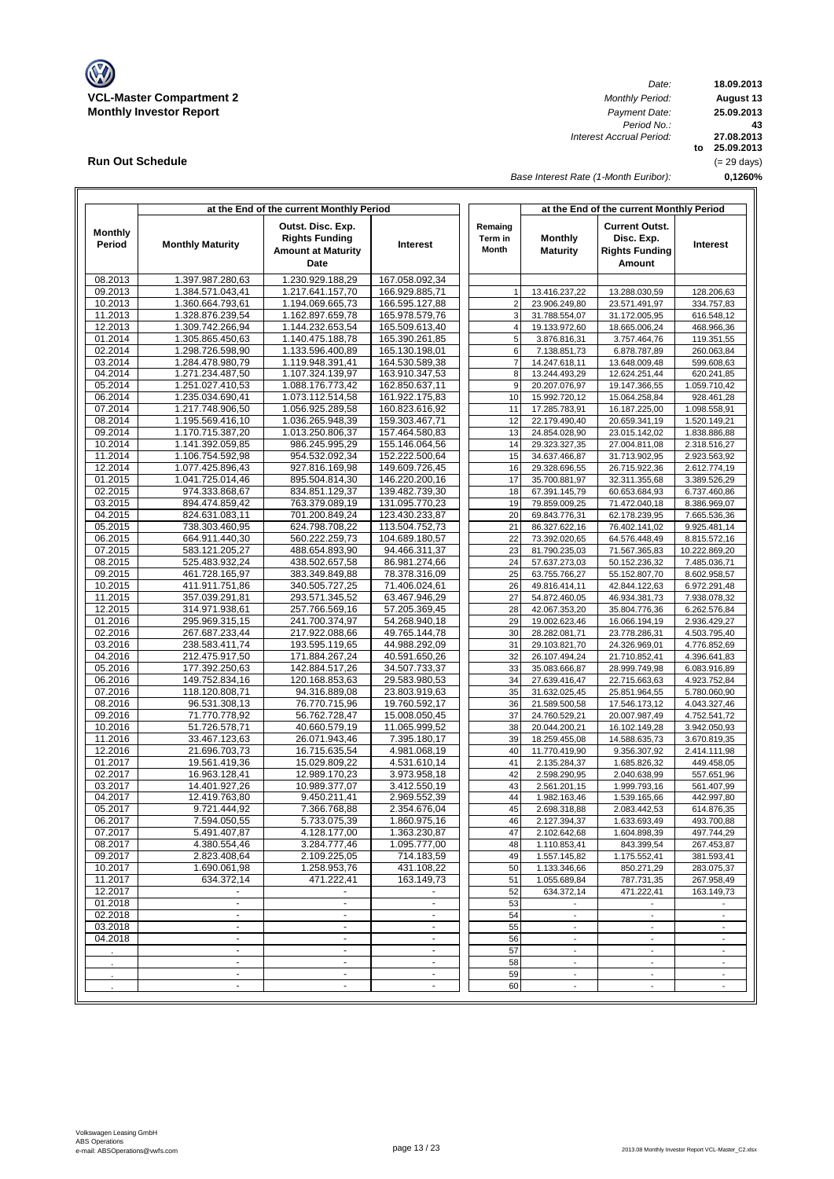

**Run Out Schedule**

*Date: Period No.: Interest Accrual Period:*

**18.09.2013 August 13 to 25.09.2013 27.08.2013 0,1260% 43 25.09.2013** (= 29 days)

*Base Interest Rate (1-Month Euribor):*

|                          |                                      | at the End of the current Monthly Period                                        |                                            |                             |                                | at the End of the current Monthly Period                               |                              |
|--------------------------|--------------------------------------|---------------------------------------------------------------------------------|--------------------------------------------|-----------------------------|--------------------------------|------------------------------------------------------------------------|------------------------------|
| <b>Monthly</b><br>Period | <b>Monthly Maturity</b>              | Outst. Disc. Exp.<br><b>Rights Funding</b><br><b>Amount at Maturity</b><br>Date | Interest                                   | Remaing<br>Term in<br>Month | Monthly<br><b>Maturity</b>     | <b>Current Outst.</b><br>Disc. Exp.<br><b>Rights Funding</b><br>Amount | Interest                     |
| 08.2013                  | 1.397.987.280,63                     | 1.230.929.188,29                                                                | 167.058.092,34                             |                             |                                |                                                                        |                              |
| 09.2013                  | 1.384.571.043,41                     | 1.217.641.157,70                                                                | 166.929.885,71                             | $\mathbf{1}$                | 13.416.237,22                  | 13.288.030,59                                                          | 128.206,63                   |
| 10.2013                  | 1.360.664.793,61                     | 1.194.069.665,73                                                                | 166.595.127,88                             | $\overline{2}$              | 23.906.249,80                  | 23.571.491,97                                                          | 334.757,83                   |
| 11.2013                  | 1.328.876.239,54                     | 1.162.897.659.78                                                                | 165.978.579,76                             | 3                           | 31.788.554,07                  | 31.172.005,95                                                          | 616.548,12                   |
| 12.2013                  | 1.309.742.266,94                     | 1.144.232.653,54                                                                | 165.509.613,40                             | $\overline{4}$              | 19.133.972,60                  | 18.665.006,24                                                          | 468.966,36                   |
| 01.2014                  | 1.305.865.450,63                     | 1.140.475.188,78                                                                | 165.390.261,85                             | 5                           | 3.876.816,31                   | 3.757.464,76                                                           | 119.351,55                   |
| 02.2014                  | 1.298.726.598,90                     | 1.133.596.400,89                                                                | 165.130.198,01                             | 6                           | 7.138.851,73                   | 6.878.787,89                                                           | 260.063,84                   |
| 03.2014                  | 1.284.478.980,79                     | 1.119.948.391,41                                                                | 164.530.589,38                             | $\boldsymbol{7}$            | 14.247.618,11                  | 13.648.009,48                                                          | 599.608,63                   |
| 04.2014                  | 1.271.234.487,50<br>1.251.027.410.53 | 1.107.324.139,97                                                                | 163.910.347.53                             | 8                           | 13.244.493,29                  | 12.624.251,44                                                          | 620.241,85                   |
| 05.2014                  |                                      | 1.088.176.773,42<br>1.073.112.514,58                                            | 162.850.637,11                             | $\boldsymbol{9}$            | 20.207.076,97                  | 19.147.366,55<br>15.064.258,84                                         | 1.059.710,42                 |
| 06.2014<br>07.2014       | 1.235.034.690,41<br>1.217.748.906,50 | 1.056.925.289,58                                                                | 161.922.175,83<br>160.823.616,92           | 10                          | 15.992.720,12                  |                                                                        | 928.461,28                   |
| 08.2014                  | 1.195.569.416,10                     | 1.036.265.948,39                                                                | 159.303.467,71                             | 11<br>12                    | 17.285.783,91<br>22.179.490,40 | 16.187.225,00<br>20.659.341,19                                         | 1.098.558,91<br>1.520.149,21 |
| 09.2014                  | 1.170.715.387,20                     | 1.013.250.806,37                                                                | 157.464.580,83                             | 13                          | 24.854.028,90                  | 23.015.142,02                                                          | 1.838.886,88                 |
| 10.2014                  | 1.141.392.059,85                     | 986.245.995,29                                                                  | 155.146.064,56                             | 14                          | 29.323.327,35                  | 27.004.811,08                                                          | 2.318.516,27                 |
| 11.2014                  | 1.106.754.592,98                     | 954.532.092,34                                                                  | 152.222.500,64                             | 15                          | 34.637.466,87                  | 31.713.902,95                                                          | 2.923.563,92                 |
| 12.2014                  | 1.077.425.896,43                     | 927.816.169,98                                                                  | 149.609.726,45                             | 16                          | 29.328.696,55                  | 26.715.922,36                                                          | 2.612.774,19                 |
| 01.2015                  | 1.041.725.014,46                     | 895.504.814,30                                                                  | 146.220.200,16                             | 17                          | 35.700.881,97                  | 32.311.355,68                                                          | 3.389.526,29                 |
| 02.2015                  | 974.333.868,67                       | 834.851.129,37                                                                  | 139.482.739,30                             | 18                          | 67.391.145,79                  | 60.653.684,93                                                          | 6.737.460,86                 |
| 03.2015                  | 894.474.859,42                       | 763.379.089,19                                                                  | 131.095.770.23                             | 19                          | 79.859.009,25                  | 71.472.040,18                                                          | 8.386.969,07                 |
| 04.2015                  | 824.631.083,11                       | 701.200.849,24                                                                  | 123.430.233,87                             | 20                          | 69.843.776,31                  | 62.178.239,95                                                          | 7.665.536,36                 |
| 05.2015                  | 738.303.460,95                       | 624.798.708,22                                                                  | 113.504.752,73                             | 21                          | 86.327.622,16                  | 76.402.141,02                                                          | 9.925.481,14                 |
| 06.2015                  | 664.911.440,30                       | 560.222.259,73                                                                  | 104.689.180,57                             | 22                          | 73.392.020,65                  | 64.576.448,49                                                          | 8.815.572,16                 |
| 07.2015                  | 583.121.205,27                       | 488.654.893,90                                                                  | 94.466.311,37                              | 23                          | 81.790.235,03                  | 71.567.365,83                                                          | 10.222.869,20                |
| 08.2015                  | 525.483.932,24                       | 438.502.657,58                                                                  | 86.981.274,66                              | 24                          | 57.637.273,03                  | 50.152.236,32                                                          | 7.485.036,71                 |
| 09.2015                  | 461.728.165,97                       | 383.349.849,88                                                                  | 78.378.316,09                              | 25                          | 63.755.766,27                  | 55.152.807,70                                                          | 8.602.958,57                 |
| 10.2015                  | 411.911.751,86                       | 340.505.727,25                                                                  | 71.406.024,61                              | 26                          | 49.816.414,11                  | 42.844.122,63                                                          | 6.972.291,48                 |
| 11.2015                  | 357.039.291,81                       | 293.571.345,52                                                                  | 63.467.946,29                              | 27                          | 54.872.460,05                  | 46.934.381,73                                                          | 7.938.078,32                 |
| 12.2015                  | 314.971.938,61                       | 257.766.569,16                                                                  | 57.205.369,45                              | 28                          | 42.067.353,20                  | 35.804.776,36                                                          | 6.262.576,84                 |
| 01.2016                  | 295.969.315,15                       | 241.700.374,97                                                                  | 54.268.940,18                              | 29                          | 19.002.623,46                  | 16.066.194,19                                                          | 2.936.429,27                 |
| 02.2016                  | 267.687.233,44                       | 217.922.088,66                                                                  | 49.765.144,78                              | 30                          | 28.282.081,71                  | 23.778.286,31                                                          | 4.503.795,40                 |
| 03.2016                  | 238.583.411,74                       | 193.595.119,65                                                                  | 44.988.292,09                              | 31                          | 29.103.821,70                  | 24.326.969,01                                                          | 4.776.852,69                 |
| 04.2016                  | 212.475.917,50                       | 171.884.267,24                                                                  | 40.591.650,26                              | 32                          | 26.107.494,24                  | 21.710.852,41                                                          | 4.396.641,83                 |
| 05.2016                  | 177.392.250,63                       | 142.884.517,26                                                                  | 34.507.733,37                              | 33                          | 35.083.666,87                  | 28.999.749,98                                                          | 6.083.916,89                 |
| 06.2016                  | 149.752.834,16                       | 120.168.853,63                                                                  | 29.583.980,53                              | 34                          | 27.639.416,47                  | 22.715.663,63                                                          | 4.923.752,84                 |
| 07.2016                  | 118.120.808,71                       | 94.316.889,08                                                                   | 23.803.919,63                              | 35                          | 31.632.025,45                  | 25.851.964,55                                                          | 5.780.060,90                 |
| 08.2016                  | 96.531.308,13                        | 76.770.715,96                                                                   | 19.760.592,17                              | 36<br>37                    | 21.589.500,58                  | 17.546.173,12                                                          | 4.043.327,46                 |
| 09.2016<br>10.2016       | 71.770.778,92<br>51.726.578,71       | 56.762.728,47<br>40.660.579,19                                                  | 15.008.050,45<br>11.065.999,52             | 38                          | 24.760.529,21<br>20.044.200,21 | 20.007.987,49<br>16.102.149,28                                         | 4.752.541,72<br>3.942.050,93 |
| 11.2016                  | 33.467.123,63                        | 26.071.943,46                                                                   | 7.395.180.17                               | 39                          | 18.259.455,08                  | 14.588.635,73                                                          | 3.670.819,35                 |
| 12.2016                  | 21.696.703,73                        | 16.715.635,54                                                                   | 4.981.068,19                               | 40                          | 11.770.419,90                  | 9.356.307,92                                                           | 2.414.111,98                 |
| 01.2017                  | 19.561.419,36                        | 15.029.809.22                                                                   | 4.531.610,14                               | 41                          | 2.135.284,37                   | 1.685.826,32                                                           | 449.458,05                   |
| 02.2017                  | 16.963.128,41                        | 12.989.170,23                                                                   | 3.973.958,18                               | 42                          | 2.598.290,95                   | 2.040.638,99                                                           | 557.651,96                   |
| 03.2017                  | 14.401.927,26                        | 10.989.377,07                                                                   | 3.412.550,19                               | 43                          | 2.561.201,15                   | 1.999.793,16                                                           | 561.407,99                   |
| 04.2017                  | 12.419.763,80                        | 9.450.211,41                                                                    | 2.969.552,39                               | 44                          | 1.982.163,46                   | 1.539.165,66                                                           | 442.997,80                   |
| 05.2017                  | 9.721.444,92                         | 7.366.768,88                                                                    | 2.354.676.04                               | 45                          | 2.698.318,88                   | 2.083.442,53                                                           | 614.876,35                   |
| 06.2017                  | 7.594.050,55                         | 5.733.075,39                                                                    | 1.860.975,16                               | 46                          | 2.127.394,37                   | 1.633.693,49                                                           | 493.700,88                   |
| 07.2017                  | 5.491.407,87                         | 4.128.177,00                                                                    | 1.363.230,87                               | 47                          | 2.102.642,68                   | 1.604.898,39                                                           | 497.744,29                   |
| 08.2017                  | 4.380.554,46                         | 3.284.777,46                                                                    | 1.095.777,00                               | 48                          | 1.110.853,41                   | 843.399,54                                                             | 267.453,87                   |
| 09.2017                  | 2.823.408,64                         | 2.109.225,05                                                                    | 714.183,59                                 | 49                          | 1.557.145,82                   | 1.175.552,41                                                           | 381.593,41                   |
| 10.2017                  | 1.690.061,98                         | 1.258.953,76                                                                    | 431.108,22                                 | 50                          | 1.133.346,66                   | 850.271,29                                                             | 283.075,37                   |
| 11.2017                  | 634.372,14                           | 471.222,41                                                                      | 163.149,73                                 | 51                          | 1.055.689,84                   | 787.731,35                                                             | 267.958,49                   |
| 12.2017                  | ٠                                    |                                                                                 |                                            | 52                          | 634.372,14                     | 471.222,41                                                             | 163.149,73                   |
| 01.2018                  | $\blacksquare$                       | $\blacksquare$                                                                  | $\sim$                                     | 53                          | $\sim$                         | $\sim$                                                                 | $\overline{\phantom{a}}$     |
| 02.2018                  |                                      |                                                                                 |                                            | 54                          |                                |                                                                        |                              |
| 03.2018                  | $\blacksquare$                       | $\blacksquare$                                                                  | $\blacksquare$                             | 55                          | $\overline{\phantom{a}}$       | $\overline{\phantom{a}}$                                               | $\overline{\phantom{a}}$     |
| 04.2018                  | $\blacksquare$                       | $\blacksquare$                                                                  | $\overline{\phantom{a}}$                   | 56                          | $\blacksquare$                 | $\overline{\phantom{a}}$                                               | $\overline{\phantom{a}}$     |
|                          | $\sim$<br>$\blacksquare$             | ٠<br>$\blacksquare$                                                             | $\overline{\phantom{a}}$<br>$\blacksquare$ | 57                          | $\overline{\phantom{a}}$       | $\overline{\phantom{a}}$<br>$\blacksquare$                             | $\overline{\phantom{a}}$     |
|                          |                                      |                                                                                 |                                            | 58<br>59                    | $\blacksquare$                 |                                                                        | $\overline{\phantom{a}}$     |
|                          | $\blacksquare$                       | $\blacksquare$                                                                  | $\tilde{\phantom{a}}$                      | 60                          | $\overline{\phantom{a}}$       | $\overline{\phantom{a}}$                                               | $\overline{\phantom{a}}$     |
|                          |                                      |                                                                                 |                                            |                             |                                |                                                                        |                              |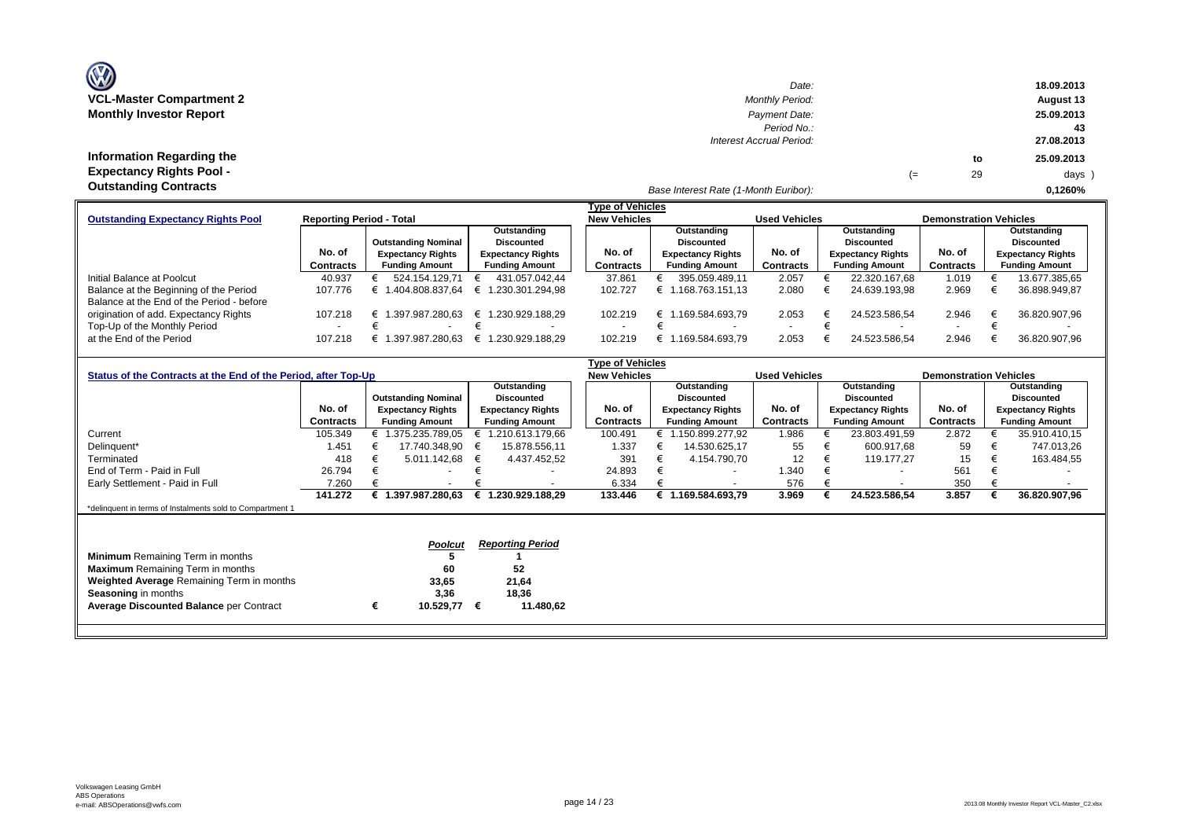| <b>OZ</b>                       |
|---------------------------------|
| <b>VCL-Master Compartment 2</b> |
| <b>Monthly Investor Report</b>  |

**Information Regarding the Expectancy Rights Pool -** 

| $\mathbf{w}$                     | Date:                    |    |    | 18.09.2013 |
|----------------------------------|--------------------------|----|----|------------|
| <b>VCL-Master Compartment 2</b>  | <b>Monthly Period:</b>   |    |    | August 13  |
| <b>Monthly Investor Report</b>   | Payment Date:            |    |    | 25.09.2013 |
|                                  | Period No.:              |    |    | 43         |
|                                  | Interest Accrual Period: |    |    | 27.08.2013 |
| <b>Information Regarding the</b> |                          |    | to | 25.09.2013 |
| <b>Expectancy Rights Pool -</b>  |                          | (≕ | 29 | days )     |
| Outotonding Contracto            |                          |    |    |            |

#### *Base Interest Rate (1-Month Euribor):* **Outstanding Contracts 0,1260%**

|                                           |                                 |                            |                          | <b>Type of Vehicles</b> |                          |                          |                          |                               |                          |
|-------------------------------------------|---------------------------------|----------------------------|--------------------------|-------------------------|--------------------------|--------------------------|--------------------------|-------------------------------|--------------------------|
| <b>Outstanding Expectancy Rights Pool</b> | <b>Reporting Period - Total</b> |                            |                          | <b>New Vehicles</b>     |                          | <b>Used Vehicles</b>     |                          | <b>Demonstration Vehicles</b> |                          |
|                                           |                                 |                            | Outstanding              |                         | Outstanding              |                          | Outstanding              |                               | Outstanding              |
|                                           |                                 | <b>Outstanding Nominal</b> | <b>Discounted</b>        |                         | <b>Discounted</b>        |                          | <b>Discounted</b>        |                               | <b>Discounted</b>        |
|                                           | No. of                          | <b>Expectancy Rights</b>   | <b>Expectancy Rights</b> | No. of                  | <b>Expectancy Rights</b> | No. of                   | <b>Expectancy Rights</b> | No. of                        | <b>Expectancy Rights</b> |
|                                           | <b>Contracts</b>                | <b>Funding Amount</b>      | <b>Funding Amount</b>    | Contracts               | <b>Funding Amount</b>    | <b>Contracts</b>         | <b>Funding Amount</b>    | <b>Contracts</b>              | <b>Funding Amount</b>    |
| Initial Balance at Poolcut                | 40.937                          | 524.154.129.71             | 431.057.042.44           | 37.861                  | 395.059.489.11           | 2.057                    | 22.320.167.68            | 1.019                         | 13.677.385.65            |
| Balance at the Beginning of the Period    | 107.776                         | 1.404.808.837.64           | .230.301.294.98          | 102.727                 | 1.168.763.151.13         | 2.080                    | 24.639.193.98            | 2.969                         | 36.898.949.87            |
| Balance at the End of the Period - before |                                 |                            |                          |                         |                          |                          |                          |                               |                          |
| origination of add. Expectancy Rights     | 107.218                         | .397.987.280.63            | € 1.230.929.188.29       | 102.219                 | .169.584.693.79          | 2.053                    | 24.523.586.54            | 2.946                         | 36.820.907.96<br>£       |
| Top-Up of the Monthly Period              |                                 |                            |                          |                         |                          | $\overline{\phantom{0}}$ |                          |                               |                          |
| at the End of the Period                  | 107.218                         | .397.987.280.63            | .230.929.188.29          | 102.219                 | .169.584.693.79          | 2.053                    | 24.523.586.54            | 2.946                         | 36.820.907,96            |

|                                                                |                  |                            |                          | <b>Type of Vehicles</b> |                          |                      |                          |                               |                          |
|----------------------------------------------------------------|------------------|----------------------------|--------------------------|-------------------------|--------------------------|----------------------|--------------------------|-------------------------------|--------------------------|
| Status of the Contracts at the End of the Period, after Top-Up |                  |                            |                          | <b>New Vehicles</b>     |                          | <b>Used Vehicles</b> |                          | <b>Demonstration Vehicles</b> |                          |
|                                                                |                  |                            | Outstanding              |                         | Outstanding              |                      | Outstanding              |                               | Outstanding              |
|                                                                |                  | <b>Outstanding Nominal</b> | <b>Discounted</b>        |                         | Discounted               |                      | <b>Discounted</b>        |                               | <b>Discounted</b>        |
|                                                                | No. of           | <b>Expectancy Rights</b>   | <b>Expectancy Rights</b> | No. of                  | <b>Expectancy Rights</b> | No. of               | <b>Expectancy Rights</b> | No. of                        | <b>Expectancy Rights</b> |
|                                                                | <b>Contracts</b> | <b>Funding Amount</b>      | <b>Funding Amount</b>    | Contracts               | <b>Funding Amount</b>    | Contracts            | <b>Funding Amount</b>    | Contracts                     | <b>Funding Amount</b>    |
| Current                                                        | 105.349          | € 1.375.235.789,05         | 1.210.613.179.66         | 100.491                 | .150.899.277,92          | 1.986                | 23.803.491,59            | 2.872                         | 35.910.410,15            |
| Delinquent*                                                    | 1.451            | 17.740.348.90              | 15.878.556,11            | 1.337                   | 14.530.625,17            | 55                   | 600.917,68               | 59                            | 747.013,26               |
| Terminated                                                     | 418              | 5.011.142.68               | 4.437.452,52<br>€        | 391                     | 4.154.790,70             | 12 <sup>2</sup>      | 119.177.27<br>€          | 15                            | 163.484,55<br>€          |
| End of Term - Paid in Full                                     | 26.794           |                            |                          | 24.893                  | $\overline{\phantom{a}}$ | 1.340                | $\overline{\phantom{a}}$ | 561                           |                          |
| Early Settlement - Paid in Full                                | 7.260            |                            |                          | 6.334                   |                          | 576                  |                          | 350                           |                          |
|                                                                | 141.272          | € 1.397.987.280,63         | € 1.230.929.188.29       | 133,446                 | € 1.169.584.693,79       | 3.969                | 24.523.586,54            | 3.857                         | 36.820.907,96            |
| *delinquent in terms of Instalments sold to Compartment 1      |                  |                            |                          |                         |                          |                      |                          |                               |                          |
|                                                                |                  |                            |                          |                         |                          |                      |                          |                               |                          |
|                                                                |                  |                            |                          |                         |                          |                      |                          |                               |                          |
|                                                                |                  | Poolcut                    | <b>Reporting Period</b>  |                         |                          |                      |                          |                               |                          |
| <b>Minimum</b> Remaining Term in months                        |                  |                            |                          |                         |                          |                      |                          |                               |                          |
| <b>Maximum</b> Remaining Term in months                        |                  | 60                         | 52                       |                         |                          |                      |                          |                               |                          |
| Weighted Average Remaining Term in months                      |                  | 33,65                      | 21,64                    |                         |                          |                      |                          |                               |                          |
| <b>Seasoning in months</b>                                     |                  | 3,36                       | 18,36                    |                         |                          |                      |                          |                               |                          |
| <b>Average Discounted Balance per Contract</b>                 |                  | €<br>10.529,77             | 11.480,62<br>€           |                         |                          |                      |                          |                               |                          |
|                                                                |                  |                            |                          |                         |                          |                      |                          |                               |                          |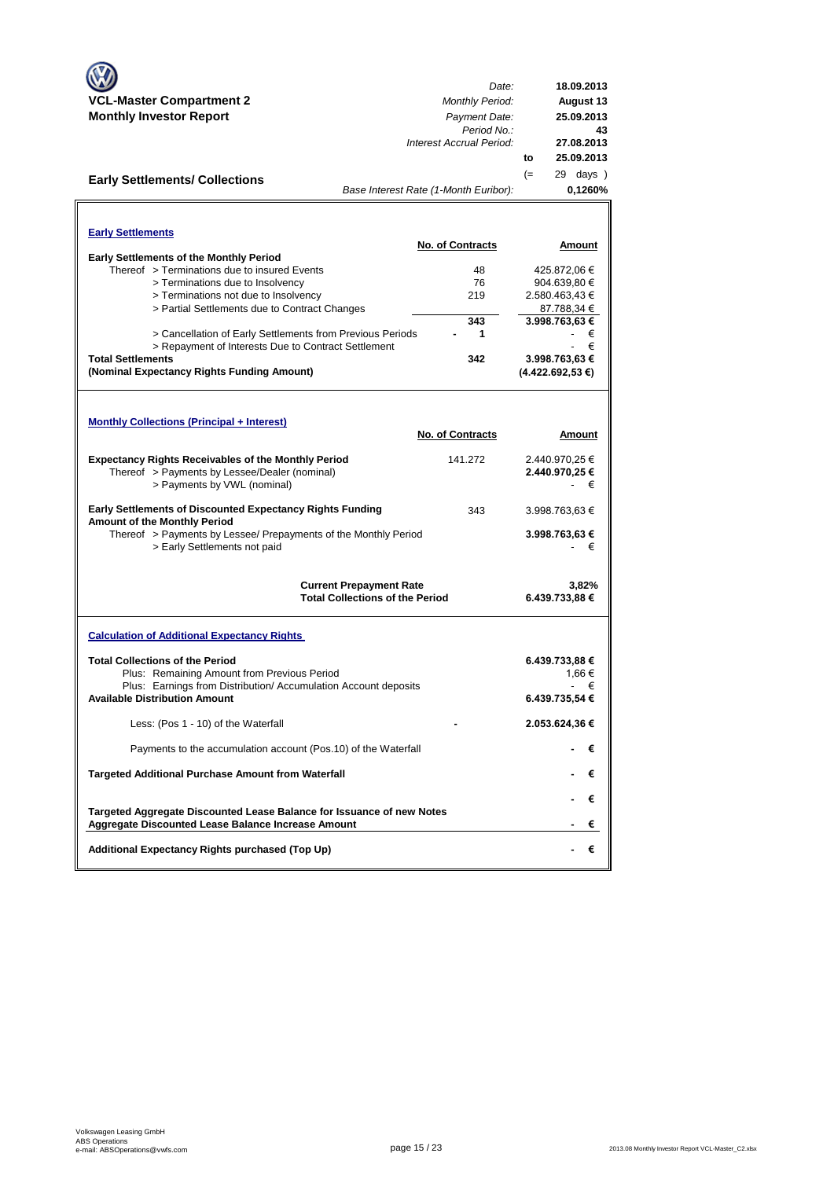|                                                                                                                | Date:                                                                    | 18.09.2013                     |
|----------------------------------------------------------------------------------------------------------------|--------------------------------------------------------------------------|--------------------------------|
| <b>VCL-Master Compartment 2</b>                                                                                | <b>Monthly Period:</b>                                                   | August 13                      |
| <b>Monthly Investor Report</b>                                                                                 | Payment Date:                                                            | 25.09.2013                     |
|                                                                                                                | Period No.:<br>Interest Accrual Period:                                  | 43                             |
|                                                                                                                |                                                                          | 27.08.2013<br>25.09.2013<br>to |
|                                                                                                                |                                                                          | 29 days )                      |
| <b>Early Settlements/ Collections</b>                                                                          | Base Interest Rate (1-Month Euribor):                                    | $(=$<br>0,1260%                |
|                                                                                                                |                                                                          |                                |
|                                                                                                                |                                                                          |                                |
| <b>Early Settlements</b>                                                                                       |                                                                          |                                |
|                                                                                                                | <b>No. of Contracts</b>                                                  | Amount                         |
| <b>Early Settlements of the Monthly Period</b><br>Thereof > Terminations due to insured Events                 | 48                                                                       | 425.872,06 €                   |
| > Terminations due to Insolvency                                                                               | 76                                                                       | 904.639,80 €                   |
| > Terminations not due to Insolvency                                                                           | 219                                                                      | 2.580.463,43 €                 |
| > Partial Settlements due to Contract Changes                                                                  |                                                                          | 87.788,34 €                    |
|                                                                                                                | 343                                                                      | 3.998.763,63 €                 |
| > Cancellation of Early Settlements from Previous Periods                                                      | 1                                                                        | €<br>€                         |
| > Repayment of Interests Due to Contract Settlement<br><b>Total Settlements</b>                                | 342                                                                      | 3.998.763,63 €                 |
| (Nominal Expectancy Rights Funding Amount)                                                                     |                                                                          | (4.422.692,53€)                |
|                                                                                                                |                                                                          |                                |
|                                                                                                                |                                                                          |                                |
| <b>Monthly Collections (Principal + Interest)</b>                                                              |                                                                          |                                |
|                                                                                                                | <b>No. of Contracts</b>                                                  | Amount                         |
|                                                                                                                |                                                                          |                                |
| <b>Expectancy Rights Receivables of the Monthly Period</b>                                                     | 141.272                                                                  | 2.440.970,25 €                 |
| Thereof > Payments by Lessee/Dealer (nominal)<br>> Payments by VWL (nominal)                                   |                                                                          | 2.440.970,25 €<br>€            |
|                                                                                                                |                                                                          |                                |
| <b>Early Settlements of Discounted Expectancy Rights Funding</b>                                               | 343                                                                      | 3.998.763,63 €                 |
| Amount of the Monthly Period<br>Thereof > Payments by Lessee/ Prepayments of the Monthly Period                |                                                                          | 3.998.763,63 €                 |
| > Early Settlements not paid                                                                                   |                                                                          | €                              |
|                                                                                                                |                                                                          |                                |
|                                                                                                                |                                                                          |                                |
|                                                                                                                | <b>Current Prepayment Rate</b><br><b>Total Collections of the Period</b> | 3,82%<br>6.439.733,88 €        |
|                                                                                                                |                                                                          |                                |
| <b>Calculation of Additional Expectancy Rights</b>                                                             |                                                                          |                                |
|                                                                                                                |                                                                          |                                |
| <b>Total Collections of the Period</b>                                                                         |                                                                          | 6.439.733,88 €                 |
| Plus: Remaining Amount from Previous Period<br>Plus: Earnings from Distribution/ Accumulation Account deposits |                                                                          | 1,66 €<br>€                    |
| <b>Available Distribution Amount</b>                                                                           |                                                                          | 6.439.735,54 €                 |
|                                                                                                                |                                                                          |                                |
| Less: (Pos 1 - 10) of the Waterfall                                                                            |                                                                          | 2.053.624,36 €                 |
| Payments to the accumulation account (Pos.10) of the Waterfall                                                 |                                                                          | €                              |
| Targeted Additional Purchase Amount from Waterfall                                                             |                                                                          | €                              |
|                                                                                                                |                                                                          | €                              |
| Targeted Aggregate Discounted Lease Balance for Issuance of new Notes                                          |                                                                          |                                |
| Aggregate Discounted Lease Balance Increase Amount                                                             |                                                                          | €                              |
| Additional Expectancy Rights purchased (Top Up)                                                                |                                                                          | €                              |
|                                                                                                                |                                                                          |                                |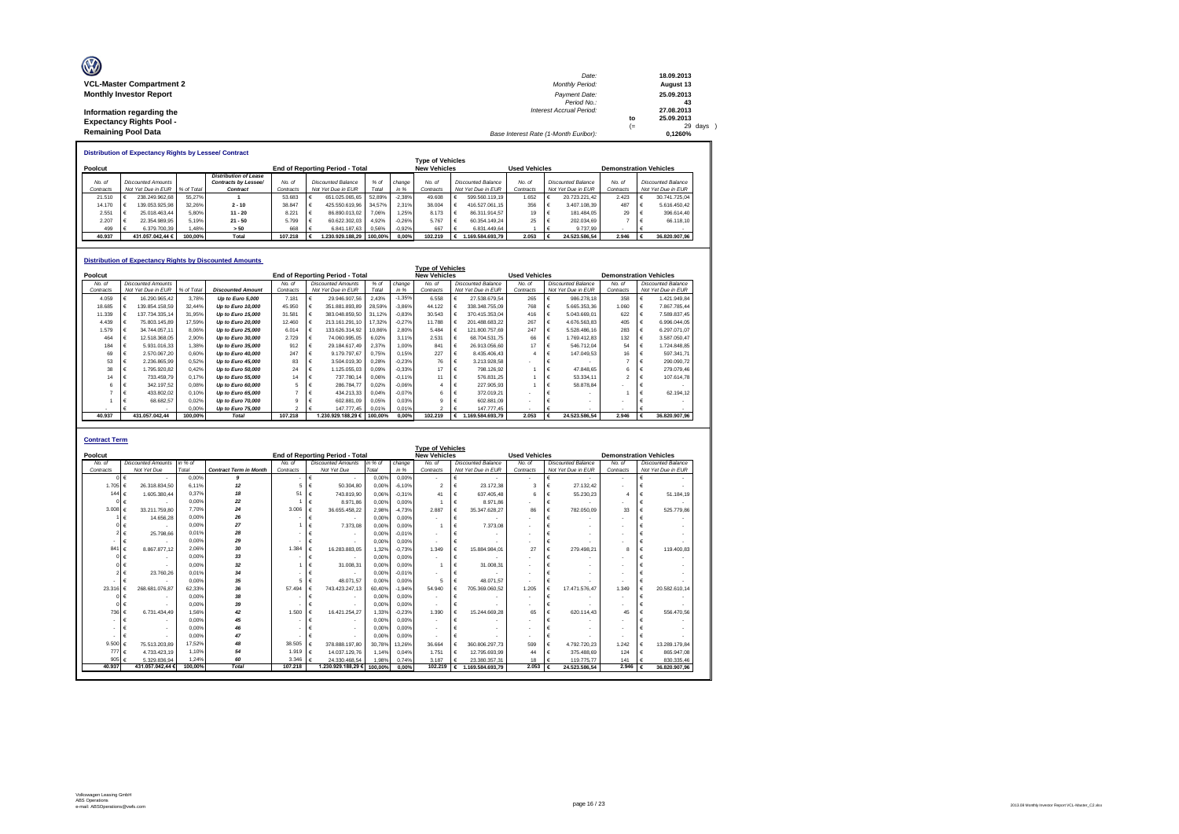| Ø                               | Date:                                 |    | 18.09.2013 |
|---------------------------------|---------------------------------------|----|------------|
| <b>VCL-Master Compartment 2</b> | <b>Monthly Period:</b>                |    | August 13  |
| <b>Monthly Investor Report</b>  | Payment Date:                         |    | 25.09.2013 |
|                                 | Period No.:                           |    | 43         |
| Information regarding the       | <b>Interest Accrual Period:</b>       |    | 27.08.2013 |
| <b>Expectancy Rights Pool -</b> |                                       | to | 25.09.2013 |
|                                 |                                       | =  | 29 days )  |
| <b>Remaining Pool Data</b>      | Base Interest Rate (1-Month Euribor): |    | 0.1260%    |

**Distribution of Expectancy Rights by Lessee/ Contract**

|                                     |  |                    |                      |                              |           | <b>Type of Vehicles</b>   |                                        |         |          |                     |  |                    |                      |                    |                    |                               |                    |                    |
|-------------------------------------|--|--------------------|----------------------|------------------------------|-----------|---------------------------|----------------------------------------|---------|----------|---------------------|--|--------------------|----------------------|--------------------|--------------------|-------------------------------|--------------------|--------------------|
| Poolcut                             |  |                    |                      |                              |           |                           | <b>End of Reporting Period - Total</b> |         |          | <b>New Vehicles</b> |  |                    | <b>Used Vehicles</b> |                    |                    | <b>Demonstration Vehicles</b> |                    |                    |
|                                     |  |                    |                      | <b>Distribution of Lease</b> |           |                           |                                        |         |          |                     |  |                    |                      |                    |                    |                               |                    |                    |
| No. of<br><b>Discounted Amounts</b> |  |                    | Contracts by Lessee/ | No. of                       |           | <b>Discounted Balance</b> | % of                                   | change  | No. of   | Discounted Balance  |  | No. of             |                      | Discounted Balance | No. of             |                               | Discounted Balance |                    |
| Contracts                           |  | Not Yet Due in EUR | % of Total           | Contract                     | Contracts |                           | Not Yet Due in EUR                     | Total   | in %     | Contracts           |  | Not Yet Due in EUR | Contracts            |                    | Not Yet Due in EUR | Contracts                     |                    | Not Yet Due in EUR |
| 21.510                              |  | 238.249.962.68     | 55.27%               |                              | 53.683    |                           | 651.025.065.65                         | 52.89%  | $-2.38%$ | 49.608              |  | 599.560.119.19     | 1.652                |                    | 20.723.221.42      | 2.423                         |                    | 30.741.725.04      |
| 14.170                              |  | 139.053.925.98     | 32.26%               | $2 - 10$                     | 38.847    |                           | 425.550.619.96                         | 34.57%  | 2.31%    | 38.004              |  | 416.527.061.15     | 356                  |                    | 3.407.108.39       | 487                           |                    | 5.616.450.42       |
| 2.551                               |  | 25.018.463.44      | 5.80%                | $11 - 20$                    | 8 2 2 1   |                           | 86.890.013.02                          | 7.06%   | .25%     | 8.173               |  | 86.311.914.57      | 19                   |                    | 181.484.05         | 29                            |                    | 396.614.40         |
| 2.207                               |  | 22.354.989.95      | 5.19%                | $21 - 50$                    | 5.799     |                           | 60.622.302.03                          | 4.92%   | $-0.26%$ | 5.767               |  | 60.354.149.24      | 25                   |                    | 202.034.69         |                               |                    | 66.118.10          |
| 499                                 |  | 6.379.700.39       | .48%                 | > 50                         | 668       |                           | 6.841.187.63                           | 0.56%   | $-0.92%$ | 667                 |  | 6.831.449.64       |                      |                    | 9,737.99           |                               |                    |                    |
| 40.937                              |  | 431.057.042.44 €   | 100.00%              | Total                        | 107.218   |                           | .230.929.188.29                        | 100.00% | 0.00%    | 102.219             |  | .169.584.693.79    | 2.053                |                    | 24.523.586.54      | 2.946                         |                    | 36,820,907.96      |

|                                                 |   |                    |                                                                                        | <b>Distribution of Expectancy Rights by Discounted Amounts</b> |           |   |                                        |        |          |                           |  |                    |           |   |                    |                               |  |                    |  |
|-------------------------------------------------|---|--------------------|----------------------------------------------------------------------------------------|----------------------------------------------------------------|-----------|---|----------------------------------------|--------|----------|---------------------------|--|--------------------|-----------|---|--------------------|-------------------------------|--|--------------------|--|
| <b>Type of Vehicles</b><br><b>Used Vehicles</b> |   |                    |                                                                                        |                                                                |           |   |                                        |        |          |                           |  |                    |           |   |                    |                               |  |                    |  |
| Poolcut                                         |   |                    |                                                                                        |                                                                |           |   | <b>End of Reporting Period - Total</b> |        |          | <b>New Vehicles</b>       |  |                    |           |   |                    | <b>Demonstration Vehicles</b> |  |                    |  |
| <b>Discounted Amounts</b><br>No. of             |   |                    | <b>Discounted Balance</b><br>No. of<br>$%$ of<br>No of<br>Discounted Amounts<br>change |                                                                | No of     |   | <b>Discounted Balance</b>              | No of  |          | <b>Discounted Balance</b> |  |                    |           |   |                    |                               |  |                    |  |
| Contracts                                       |   | Not Yet Due in EUR | % of Total                                                                             | <b>Discounted Amount</b>                                       | Contracts |   | Not Yet Due in EUR                     | Total  | in %     | Contracts                 |  | Not Yet Due in EUR | Contracts |   | Not Yet Due in EUR | Contracts                     |  | Not Yet Due in EUR |  |
| 4.059                                           | € | 16,290,965.42      | 3.78%                                                                                  | Up to Euro 5,000                                               | 7.181     | € | 29.946.907.56                          | 2.43%  | $-1.35%$ | 6,558                     |  | 27.538.679.54      | 265       |   | 986,278.18         | 358                           |  | 1.421.949.84       |  |
| 18.685                                          |   | 139.854.158.59     | 32.44%                                                                                 | Up to Euro 10,000                                              | 45.950    |   | 351.881.893.89                         | 28.59% | $-3.86%$ | 44.122                    |  | 338.348.755.09     | 768       |   | 5.665.353.36       | 1.060                         |  | 7.867.785.44       |  |
| 11.339                                          | € | 137.734.335.14     | 31.95%                                                                                 | Up to Euro 15,000                                              | 31.581    | € | 383.048.859.50                         | 31.12% | $-0.83%$ | 30.543                    |  | 370.415.353.04     | 416       |   | 5.043.669.01       | 622                           |  | 7.589.837.45       |  |
| 4.439                                           |   | 75.803.145.89      | 17.59%                                                                                 | Up to Euro 20,000                                              | 12,460    | € | 213.161.291.10                         | 17.32% | $-0.27%$ | 11.788                    |  | 201.488.683.22     | 267       |   | 4.676.563.83       | 405                           |  | 6.996.044.05       |  |
| 1.579                                           |   | 34.744.057.11      | 8.06%                                                                                  | Up to Euro 25,000                                              | 6.014     |   | 133.626.314.92                         | 10.86% | 2.80%    | 5.484                     |  | 121.800.757.69     | 247       |   | 5.528.486.16       | 283                           |  | 6.297.071.07       |  |
| 464                                             | € | 12.518.368.05      | 2.90%                                                                                  | Up to Euro 30,000                                              | 2.729     | € | 74.060.995.05                          | 6.02%  | 3.11%    | 2.531                     |  | 68.704.531.75      | 66        |   | 1.769.412.83       | 132                           |  | 3.587.050.47       |  |
| 184                                             | € | 5.931.016.33       | 1.38%                                                                                  | Up to Euro 35,000                                              | 912       |   | 29.184.617.49                          | 2.37%  | 1.00%    | 841                       |  | 26.913.056.60      | 17        |   | 546,712.04         | 54                            |  | 1.724.848.85       |  |
| 69                                              | € | 2.570.067.20       | 0.60%                                                                                  | Up to Euro 40,000                                              | 247       | € | 9.179.797.67                           | 0.75%  | 0.15%    | 227                       |  | 8.435.406.43       |           | € | 147.049.53         | 16                            |  | 597.341.71         |  |
| 53                                              | € | 2.236.865.99       | 0.52%                                                                                  | Up to Euro 45,000                                              | 83        |   | 3.504.019.30                           | 0.28%  | $-0.23%$ | 76                        |  | 3.213.928.58       |           |   |                    |                               |  | 290.090.72         |  |
| 38                                              | € | 1.795.920.82       | 0.42%                                                                                  | Up to Euro 50,000                                              | 24        | € | 1.125.055.03                           | 0.09%  | $-0.33%$ | 17                        |  | 798.126.92         |           |   | 47.848.65          | 6                             |  | 279.079.46         |  |
| 14                                              | € | 733.459.79         | 0.17%                                                                                  | Up to Euro 55,000                                              | 14        | € | 737,780.14                             | 0,06%  | $-0.11%$ | 11                        |  | 576.831.25         |           | € | 53.334.11          | $\mathfrak{p}$                |  | 107.614.78         |  |
| 6                                               | € | 342.197.52         | 0.08%                                                                                  | Up to Euro 60,000                                              |           |   | 286,784.77                             | 0.02%  | $-0.06%$ |                           |  | 227,905.93         |           |   | 58.878.84          |                               |  |                    |  |
|                                                 | € | 433.802.02         | 0.10%                                                                                  | Up to Euro 65,000                                              |           | € | 434.213.33                             | 0.04%  | $-0.07%$ | 6                         |  | 372.019.21         |           |   |                    |                               |  | 62.194.12          |  |
|                                                 |   | 68.682.57          | 0.02%                                                                                  | Up to Euro 70,000                                              | 9         |   | 602.881.09                             | 0.05%  | 0.03%    | g                         |  | 602.881.09         |           |   |                    |                               |  |                    |  |
|                                                 |   |                    | 0.00%                                                                                  | Up to Euro 75,000                                              | $\sim$    |   | 147.777.45                             | 0.01%  | 0.01%    | $\overline{ }$            |  | 147,777,45         |           |   |                    |                               |  |                    |  |
| 40.937                                          |   | 431.057.042.44     | 100.00%                                                                                | Total                                                          | 107.218   |   | 1.230.929.188,29 € 100,00%             |        | 0.00%    | 102.219                   |  | 1.169.584.693.79   | 2.053     |   | 24.523.586.54      | 2.946                         |  | 36.820.907.96      |  |

| <b>Contract Term</b> |                           |         |                               |           |                                        |         |          |                                                |            |                    |                      |   |                           |                               |   |                           |
|----------------------|---------------------------|---------|-------------------------------|-----------|----------------------------------------|---------|----------|------------------------------------------------|------------|--------------------|----------------------|---|---------------------------|-------------------------------|---|---------------------------|
| Poolcut              |                           |         |                               |           | <b>End of Reporting Period - Total</b> |         |          | <b>Type of Vehicles</b><br><b>New Vehicles</b> |            |                    | <b>Used Vehicles</b> |   |                           | <b>Demonstration Vehicles</b> |   |                           |
| No. of               | <b>Discounted Amounts</b> | in % of |                               | No. of    | <b>Discounted Amounts</b>              | in % of | change   | No. of                                         |            | Discounted Balance | No. of               |   | <b>Discounted Balance</b> | No. of                        |   | <b>Discounted Balance</b> |
| Contracts            | Not Yet Due               | Total   | <b>Contract Term in Month</b> | Contracts | Not Yet Due                            | Total   | in %     | Contracts                                      |            | Not Yet Due in EUR | Contracts            |   | Not Yet Due in EUR        | Contracts                     |   | Not Yet Due in EUR        |
|                      | €                         | 0.00%   | 9                             |           | €<br>$\blacksquare$                    | 0.00%   | 0.00%    | $\sim$                                         | €          |                    | $\sim$               |   |                           | $\overline{\phantom{a}}$      | € |                           |
| 1.705                | 26.318.834.50<br>∣€       | 6.11%   | 12                            | 5         | €<br>50.304.80                         | 0.00%   | $-6.10%$ | $\overline{2}$                                 | €          | 23.172.38          | 3                    |   | 27.132.42                 |                               | € |                           |
| 144 $f$              | 1.605.380.44              | 0.37%   | 18                            | 51        | €<br>743.819.90                        | 0.06%   | $-0.31%$ | 41                                             | €          | 637.405.48         | 6                    |   | 55,230.23                 |                               | € | 51.184.19                 |
|                      | €                         | 0.00%   | 22                            |           | €<br>8.971.86                          | 0.00%   | 0.00%    |                                                | $\epsilon$ | 8 971 86           |                      |   |                           |                               | € |                           |
| 3.008 $\epsilon$     | 33.211.759.80             | 7.70%   | 24                            | 3.006     | €<br>36.655.458.22                     | 2.98%   | $-4.73%$ | 2.887                                          | $\epsilon$ | 35.347.628.27      | 86                   |   | 782.050.09                | 33                            | € | 525,779.86                |
|                      | 14.656.28<br>€            | 0.00%   | 26                            |           | €<br>$\overline{\phantom{a}}$          | 0.00%   | 0.00%    |                                                | €          |                    |                      |   |                           |                               | € |                           |
|                      | €                         | 0.00%   | 27                            |           | €<br>7.373.08                          | 0.00%   | 0.00%    |                                                | €          | 7.373.08           |                      |   |                           |                               |   |                           |
|                      | 25.798.66                 | 0.01%   | 28                            |           | €<br>$\overline{\phantom{a}}$          | 0.00%   | $-0.01%$ | $\sim$                                         | $\epsilon$ |                    |                      |   |                           |                               |   |                           |
| ٠                    | €                         | 0.00%   | 29                            |           | €<br>$\overline{\phantom{a}}$          | 0.00%   | 0,00%    | $\sim$                                         | €          |                    |                      |   |                           |                               | € |                           |
| 841                  | 8.867.877.12<br>€         | 2.06%   | 30                            | 1.384     | €<br>16.283.883.05                     | 1.32%   | $-0.73%$ | 1.349                                          | €          | 15.884.984.01      | 27                   |   | 279.498.21                | 8                             | € | 119,400.83                |
|                      | 01 €                      | 0.00%   | 33                            |           | €<br>$\overline{\phantom{a}}$          | 0.00%   | 0.00%    |                                                | €          |                    |                      |   |                           |                               |   |                           |
|                      |                           | 0.00%   | 32                            |           | €<br>31.008.31                         | 0.00%   | 0.00%    |                                                | €          | 31.008.31          |                      |   |                           |                               |   |                           |
|                      | 23,760.26                 | 0.01%   | 34                            |           | €<br>$\overline{\phantom{a}}$          | 0.00%   | $-0.01%$ |                                                | €          |                    |                      |   |                           |                               |   |                           |
|                      |                           | 0.00%   | 35                            | 5.        | €<br>48.071.57                         | 0.00%   | 0.00%    | 5                                              | €          | 48.071.57          |                      |   |                           |                               | € |                           |
| 23.316               | 268.681.076.87            | 62.33%  | 36                            | 57.494    | €<br>743.423.247.13                    | 60.40%  | $-1.94%$ | 54.940                                         | €          | 705.369.060.52     | 1.205                |   | 17.471.576.47             | 1.349                         | € | 20.582.610.14             |
|                      | €                         | 0.00%   | 38                            |           | €                                      | 0.00%   | 0.00%    | $\sim$                                         | €          |                    |                      |   |                           |                               |   |                           |
|                      | €                         | 0.00%   | 39                            |           | €                                      | 0.00%   | 0.00%    |                                                | €          |                    |                      |   |                           |                               | € |                           |
| 736 €                | 6.731.434,49              | 1.56%   | 42                            | 1.500     | €<br>16.421.254.27                     | 1.33%   | $-0.23%$ | 1.390                                          | $\epsilon$ | 15.244.669.28      | 65                   | € | 620.114,43                | 45                            | € | 556,470.56                |
|                      |                           | 0.00%   | 45                            |           | €<br>$\blacksquare$                    | 0.00%   | 0.00%    | $\overline{\phantom{a}}$                       | €          |                    |                      |   |                           |                               |   |                           |
|                      |                           | 0.00%   | 46                            |           | €<br>$\overline{\phantom{a}}$          | 0.00%   | 0.00%    |                                                | €          |                    |                      |   |                           |                               |   |                           |
|                      |                           | 0.00%   | 47                            |           | €                                      | 0.00%   | 0.00%    |                                                | $\epsilon$ |                    |                      |   |                           |                               | € |                           |
| 9,500                | 75.513.203.89<br>€        | 17.52%  | 48                            | 38,505    | €<br>378.888.197.80                    | 30.78%  | 13.26%   | 36.664                                         | €          | 360.806.297.73     | 599                  |   | 4.792.720.23              | 1.242                         | € | 13.289.179.84             |
| 777 €                | 4.733.423.19              | 1.10%   | 54                            | 1.919     | €<br>14.037.129.76                     | 1.14%   | 0.04%    | 1.751                                          | €          | 12.795.693.99      | 44                   |   | 375.488.69                | 124                           | € | 865.947.08                |
| 905 $\epsilon$       | 5.329.836.94              | 1.24%   | 60                            | 3.346     | €<br>24.330.468.54                     | 1.98%   | 0.74%    | 3 187                                          | €          | 23.380.357.31      | 18                   |   | 119,775,77                | 141                           |   | 830.335.46                |
| 40,937               | 431.057.042.44 €          | 100.00% | Total                         | 107,218   | 1.230.929.188.29                       | 100,009 | 0.00%    | 102.219                                        | €          | 1.169.584.693.79   | 2.053                |   | 24.523.586.54             | 2.946                         |   | 36.820.907.96             |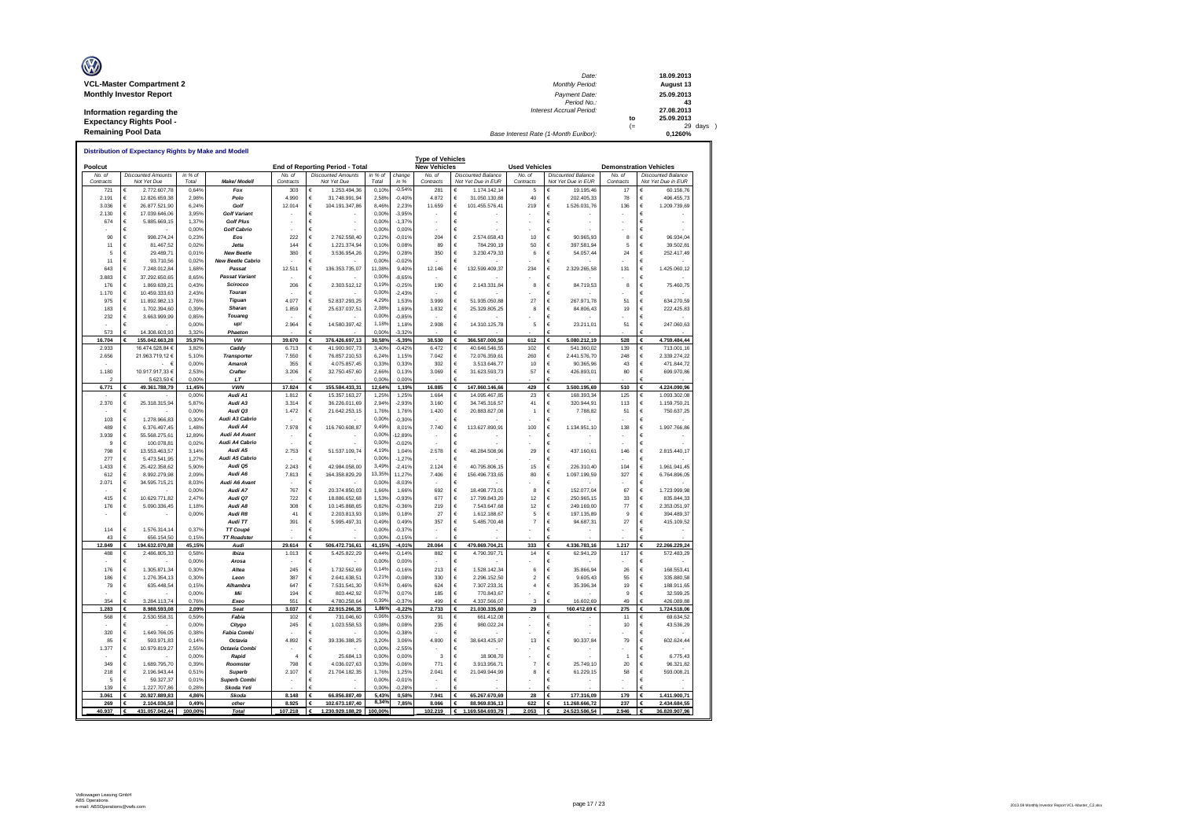| Ø                               | Date:                                 |      | 18.09.2013    |
|---------------------------------|---------------------------------------|------|---------------|
| <b>VCL-Master Compartment 2</b> | Monthly Period:                       |      | August 13     |
| <b>Monthly Investor Report</b>  | Payment Date:                         |      | 25.09.2013    |
|                                 | Period No.:                           |      | 43            |
| Information regarding the       | <b>Interest Accrual Period:</b>       |      | 27.08.2013    |
| <b>Expectancy Rights Pool -</b> |                                       | to   | 25.09.2013    |
|                                 |                                       | $(=$ | $29$ days $)$ |
| <b>Remaining Pool Data</b>      | Base Interest Rate (1-Month Euribor): |      | 0.1260%       |

| Poolcut         |                                         |                |                                         |                | End of Reporting Period - Total         |                 |                      | <b>Type of Vehicles</b><br><b>New Vehicles</b> |                                           | <b>Used Vehicles</b> |                                     |                | <b>Demonstration Vehicles</b>        |
|-----------------|-----------------------------------------|----------------|-----------------------------------------|----------------|-----------------------------------------|-----------------|----------------------|------------------------------------------------|-------------------------------------------|----------------------|-------------------------------------|----------------|--------------------------------------|
| No. of          | <b>Discounted Amounts</b>               | in % of        |                                         | No. of         | <b>Discounted Amounts</b>               | in % of         | change               | No. of                                         | <b>Discounted Balance</b>                 | No. of               | <b>Discounted Balance</b>           | No. of         | Discounted Balance                   |
| Contracts       | Not Yet Due                             | Total          | Make/ Modeli                            | Contracts      | Not Yet Due                             | Total           | in %                 | Contracts                                      | Not Yet Due in EUR                        | Contracts            | Not Yet Due in EUR                  | Contracts      | Not Yet Due in EUR                   |
| 721             | 2.772.607.78                            | 0,64%          | Fox                                     | 303            | 1.253.494.36                            | 0.10%           | $-0,549$             | 281                                            | €<br>1.174.142.14                         | 5                    | 19.195.46                           | 17             | 60.156.76                            |
| 2.191           | €<br>12.826.659.38                      | 2.98%          | Polo                                    | 4.990          | €<br>31.748.991.94                      | 2,58%           | $-0,40%$             | 4.872                                          | €<br>31.050.130.88                        | 40                   | €<br>202.405.33                     | 78             | 496.455.73                           |
| 3.036           | €<br>26.877.521,90                      | 6,24%          | Golf                                    | 12.014         | €<br>104.191.347,86<br>€                | 8.46%           | 2,239                | 11.659                                         | €<br>101.455.576,41                       | 219                  | €<br>1.526.031,76                   | 136            | 1.209.739,69<br>€<br>€               |
| 2.130<br>674    | €<br>17.039.646.06<br>€<br>5 885 669 15 | 3,95%<br>1.37% | <b>Golf Variant</b><br><b>Golf Plus</b> |                | €                                       | 0.00%<br>0.00%  | $-3,959$<br>$-1.379$ |                                                | €<br>$\epsilon$                           |                      | €<br>€                              |                | €                                    |
|                 | €<br>×                                  | 0.00%          | <b>Golf Cabrio</b>                      |                | €                                       | 0.00%           | 0.00%                |                                                | €                                         |                      | €                                   |                | €                                    |
| 90              | €<br>998.274.24                         | 0.23%          | Eos                                     | 222            | 2 762 558 40<br>€                       | 0.22            | $-0.019$             | 204                                            | €<br>2 574 658 43                         | 10                   | $\epsilon$<br>90.965.93             | 8              | €<br>96 934 04                       |
| 11              | €<br>81.467,52                          | 0.02%          | <b>Jetta</b>                            | 144            | 1.221.374.94<br>€                       | 0,10%           | 0,08%                | 89                                             | €<br>784.290.19                           | 50                   | €<br>397.581.94                     | 5              | €<br>39.502.81                       |
| 5               | €<br>29.489,71                          | 0,01%          | <b>New Beetle</b>                       | 380            | 3.536.954,26<br>€                       | 0,29%           | 0,28%                | 350                                            | €<br>3.230.479,33                         | 6                    | €<br>54.057,44                      | 24             | €<br>252.417,49                      |
| 11              | €<br>93.710.56                          | 0.02%          | <b>New Beetle Cabric</b>                |                |                                         | 0.00%           | $-0,02%$             |                                                | €                                         |                      | €                                   |                | €                                    |
| 643             | €<br>7.248.012.84                       | 1,68%          | Passat                                  | 12.511         | €<br>136.353.735,07                     | 11.08%          | 9.40%                | 12.146                                         | €<br>132.599.409,37                       | 234                  | €<br>2.329.265,58                   | 131            | €<br>1.425.060,12                    |
| 3.883           | $\epsilon$<br>37 292 650 65             | 8.65%          | <b>Passat Variant</b>                   |                | €                                       | 0,00%           | $-8.65%$             |                                                | €                                         |                      | $\epsilon$                          |                | €                                    |
| 176             | $\epsilon$<br>1.869.639.21              | 0.43%          | Scirocco                                | 206            | $\epsilon$<br>2.303.512,12              | 0.19%           | $-0.259$             | 190                                            | €<br>2.143.331,84                         | 8                    | €<br>84.719,53                      | 8              | €<br>75.460,75                       |
| 1.170           | $\epsilon$<br>10.459.333.63             | 2.43%          | Touran                                  |                | €                                       | 0.00%           | $-2.439$             |                                                | €                                         |                      | $\epsilon$                          |                | €                                    |
| 975             | $\epsilon$<br>11.892.982,13             | 2,76%          | <b>Tiguan</b>                           | 4.077          | €<br>52.837.293.25                      | 4 29%           | 1,53%                | 3.999                                          | €<br>51.935.050.88                        | 27                   | €<br>267.971,78                     | 51             | €<br>634.270,59                      |
| 183             | $\epsilon$<br>1.702.394,60              | 0,39%          | <b>Sharan</b>                           | 1.859          | €<br>25.637.037,51                      | 2.08%           | 1,69%                | 1.832                                          | €<br>25.329.805,25                        | 8                    | €<br>84.806,43                      | 19             | €<br>222.425,83                      |
| 232             | €<br>3.663.999.99                       | 0.85%          | Touareg                                 |                |                                         | 0,00%           | $-0.85%$             |                                                | €                                         |                      | €                                   |                | €                                    |
|                 | €                                       | 0,00%          | up!                                     | 2.964          | €<br>14.580.397,42                      | 1,189           | 1.18%                | 2.908                                          | €<br>14.310.125,78                        | 5                    | €<br>23.211,01                      | 51             | €<br>247.060,63                      |
| 573             | 14.308.603,93                           | 3,329          | Phaeton                                 |                |                                         | 0,00%           | $-3.329$             |                                                |                                           |                      |                                     |                |                                      |
| 16.704<br>2.933 | 155.042.663,28<br>€<br>16 474 528 84 6  | 35,97%<br>3829 | VW<br>Caddy                             | 39.670<br>6713 | €<br>376.426.697.13<br>41,900,907.73    | 30.589<br>3,40% | $-5,39%$<br>$-0.429$ | 38.530<br>6.472                                | 366.587.000,50<br>€<br>€<br>40 646 546 55 | 612<br>102           | 5.080.212,19<br>541 360 02          | 528<br>139     | 4.759.484,44<br>€<br>713 001 16      |
|                 |                                         |                |                                         |                | €                                       | 6.24%           |                      |                                                |                                           | 260                  | €                                   |                | €                                    |
| 2.656           | 21.963.719.12 €<br>$\epsilon$           | 5.10%<br>0.00% | <b>Transporter</b><br>Amarok            | 7.550<br>355   | €<br>76.857.210.53<br>€<br>4.075.857.45 | 0.33%           | 1.15%<br>0.339       | 7.042<br>302                                   | €<br>72.076.359.61<br>€<br>3.513.646.77   | 10                   | €<br>2.441.576.70<br>€<br>90.365.96 | 248<br>43      | €<br>2.339.274,22<br>€<br>471.844,72 |
| 1.180           | 10.917.917,33 €                         | 2.53%          | Crafter                                 | 3.206          | €<br>32.750.457,60                      | 2.66%           | 0.13%                | 3.069                                          | €<br>31.623.593,73                        | 57                   | €<br>426.893,01                     | 80             | €<br>699.970,86                      |
|                 | 5.623,50 €                              | 0,00%          | LT                                      |                |                                         | 0,00%           | 0,00%                |                                                |                                           |                      |                                     |                |                                      |
| 6.771           | 49.361.788,79                           | 11,45%         | <b>VWN</b>                              | 17.824         | 155.584.433,31<br>€                     | 12,64%          | 1,19%                | 16.885                                         | 147.860.146,66                            | 429                  | 3.500.195,69                        | 510            | 4.224.090.96                         |
|                 | €                                       | 0.00%          | Audi A1                                 | 1.812          | €<br>15.357.163.27                      | 1.25%           | 1.25%                | 1.664                                          | €<br>14.095.467.85                        | 23                   | €<br>168,393,34                     | 125            | €<br>1.093.302.08                    |
| 2.370           | €<br>25.318.315,94                      | 5,87%          | Audi A3                                 | 3.314          | 36.226.011,69<br>$\epsilon$             | 2.94%           | $-2,93%$             | 3.160                                          | €<br>34.745.316,57                        | 41                   | €<br>320.944,91                     | 113            | 1.159.750,21<br>€                    |
|                 | €                                       | 0.00%          | Audi Q3                                 | 1.472          | €<br>21.642.253.15                      | 1.76%           | 1.76%                | 1.420                                          | €<br>20.883.827.08                        | 1                    | $\epsilon$<br>7.788.82              | 51             | €<br>750.637.25                      |
| 103             | $\epsilon$<br>1 278 966 83              | 0.30%          | Audi A3 Cabrio                          |                | €                                       | 0.00%           | $-0.30%$             |                                                | €                                         |                      | €                                   |                | €                                    |
| 489             | €<br>6.376.497,45                       | 1,48%          | Audi A4                                 | 7.978          | €<br>116.760.608,87                     | 9.49%           | 8,019                | 7.740                                          | €<br>113.627.890,91                       | 100                  | €<br>1.134.951,10                   | 138            | €<br>1.997.766,86                    |
| 3.939           | €<br>55.568.275,61                      | 12,89%         | Audi A4 Avant                           |                | €                                       | 0.00%           | 12,89%               |                                                | €                                         |                      | €                                   |                | €                                    |
| 9               | €<br>100.078.8                          | 0,02%          | Audi A4 Cabrio                          |                |                                         | 0.00%           | $-0.029$             |                                                | €                                         |                      | €                                   |                |                                      |
| 798             | €<br>13 553 463 57                      | 3 1 4 %        | Audi A5                                 | 2753           | 51.537.109,74<br>€                      | 4.19%           | 1,04%                | 2.578                                          | €<br>48.284.508,96                        | 29                   | €<br>437.160,61                     | 146            | €<br>2.815.440,17                    |
| 277             | €<br>5.473.541.95                       | 1,27%          | Audi A5 Cabrio                          |                | €                                       | 0.00%           | $-1,279$             |                                                | €                                         |                      | €                                   |                | €                                    |
| 1.433           | €<br>25.422.358.62                      | 5.90%          | Audi Q5<br>Audi A6                      | 2.243          | €<br>42.984.058.00                      | 3,49%           | $-2.41%$             | 2.124                                          | €<br>40.795.806.15                        | 15                   | €<br>226.310.40                     | 104            | €<br>1.961.941.45                    |
| 612             | €<br>8 992 279 98                       | 2.09%          | Audi A6 Avant                           | 7813           | 164 358 829 29<br>€                     | 13,35%<br>0.00% | 11.27%               | 7406                                           | $\epsilon$<br>156 496 733 65              | 80                   | 1.097.199,59<br>€                   | 327            | 6.764.896,05<br>€                    |
| 2.071           | €<br>34.595.715,21<br>€                 | 8.03%<br>0.00% | Audi A7                                 | 767            | €<br>$\epsilon$<br>20.374.850.03        | 1.66%           | $-8.039$<br>1.669    | 692                                            | €<br>€<br>18,498,773.01                   | 8                    | €<br>€<br>152.077.04                | 67             | €<br>€<br>1.723.999.98               |
| 415             | €<br>10.629.771,82                      | 2,47%          | Audi 07                                 | 722            | 18.886.652,68<br>€                      | 1.53%           | $-0,93%$             | 677                                            | €<br>17.799.843,20                        | 12                   | €<br>250.965,15                     | 33             | €<br>835.844,33                      |
| 176             | €<br>5.090.336,45                       | 1,18%          | Audi A8                                 | 308            | 10.145.868,65<br>€                      | 0.82%           | $-0,36%$             | 219                                            | €<br>7.543.647,68                         | 12                   | $\epsilon$<br>249.169,00            | 77             | 2.353.051,97<br>€                    |
|                 | €                                       | 0.00%          | Audi R8                                 | 41             | €<br>2.203.813.93                       | 0,18%           | 0.18%                | 27                                             | €<br>1.612.188.67                         | 5                    | €<br>197.135.89                     | 9              | €<br>394, 489.37                     |
|                 |                                         |                | Audi TT                                 | 391            | €<br>5.995.497,31                       | 0,49%           | 0,49%                | 357                                            | €<br>5.485.700,48                         | $\overline{7}$       | €<br>94.687,31                      | 27             | €<br>415.109,52                      |
| 114             | €<br>1.576.314,14                       | 0,37%          | TT Coupé                                |                | $\epsilon$                              | 0,00%           | $-0,379$             |                                                | €                                         |                      | $\epsilon$                          |                | €                                    |
| 43              | 656,154.50<br>€                         | 0,15%          | <b>TT Roadster</b>                      |                | €                                       | 0,00%           | $-0.15%$             |                                                |                                           |                      | €                                   |                |                                      |
| 12,849          | 194.632.070.88                          | 45.15%         | Audi                                    | 29,614         | €<br>506.472.716.61                     | 41.159          | $-4.019$             | 28.064                                         | 479.869.704.21                            | 333                  | 4.336.783.16                        | 1.217          | 22.266.229.24                        |
| 488             | €<br>2.486.805,33                       | 0.58%          | Ibiza                                   | 1.013          | €<br>5.425.822.29                       | 0.44%           | $-0,149$             | 882                                            | €<br>4.790.397,71                         | 14                   | €<br>62.941,29                      | 117            | €<br>572.483,29                      |
|                 | €                                       | 0.00%          | Arosa                                   |                | €                                       | 0.00%           | 0.00%                |                                                | €                                         |                      | €                                   |                | €                                    |
| 176             | $\epsilon$<br>1.305.871,34              | 0,30%          | Altea                                   | 245            | €<br>1.732.562,69                       | 0,149           | $-0,169$             | 213                                            | €<br>1.528.142.34                         | 6                    | €<br>35,866.94                      | 26             | €<br>168,553.41                      |
| 186             | €<br>1.276.354,13                       | 0,30%          | Leon                                    | 387            | 2.641.638,51<br>€                       | 0.21%           | $-0,089$             | 330                                            | €<br>2.296.152,50                         | $\overline{2}$       | €<br>9.605,43                       | 55             | €<br>335.880,58                      |
| 79              | €<br>635.448,54                         | 0.15%          | Alhambra                                | 647            | €<br>7.531.541,30                       | 0.61%           | 0,469                | 624                                            | €<br>7.307.233,31                         | $\overline{a}$       | €<br>35.396,34                      | 19             | €<br>188.911.65                      |
|                 | €                                       | 0.00%          | Mii                                     | 194            | €<br>803 442 92                         | 0.079           | 0.07%                | 185                                            | €<br>770 843 67                           |                      | €                                   | $\overline{9}$ | €<br>32 599 25                       |
| 354             | 3 284 113 74                            | 0.76%          | Exec                                    | 551            | 4 780 258 64                            | 0,39%           | $-0.379$             | 499                                            | 4 337 566 07                              | ٠                    | 16 602 69                           | 49             | 426.089.88                           |
| 1.283           | 8.988.593,08<br>€                       | 2.09%          | Sear                                    | 3.037          | 22.915.266.35<br>€                      | 1,86%           | $-0.22%$             | 2.733                                          | 21.030.335.60<br>€                        | 29                   | 160.412.69€                         | 275            | 1.724.518.06<br>€                    |
| 568             | €<br>2.530.558.31                       | 0.59%          | Fabia                                   | 102            | 731.046,60<br>€                         | 0.06%<br>0.08%  | $-0.53%$             | 91                                             | €<br>661.412,08                           | ×,                   | €                                   | 11             | 69.634,52<br>€                       |
|                 | €<br>€                                  | 0,00%          | Citygo                                  | 245            | 1.023.558,53<br>€                       | 0.00%           | 0,08%                | 235                                            | €<br>980.022,24                           |                      | €                                   | 10             | €<br>43.536,29                       |
| 320<br>85       | 1.649.766,05<br>€<br>593.971.83         | 0,38%<br>0.14% | <b>Fabia Combi</b><br>Octavia           | 4.892          | €<br>39.336.388.25                      | 3,20%           | $-0,38%$<br>3.06%    | 4.800                                          | €<br>€<br>38.643.425.97                   | 13                   | €<br>€<br>90.337.84                 | 79             | €                                    |
| 1.377           | €<br>10.979.819,27                      | 2.55%          | Octavia Combi                           |                | €                                       | 0,00%           | $-2.559$             |                                                | $\epsilon$                                |                      | €                                   |                | 602.624,44<br>€                      |
|                 | €                                       | 0,00%          | Rapid                                   | $\overline{a}$ | 25.684,13<br>$\epsilon$                 | 0.00%           | 0,00%                | $\overline{3}$                                 | €<br>18.908,70                            |                      | €                                   | -1             | 6.775,43<br>€                        |
| 349             | €<br>1.689.795.70                       | 0.39%          | Roomster                                | 798            | €<br>4.036.027.63                       | 0.33%           | $-0.06%$             | 771                                            | €<br>3.913.956.71                         | $\overline{7}$       | €<br>25,749.10                      | 20             | €<br>96.321.82                       |
| 218             | $\epsilon$<br>2 196 943 44              | 0.51%          | <b>Superb</b>                           | 2.107          | $\epsilon$<br>21.704.182.35             | 1.76%           | 1.25%                | 2.041                                          | 21.049.944,99<br>€                        | 8                    | €<br>61.229,15                      | 58             | €<br>593.008,21                      |
| 5               | $\epsilon$<br>59.327.37                 | 0.01%          | <b>Superb Combi</b>                     |                | €                                       | 0.00%           | $-0,019$             |                                                | €                                         |                      | $\epsilon$                          |                | €                                    |
| 139             | 1.227.707.86                            | 0.28%          | Skoda Yeti                              |                |                                         | 0.00%           | $-0.289$             |                                                |                                           |                      |                                     |                |                                      |
|                 |                                         |                |                                         |                |                                         |                 |                      | 7.941                                          |                                           | 28                   | 177,316.09                          |                |                                      |
|                 |                                         |                | Skoda                                   | 8.148          | €                                       |                 |                      |                                                |                                           |                      |                                     |                | 1.411.900,71                         |
| 3.061<br>269    | 20.927.889,83<br>€<br>2.104.036.58      | 4,86%<br>0.49% | other                                   | 8.925          | 66.856.887,49<br>€<br>102.673.187.40    | 5,43%<br>8,34%  | 0,58%<br>7,85%       | 8.066                                          | 65.267.670,69<br>€<br>88.969.836.13       | 622                  | €<br>11.268.666.72                  | 179<br>237     | €<br>2.434.684.55                    |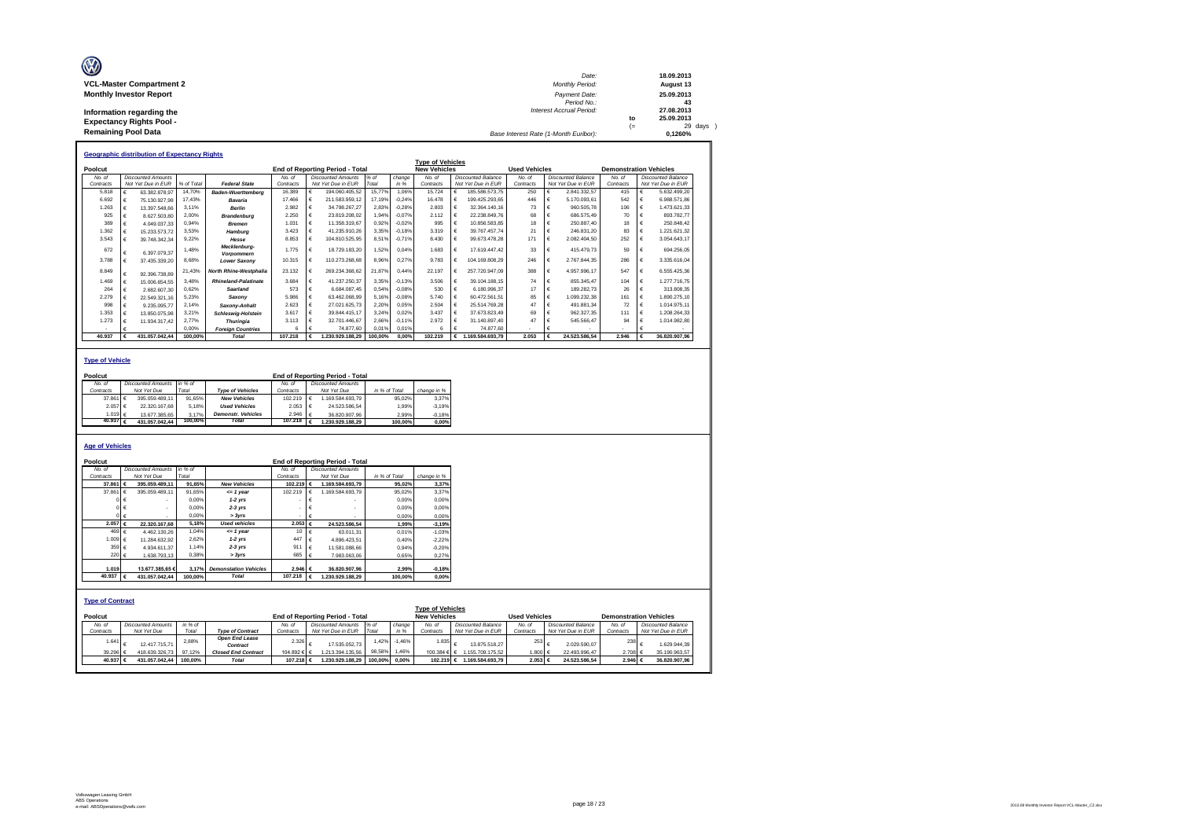| Ø                               | Date:                                 |     | 18.09.2013 |
|---------------------------------|---------------------------------------|-----|------------|
| <b>VCL-Master Compartment 2</b> | <b>Monthly Period:</b>                |     | August 13  |
| <b>Monthly Investor Report</b>  | Payment Date:                         |     | 25.09.2013 |
|                                 | Period No.:                           |     | 43         |
| Information regarding the       | Interest Accrual Period:              |     | 27.08.2013 |
| <b>Expectancy Rights Pool -</b> |                                       | to  | 25.09.2013 |
|                                 |                                       | $=$ | 29 days    |
| <b>Remaining Pool Data</b>      | Base Interest Rate (1-Month Euribor): |     | 0.1260%    |

|           | <b>Geographic distribution of Expectancy Rights</b> |                           |            |                                   |           |   |                                        |         |          |                         |            |                    |                      |  |                           |                               |   |                           |
|-----------|-----------------------------------------------------|---------------------------|------------|-----------------------------------|-----------|---|----------------------------------------|---------|----------|-------------------------|------------|--------------------|----------------------|--|---------------------------|-------------------------------|---|---------------------------|
|           |                                                     |                           |            |                                   |           |   |                                        |         |          | <b>Type of Vehicles</b> |            |                    |                      |  |                           |                               |   |                           |
| Poolcut   |                                                     |                           |            |                                   |           |   | <b>End of Reporting Period - Total</b> |         |          | <b>New Vehicles</b>     |            |                    | <b>Used Vehicles</b> |  |                           | <b>Demonstration Vehicles</b> |   |                           |
| No. of    |                                                     | <b>Discounted Amounts</b> |            |                                   | No. of    |   | <b>Discounted Amounts</b>              | % of    | change   | No of                   |            | Discounted Balance | No of                |  | <b>Discounted Balance</b> | No of                         |   | <b>Discounted Balance</b> |
| Contracts |                                                     | Not Yet Due in EUR        | % of Total | <b>Federal State</b>              | Contracts |   | Not Yet Due in EUR                     | Total   | in %     | Contracts               |            | Not Yet Due in EUR | Contracts            |  | Not Yet Due in EUR        | Contracts                     |   | Not Yet Due in EUR        |
| 5.818     |                                                     | 63.382.878.97             | 14.70%     | <b>Baden-Wuerttemberg</b>         | 16.389    | € | 194.060.405.52                         | 15,77%  | 1.06%    | 15.724                  | €          | 185.586.573.75     | 250                  |  | 2.841.332.57              | 415                           | € | 5.632.499.20              |
| 6.692     |                                                     | 75.130.927.98             | 17.43%     | Bavaria                           | 17,466    | € | 211.583.959.12                         | 17.19%  | $-0.24%$ | 16.478                  | €          | 199.425.293.65     | 446                  |  | 5.170.093.61              | 542                           | € | 6.988.571.86              |
| 1.263     |                                                     | 13.397.548.66             | 3.11%      | <b>Berlin</b>                     | 2.982     | € | 34.798.267.27                          | 2.83%   | $-0.28%$ | 2.803                   | £          | 32.364.140.16      | 73                   |  | 960.505.78                | 106                           | € | 1.473.621.33              |
| 925       |                                                     | 8.627.503.80              | 2.00%      | <b>Brandenburg</b>                | 2.250     | € | 23.819.208.02                          | 1.94%   | $-0.07%$ | 2.112                   |            | 22.238.849.76      | 68                   |  | 686,575.49                | 70                            |   | 893.782.77                |
| 389       | €                                                   | 4.049.037.33              | 0.94%      | <b>Bremen</b>                     | 1.031     | € | 11.358.319.67                          | 0.92%   | $-0.02%$ | 995                     |            | 10.856.583.85      | 18                   |  | 250,887.40                | 18                            |   | 250.848.42                |
| 1.362     |                                                     | 15.233.573.72             | 3.53%      | Hamburg                           | 3.423     | € | 41.235.910.26                          | 3.35%   | $-0.18%$ | 3.319                   |            | 39.767.457.74      | 21                   |  | 246.831.20                | 83                            | € | .221.621.32               |
| 3.543     |                                                     | 39.748.342.34             | 9.22%      | Hesse                             | 8.853     | € | 104.810.525.95                         | 8.51%   | $-0.71%$ | 8.430                   | €          | 99.673.478.28      | 171                  |  | 2.082.404.50              | 252                           | € | 3.054.643.17              |
| 672       |                                                     | 6.397.079.37              | 1.48%      | Mecklenburg-<br><b>Vorpommern</b> | 1 7 7 5   | € | 18.729.183.20                          | 1.52%   | 0.04%    | 1.683                   | €          | 17.619.447.42      | 33                   |  | 415.479.73                | 59                            | € | 694.256.05                |
| 3.788     |                                                     | 37.435.339.20             | 8.68%      | <b>Lower Saxony</b>               | 10.315    | € | 110.273.268.68                         | 8.96%   | 0.27%    | 9.783                   | €          | 104.169.808.29     | 246                  |  | 2.767.844.35              | 286                           | € | 3.335.616.04              |
| 8.849     | €                                                   | 92.396.738.89             | 21.43%     | North Rhine-Westphalia            | 23.132    | € | 269.234.368.62                         | 21.87%  | 0.44%    | 22.197                  | €          | 257.720.947.09     | 388                  |  | 4.957.996.17              | 547                           | € | 6.555.425.36              |
| 1 469     |                                                     | 15.006.654.55             | 3.48%      | <b>Rhineland-Palatinate</b>       | 3.684     | € | 41.237.250.37                          | 3.35%   | $-0.13%$ | 3.506                   | $\epsilon$ | 39 104 188 15      | 74                   |  | 855.345.47                | 104                           | € | 277 716 75                |
| 264       | €                                                   | 2.682.607.30              | 0.62%      | Saarland                          | 573       | € | 6.684.087.45                           | 0.54%   | $-0.08%$ | 530                     | €          | 6.180.996.37       | 17                   |  | 189.282.73                | 26                            | € | 313,808.35                |
| 2.279     |                                                     | 22.549.321.16             | 5.23%      | Saxonv                            | 5.986     | € | 63.462.068.99                          | 5.16%   | $-0.08%$ | 5 740                   | $\epsilon$ | 60.472.561.51      | 85                   |  | 1.099.232.38              | 161                           | € | 1.890.275.10              |
| 998       | €                                                   | 9.235.095.77              | 2.14%      | Saxony-Anhalt                     | 2.623     | € | 27.021.625.73                          | 2.20%   | 0.05%    | 2.504                   | $\epsilon$ | 25.514.769.28      | 47                   |  | 491.881.34                | 72                            | € | 1.014.975.11              |
| 1.353     |                                                     | 13.850.075.98             | 3.21%      | <b>Schleswig-Holstein</b>         | 3.617     | € | 39.844.415.17                          | 3.24%   | 0.02%    | 3 4 3 7                 | $\epsilon$ | 37.673.823.49      | 69                   |  | 962.327.35                | 111                           | € | 1.208.264.33              |
| 1.273     |                                                     | 11.934.317.42             | 2.77%      | <b>Thuringia</b>                  | 3.113     | € | 32.701.446.67                          | 2.66%   | $-0.11%$ | 2.972                   | €          | 31.140.897.40      |                      |  | 545.566.47                | 94                            |   | 1.014.982.80              |
|           |                                                     |                           | 0.00%      | <b>Foreian Countries</b>          | 6         | £ | 74.877.60                              | 0.01%   | 0.01%    | $6\overline{6}$         | c          | 74.877.60          |                      |  |                           |                               |   |                           |
| 40.937    |                                                     | 431.057.042.44            | 100.00%    | <b>Total</b>                      | 107.218   |   | .230.929.188.29                        | 100.00% | 0.00%    | 102.219                 | €          | 1.169.584.693.79   | 2.053                |  | 24.523.586.54             | 2.946                         |   | 36.820.907.96             |

#### **Type of Vehicle**

| Poolcut           |                           |         |                           |                    | <b>End of Reporting Period - Total</b> |               |             |
|-------------------|---------------------------|---------|---------------------------|--------------------|----------------------------------------|---------------|-------------|
| No. of            | <b>Discounted Amounts</b> | in % of |                           | No. of             | <b>Discounted Amounts</b>              |               |             |
| Contracts         | Not Yet Due               | Total   | <b>Type of Vehicles</b>   | Contracts          | Not Yet Due                            | in % of Total | change in % |
| 37,861 €          | 395.059.489.11            | 91.65%  | <b>New Vehicles</b>       | 102.219            | 1.169.584.693.79                       | 95.02%        | 3.37%       |
| 2.057 €           | 22.320.167.68             | 5.18%   | <b>Used Vehicles</b>      | 2.053              | 24.523.586.54                          | 1.99%         | $-3.19%$    |
| 1.019 €           | 13.677.385.65             | 3.17%   | <b>Demonstr.</b> Vehicles | 2.946              | 36.820.907.96                          | 2.99%         | $-0.18%$    |
| 40.937 $\epsilon$ | 431.057.042.44            | 100.00% | <b>Total</b>              | 107.218 $\epsilon$ | 1.230.929.188.29                       | 100.00%       | 0.00%       |
|                   |                           |         |                           |                    |                                        |               |             |

#### **Age of Vehicles**

| Poolcut                 |                           |         |                              |             |            | <b>End of Reporting Period - Total</b> |               |          |                         |                           |                      |                           |                               |                           |
|-------------------------|---------------------------|---------|------------------------------|-------------|------------|----------------------------------------|---------------|----------|-------------------------|---------------------------|----------------------|---------------------------|-------------------------------|---------------------------|
| No. of                  | <b>Discounted Amounts</b> | in % of |                              | No. of      |            | <b>Discounted Amounts</b>              |               |          |                         |                           |                      |                           |                               |                           |
| Contracts               | Not Yet Due               | Total   |                              | Contracts   |            | Not Yet Due                            | in % of Total |          | change in %             |                           |                      |                           |                               |                           |
| 37,861                  | 395.059.489.11            | 91.65%  | <b>New Vehicles</b>          | 102.219     | €          | 1.169.584.693.79                       |               | 95.02%   | 3,37%                   |                           |                      |                           |                               |                           |
| 37.861                  | 395.059.489.11            | 91.65%  | $= 1$ year                   | 102.219     |            | 1.169.584.693.79                       |               | 95,02%   | 3.37%                   |                           |                      |                           |                               |                           |
|                         |                           | 0.00%   | $1-2$ yrs                    |             |            |                                        |               | 0,00%    | 0.00%                   |                           |                      |                           |                               |                           |
|                         |                           | 0.00%   | $2-3$ yrs                    |             |            |                                        |               | 0.00%    | 0,00%                   |                           |                      |                           |                               |                           |
|                         |                           | 0.00%   | > 3yrs                       |             |            |                                        |               | 0.00%    | 0.00%                   |                           |                      |                           |                               |                           |
| 2.057 €                 | 22.320.167.68             | 5.18%   | <b>Used vehicles</b>         | $2.053 \in$ |            | 24.523.586,54                          |               | 1.99%    | $-3,19%$                |                           |                      |                           |                               |                           |
| 469 €                   | 4.462.130.26              | 1.04%   | $= 1$ year                   | 10          | $\epsilon$ | 63.011.31                              |               | 0,01%    | $-1.03%$                |                           |                      |                           |                               |                           |
| 1.009 €                 | 11.284.632.92             | 2,62%   | $1-2$ yrs                    | 447         | €          | 4.896.423.51                           |               | 0,40%    | $-2.22%$                |                           |                      |                           |                               |                           |
| 359 €                   | 4.934.611.37              | 1.14%   | $2-3$ yrs                    | 911         | €          | 11.581.088.66                          |               | 0.94%    | $-0.20%$                |                           |                      |                           |                               |                           |
| 220 €                   | 1.638.793,13              | 0,38%   | > 3yrs                       | 685         | €          | 7.983.063.06                           |               | 0.65%    | 0.27%                   |                           |                      |                           |                               |                           |
|                         |                           |         |                              |             |            |                                        |               |          |                         |                           |                      |                           |                               |                           |
| 1.019                   | 13.677.385.65 €           | 3.17%   | <b>Demonstation Vehicles</b> | 2.946 €     |            | 36.820.907.96                          |               | 2,99%    | $-0,18%$                |                           |                      |                           |                               |                           |
| 40.937                  | 431.057.042,44            | 100.00% | <b>Total</b>                 | 107.218     | €          | 1.230.929.188.29                       |               | 100.00%  | 0,00%                   |                           |                      |                           |                               |                           |
|                         |                           |         |                              |             |            |                                        |               |          |                         |                           |                      |                           |                               |                           |
|                         |                           |         |                              |             |            |                                        |               |          |                         |                           |                      |                           |                               |                           |
| <b>Type of Contract</b> |                           |         |                              |             |            |                                        |               |          |                         |                           |                      |                           |                               |                           |
|                         |                           |         |                              |             |            |                                        |               |          | <b>Type of Vehicles</b> |                           |                      |                           |                               |                           |
| Poolcut                 |                           |         |                              |             |            | <b>End of Reporting Period - Total</b> |               |          | <b>New Vehicles</b>     |                           | <b>Used Vehicles</b> |                           | <b>Demonstration Vehicles</b> |                           |
| No. of                  | <b>Discounted Amounts</b> | in % of |                              | No. of      |            | <b>Discounted Amounts</b>              | % of          | change   | No. of                  | <b>Discounted Balance</b> | No. of               | <b>Discounted Balance</b> | No. of                        | <b>Discounted Balance</b> |
| Contracts               | Not Yet Due               | Total   | <b>Type of Contract</b>      | Contracts   |            | Not Yet Due in EUR                     | Total         | in %     | Contracts               | Not Yet Due in EUR        | Contracts            | Not Yet Due in EUR        | Contracts                     | Not Yet Due in EUR        |
| 1.641                   |                           | 2.88%   | <b>Open End Lease</b>        | 2.326       |            |                                        | 1,42%         | $-1,46%$ | 1.835                   |                           | 253                  |                           | 238                           |                           |
|                         | 12.417.715.71             |         | Contract                     |             |            | 17.535.052.73                          |               |          |                         | 13.875.518.27             |                      | 2.029.590.07              |                               | 1.629.944.39              |
| $39.296$ $6$            | 418.639.326.73            | 97.12%  | <b>Closed End Contract</b>   | 104.892 €   |            | .213.394.135.56                        | 98,58%        | 1.46%    | 100.384 €               | 1.155.709.175.52<br>€     | 1.800 $\epsilon$     | 22.493.996.47             | 2.708 ∈                       | 35.190.963.57             |
| 40.937 €                | 431.057.042,44            | 100.00% | <b>Total</b>                 | 107.218     |            | 1.230.929.188.29                       | 100,00%       | 0,00%    | 102.219                 | 1.169.584.693.79<br>€     | 2.053 €              | 24.523.586.54             | 2.946 €                       | 36.820.907,96             |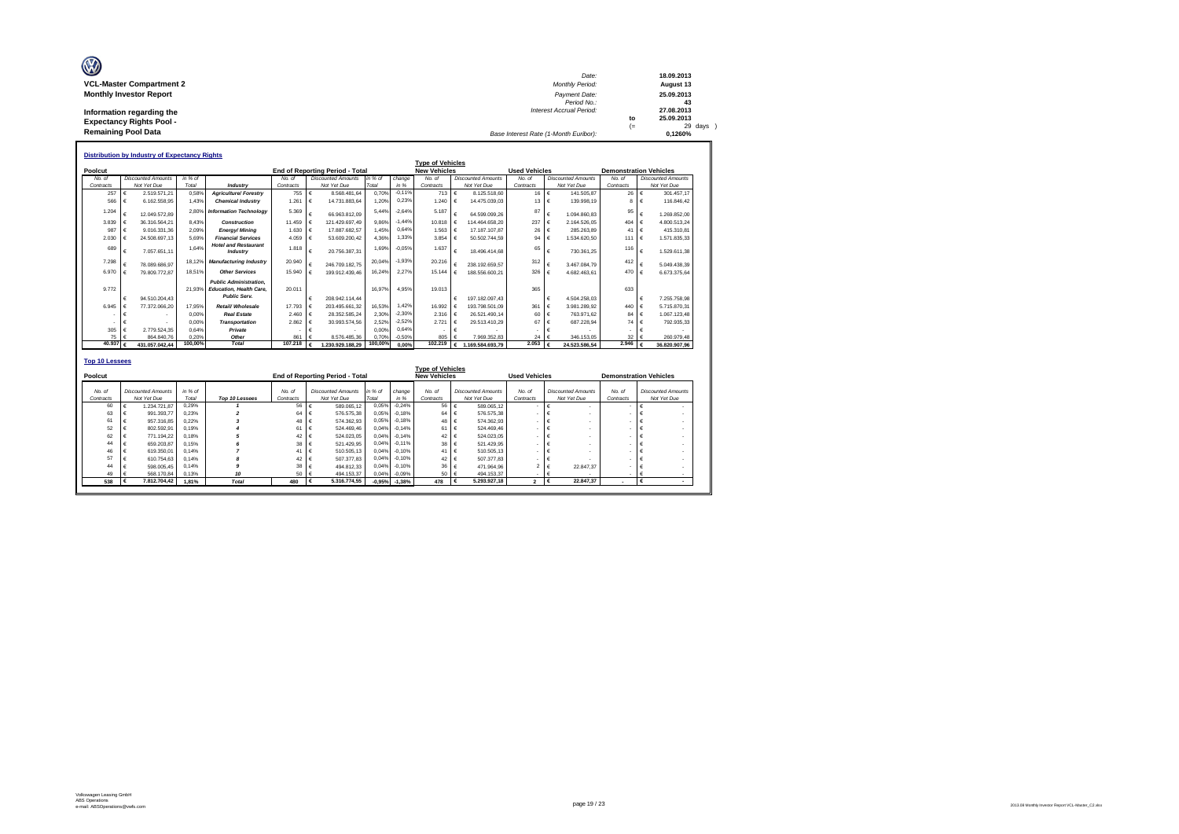| Ø                               | Date:                                 |      | 18.09.2013                     |
|---------------------------------|---------------------------------------|------|--------------------------------|
| <b>VCL-Master Compartment 2</b> | <b>Monthly Period:</b>                |      | August 13                      |
| <b>Monthly Investor Report</b>  | Payment Date:                         |      | 25.09.2013                     |
|                                 | Period No.:                           |      | 43                             |
| Information regarding the       | Interest Accrual Period:              |      | 27.08.2013                     |
| <b>Expectancy Rights Pool -</b> |                                       | to   | 25.09.2013                     |
| <b>Remaining Pool Data</b>      | Base Interest Rate (1-Month Euribor): | $(=$ | $29 \text{ days}$ )<br>0.1260% |

|           |        | <b>Distribution by Industry of Expectancy Rights</b> |         |                                                                                 |           |                                 |         |          |                              |                              |                      |                            |           |                               |
|-----------|--------|------------------------------------------------------|---------|---------------------------------------------------------------------------------|-----------|---------------------------------|---------|----------|------------------------------|------------------------------|----------------------|----------------------------|-----------|-------------------------------|
|           |        |                                                      |         |                                                                                 |           |                                 |         |          | <b>Type of Vehicles</b>      |                              |                      |                            |           |                               |
| Poolcut   |        |                                                      |         |                                                                                 |           | End of Reporting Period - Total |         |          | <b>New Vehicles</b>          |                              | <b>Used Vehicles</b> |                            |           | <b>Demonstration Vehicles</b> |
| No. of    |        | <b>Discounted Amounts</b>                            | in % of |                                                                                 | No of     | <b>Discounted Amounts</b>       | in % of | change   | No. of                       | <b>Discounted Amounts</b>    | No. of               | <b>Discounted Amounts</b>  | No. of    | <b>Discounted Amounts</b>     |
| Contracts |        | Not Yet Due                                          | Total   | Industry                                                                        | Contracts | Not Yet Due                     | Total   | in %     | Contracts                    | Not Yet Due                  | Contracts            | Not Yet Due                | Contracts | Not Yet Due                   |
|           | 257    | 2.519.571.21                                         | 0.58%   | <b>Agriculture/Forestrv</b>                                                     | 755       | $\epsilon$<br>8.568.481.64      | 0.70%   | $-0.11%$ | 713                          | $\epsilon$<br>8.125.518.60   | 16                   | $\epsilon$<br>141.505.87   | 26        | 301.457.17<br>$\epsilon$      |
|           | 566    | 6.162.558.95                                         | 1.43%   | <b>Chemical Industry</b>                                                        | 1.261     | $\epsilon$<br>14.731.883.64     | 1.20%   | 0.23%    | 1.240                        | 14.475.039.03<br>€           | 13                   | 139.998.19<br>$\epsilon$   | 8         | 116,846.42                    |
| 1.204     |        | 12.049.572.89                                        | 2.80%   | <b>Information Technology</b>                                                   | 5.369     | $\epsilon$<br>66.963.812.09     | 5.44%   | $-2.64%$ | 5.187                        | 64.599.099.26                | 87                   | €<br>1.094.860.83          | 95        | €<br>1.269.852.00             |
| 3.839     |        | 36.316.564.21<br>€                                   | 8.43%   | Construction                                                                    | 11.459    | $\epsilon$<br>121.429.697.49    | 9.86%   | $-1.44%$ | 10.818 €                     | 114.464.658.20               | 237                  | €<br>2.164.526.05          | 404       | 4.800.513,24<br>$\epsilon$    |
|           | 987    | 9.016.331.36<br>€                                    | 2.09%   | Energy/Mining                                                                   | 1.630     | l€<br>17.887.682.57             | 1.45%   | 0.64%    | 1.563                        | $\epsilon$<br>17.187.107.87  | 26                   | €<br>285, 263, 89          | 41        | 415.310.81                    |
| 2.030     |        | 24.508.697.13                                        | 5.69%   | <b>Financial Services</b>                                                       | 4.059     | $\epsilon$<br>53.609.200.42     | 4.36%   | 1.33%    | 3.854                        | 50.502.744.59<br>$\epsilon$  | 94                   | €<br>.534.620.50           | 111       | $\epsilon$<br>1.571.835.33    |
|           | 689    | 7.057.651.11<br>€                                    | 1.64%   | <b>Hotel and Restaurant</b><br>Industry                                         | 1.818     | $\epsilon$<br>20.756.387.31     | 1.69%   | $-0.05%$ | 1.637                        | $\epsilon$<br>18.496.414.68  | 65                   | €<br>730.361.25            | 116       | 1.529.611.38                  |
| 7.298     |        | 78 089 686 97                                        | 18.129  | <b>Manufacturing Industry</b>                                                   | 20.940    | $\epsilon$<br>246.709.182.75    | 20.04%  | $-1,93%$ | 20,216                       | 238.192.659.57               | 312                  | €<br>3.467.084.79          | 412       | 5.049.438.39                  |
| 6.970     |        | 79.809.772.87                                        | 18.51%  | <b>Other Services</b>                                                           | 15,940    | €<br>199.912.439.46             | 16.24%  | 2.27%    | 15.144                       | 188.556.600.21<br>$\epsilon$ | 326                  | 4.682.463.61               | 470       | 6.673.375.64                  |
| 9772      |        | 94.510.204.43<br>€                                   | 21.93%  | <b>Public Administration.</b><br>Education, Health Care.<br><b>Public Serv.</b> | 20.011    | €<br>208 942 114 44             | 16.97%  | 4.95%    | 19.013                       | 197.182.097.43<br>€          | 365                  | 4.504.258.03<br>$\epsilon$ | 633       | 7.255.758.98                  |
| 6.945     |        | 77.372.066.20                                        | 17.95%  | Retail/ Wholesale                                                               | 17.793    | $\epsilon$<br>203.495.661.32    | 16.53%  | 1.42%    | 16.992                       | 193.798.501.09<br>$\epsilon$ | 361                  | €<br>3.981.289.92          | 440       | 5.715.870.31<br>€             |
|           |        | €                                                    | 0.00%   | <b>Real Estate</b>                                                              | 2.460     | $\epsilon$<br>28.352.585.24     | 2.30%   | $-2,30%$ | 2.316 $\left  \right $ $\in$ | 26.521.490.14                | 60                   | €<br>763.971.62            | 84        | €<br>1.067.123.48             |
|           |        | €                                                    | 0.00%   | <b>Transportation</b>                                                           | 2.862     | $\epsilon$<br>30.993.574.56     | 2.52%   | $-2.52%$ | 2.721                        | $\epsilon$<br>29.513.410.29  | 67                   | €<br>687.228.94            | 74        | 792.935.33                    |
|           | 305    | 2.779.524.35                                         | 0.64%   | Private                                                                         |           | €                               | 0.00%   | 0.64%    |                              | $\epsilon$                   |                      |                            |           |                               |
|           | 75     | 864.840.76                                           | 0.20%   | Other                                                                           | 861       | 8.576.485.36                    | 0.70%   | $-0.50%$ | 805                          | 7.969.352.83                 | 24                   | 346.153.05                 | 32        | 260.979.48                    |
|           | 40.937 | 431.057.042.44                                       | 100.00% | <b>Total</b>                                                                    | 107,218   | .230.929.188.29<br>€            | 100,00% | 0.00%    | 102.219                      | 1.169.584.693.79<br>€        | 2.053                | 24.523.586.54              | 2.946     | 36.820.907.96                 |
|           |        |                                                      |         |                                                                                 |           |                                 |         |          |                              |                              |                      |                            |           |                               |

| <b>Top 10 Lessees</b> |   |                                          |                    |                |                     |                                          |                  |                   |                                                |                                          |                          |                                          |                     |                                          |
|-----------------------|---|------------------------------------------|--------------------|----------------|---------------------|------------------------------------------|------------------|-------------------|------------------------------------------------|------------------------------------------|--------------------------|------------------------------------------|---------------------|------------------------------------------|
| Poolcut               |   |                                          |                    |                |                     | <b>End of Reporting Period - Total</b>   |                  |                   | <b>Type of Vehicles</b><br><b>New Vehicles</b> |                                          | <b>Used Vehicles</b>     |                                          |                     | <b>Demonstration Vehicles</b>            |
| No. of<br>Contracts   |   | <b>Discounted Amounts</b><br>Not Yet Due | $in %$ of<br>Total | Top 10 Lessees | No. of<br>Contracts | <b>Discounted Amounts</b><br>Not Yet Due | in % of<br>Total | change<br>in %    | No. of<br>Contracts                            | <b>Discounted Amounts</b><br>Not Yet Due | No. of<br>Contracts      | <b>Discounted Amounts</b><br>Not Yet Due | No. of<br>Contracts | <b>Discounted Amounts</b><br>Not Yet Due |
| 60                    |   | 1.234.721.87                             | 0.29%              |                | 56 €                | 589.065.12                               | 0.05%            | $-0.24%$          | 56 €                                           | 589.065.12                               | $\overline{\phantom{a}}$ | $\epsilon$                               |                     |                                          |
| 63                    | ٠ | 991.393.77                               | 0.23%              | $\overline{2}$ | $64 \div 6$         | 576, 575, 38                             | 0.05%            | $-0.18%$          | $64 \div 6$                                    | 576,575.38                               | ٠                        | €                                        |                     | $\blacksquare$                           |
| 61                    | € | 957.316.85                               | 0.22%              |                | 48 €                | 574.362.93                               |                  | 0.05% -0.18%      | 48 €                                           | 574.362.93                               | ۰                        | €<br>٠                                   |                     | $\blacksquare$                           |
| 52                    |   | 802.592.91                               | 0.19%              |                | 61 €                | 524.469.46                               |                  | $0.04\% - 0.14\%$ | 61 €                                           | 524,469.46                               | ٠                        | $\epsilon$<br>٠                          |                     | $\overline{\phantom{a}}$                 |
| 62                    |   | 771.194.22                               | 0.18%              |                | 42 €                | 524.023.05                               |                  | $0.04\% -0.14\%$  | 42 €                                           | 524.023.05                               | ٠                        | $\epsilon$<br>٠                          |                     | $\sim$                                   |
| 44                    |   | 659.203.87                               | 0.15%              | 6              | 38                  | 521.429.95                               |                  | 0.04% -0.11%      | 38 €                                           | 521.429.95                               | ٠                        | $\epsilon$<br>٠                          |                     | $\sim$                                   |
| 46                    |   | 619.350.01                               | 0.14%              |                | 41 $\epsilon$       | 510.505.13                               |                  | $0.04\% - 0.10\%$ | 41 $\epsilon$                                  | 510,505.13                               | ٠                        | $\sim$                                   |                     | $\sim$                                   |
| 57                    |   | 610.754.63                               | 0.14%              | 8              | 42 €                | 507.377.83                               |                  | 0.04% -0.10%      | 42 €                                           | 507.377.83                               | ٠                        |                                          |                     | $\sim$                                   |
| 44                    |   | 598,005.45                               | 0.14%              | 9              | 38                  | 494.812.33                               |                  | 0.04% -0.10%      | 36 €                                           | 471.964.96                               | 2 <sub>1</sub>           | 22.847.37<br>$\epsilon$                  |                     | $\sim$                                   |
| 49                    |   | 568,170.84                               | 0.13%              | 10             | 50 €                | 494.153.37                               |                  | 0,04% -0,09%      | 50 €                                           | 494.153.37                               | ٠                        | ∣€                                       |                     |                                          |
| 538                   |   | 7.812.704.42                             | 1.81%              | <b>Total</b>   | 480                 | 5.316.774.55                             |                  | $-0.95\% -1.38\%$ | 478                                            | 5.293.927.18<br>I€                       | $\overline{2}$           | 22.847.37<br>$\epsilon$                  |                     |                                          |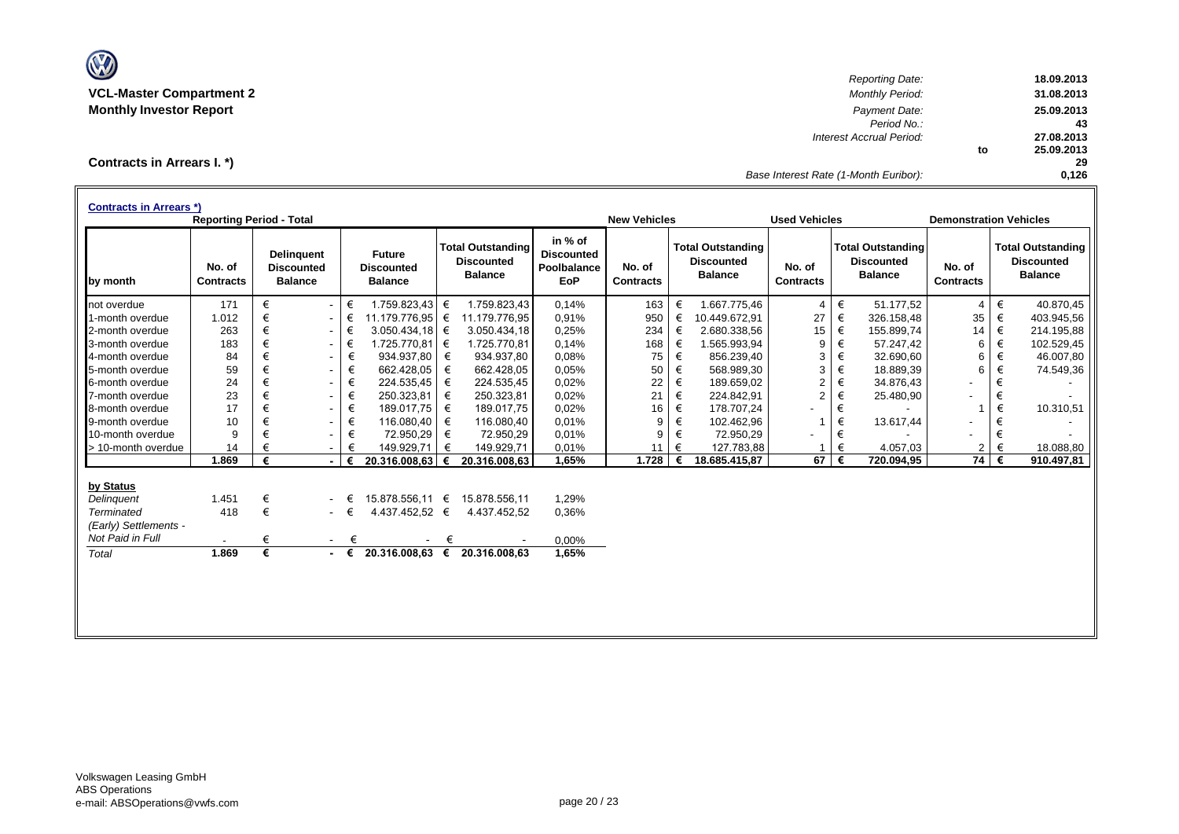

*Reporting Date:* **18.09.2013 VCL-Master Compartment 2** *Monthly Period:* **31.08.2013 Monthly Investor Report** *Payment Date:* **25.09.2013** *Period No.:* **43** *Interest Accrual Period:* **27.08.2013 to 25.09.2013 29** *Base Interest Rate (1-Month Euribor):* **0,126**

**Contracts in Arrears I. \*)**

| <b>Contracts in Arrears *)</b> | <b>Reporting Period - Total</b> |       |                                                          |   |                                                      |   |                                                                 |                                                           | <b>New Vehicles</b>        |   |                                                                 | <b>Used Vehicles</b>       |   |                                                                 | <b>Demonstration Vehicles</b> |   |                                                                 |
|--------------------------------|---------------------------------|-------|----------------------------------------------------------|---|------------------------------------------------------|---|-----------------------------------------------------------------|-----------------------------------------------------------|----------------------------|---|-----------------------------------------------------------------|----------------------------|---|-----------------------------------------------------------------|-------------------------------|---|-----------------------------------------------------------------|
| by month                       | No. of<br><b>Contracts</b>      |       | <b>Delinguent</b><br><b>Discounted</b><br><b>Balance</b> |   | <b>Future</b><br><b>Discounted</b><br><b>Balance</b> |   | <b>Total Outstanding</b><br><b>Discounted</b><br><b>Balance</b> | in % of<br><b>Discounted</b><br>Poolbalance<br><b>EoP</b> | No. of<br><b>Contracts</b> |   | <b>Total Outstanding</b><br><b>Discounted</b><br><b>Balance</b> | No. of<br><b>Contracts</b> |   | <b>Total Outstanding</b><br><b>Discounted</b><br><b>Balance</b> | No. of<br><b>Contracts</b>    |   | <b>Total Outstanding</b><br><b>Discounted</b><br><b>Balance</b> |
| not overdue                    | 171                             | €     | $\sim$                                                   | € | 1.759.823,43                                         | € | 1.759.823.43                                                    | 0.14%                                                     | 163                        | € | 1.667.775.46                                                    | $\overline{4}$             | € | 51.177.52                                                       | $\overline{4}$                | € | 40.870.45                                                       |
| 1-month overdue                | 1.012                           | €     | $\sim$                                                   | € | 11.179.776,95                                        | € | 11.179.776,95                                                   | 0.91%                                                     | 950                        | € | 10.449.672,91                                                   | 27                         | € | 326.158,48                                                      | 35                            | € | 403.945,56                                                      |
| 2-month overdue                | 263                             | $\in$ | $\sim$                                                   | € | 3.050.434.18                                         | € | 3.050.434,18                                                    | 0,25%                                                     | 234                        | € | 2.680.338,56                                                    | 15                         | € | 155.899,74                                                      | 14                            | € | 214.195,88                                                      |
| 3-month overdue                | 183                             | €     | $\sim$                                                   | € | 1.725.770,81 €                                       |   | 1.725.770,81                                                    | 0.14%                                                     | 168                        | € | 1.565.993,94                                                    | 9                          | € | 57.247,42                                                       | 6                             | € | 102.529,45                                                      |
| 4-month overdue                | 84                              | €     | $\sim$                                                   | € | 934.937,80                                           | € | 934.937,80                                                      | 0.08%                                                     | 75                         | € | 856.239,40                                                      | 3                          | € | 32.690,60                                                       | 6                             | € | 46.007,80                                                       |
| 5-month overdue                | 59                              | €     | $\sim$                                                   | € | 662.428,05                                           | € | 662.428,05                                                      | 0.05%                                                     | 50                         | € | 568.989,30                                                      | 3                          | € | 18.889,39                                                       | 6                             | € | 74.549,36                                                       |
| 6-month overdue                | 24                              | €     | $\sim$                                                   | € | 224.535,45                                           | € | 224.535,45                                                      | 0,02%                                                     | 22                         | € | 189.659,02                                                      | $\overline{2}$             | € | 34.876,43                                                       |                               | € |                                                                 |
| 7-month overdue                | 23                              | €     | $\sim$                                                   | € | 250.323,81                                           | € | 250.323,81                                                      | 0,02%                                                     | 21                         | € | 224.842,91                                                      | $\overline{2}$             | € | 25.480,90                                                       |                               | € |                                                                 |
| 8-month overdue                | 17                              | €     | $\sim$                                                   | € | 189.017,75                                           | € | 189.017,75                                                      | 0,02%                                                     | 16                         | € | 178.707,24                                                      | ۰                          | € |                                                                 |                               | € | 10.310,51                                                       |
| 9-month overdue                | 10                              | €     | $\sim$                                                   | € | 116.080,40                                           | € | 116.080,40                                                      | 0.01%                                                     | 9                          | € | 102.462,96                                                      |                            | € | 13.617,44                                                       |                               | € |                                                                 |
| 10-month overdue               | 9                               | €     | $\sim$                                                   | € | 72.950,29                                            | € | 72.950,29                                                       | 0.01%                                                     | 9                          | € | 72.950,29                                                       |                            | € |                                                                 |                               | € |                                                                 |
| > 10-month overdue             | 14                              |       |                                                          |   | 149.929,71                                           | € | 149.929,71                                                      | 0.01%                                                     | 11                         | € | 127.783,88                                                      |                            | € | 4.057,03                                                        | 2                             | € | 18.088,80                                                       |
|                                | 1.869                           | €     |                                                          | € | 20.316.008,63                                        | € | 20.316.008,63                                                   | 1,65%                                                     | 1.728                      | € | 18.685.415,87                                                   | 67                         | € | 720.094,95                                                      | $\overline{74}$               | € | 910.497,81                                                      |
| by Status                      |                                 |       |                                                          |   |                                                      |   |                                                                 |                                                           |                            |   |                                                                 |                            |   |                                                                 |                               |   |                                                                 |
| Delinguent                     | 1.451                           | €     |                                                          |   | 15.878.556.11 €                                      |   | 15.878.556.11                                                   | 1,29%                                                     |                            |   |                                                                 |                            |   |                                                                 |                               |   |                                                                 |
| Terminated                     | 418                             | €     | $\sim$                                                   | € | 4.437.452,52 €                                       |   | 4.437.452,52                                                    | 0.36%                                                     |                            |   |                                                                 |                            |   |                                                                 |                               |   |                                                                 |
| (Early) Settlements -          |                                 |       |                                                          |   |                                                      |   |                                                                 |                                                           |                            |   |                                                                 |                            |   |                                                                 |                               |   |                                                                 |
| Not Paid in Full               | $\blacksquare$                  | €     | $\sim$ 10 $\pm$                                          | € |                                                      | € |                                                                 | 0,00%                                                     |                            |   |                                                                 |                            |   |                                                                 |                               |   |                                                                 |
| Total                          | 1.869                           | €     | $\blacksquare$                                           | € | 20.316.008,63                                        | € | 20.316.008,63                                                   | 1,65%                                                     |                            |   |                                                                 |                            |   |                                                                 |                               |   |                                                                 |
|                                |                                 |       |                                                          |   |                                                      |   |                                                                 |                                                           |                            |   |                                                                 |                            |   |                                                                 |                               |   |                                                                 |
|                                |                                 |       |                                                          |   |                                                      |   |                                                                 |                                                           |                            |   |                                                                 |                            |   |                                                                 |                               |   |                                                                 |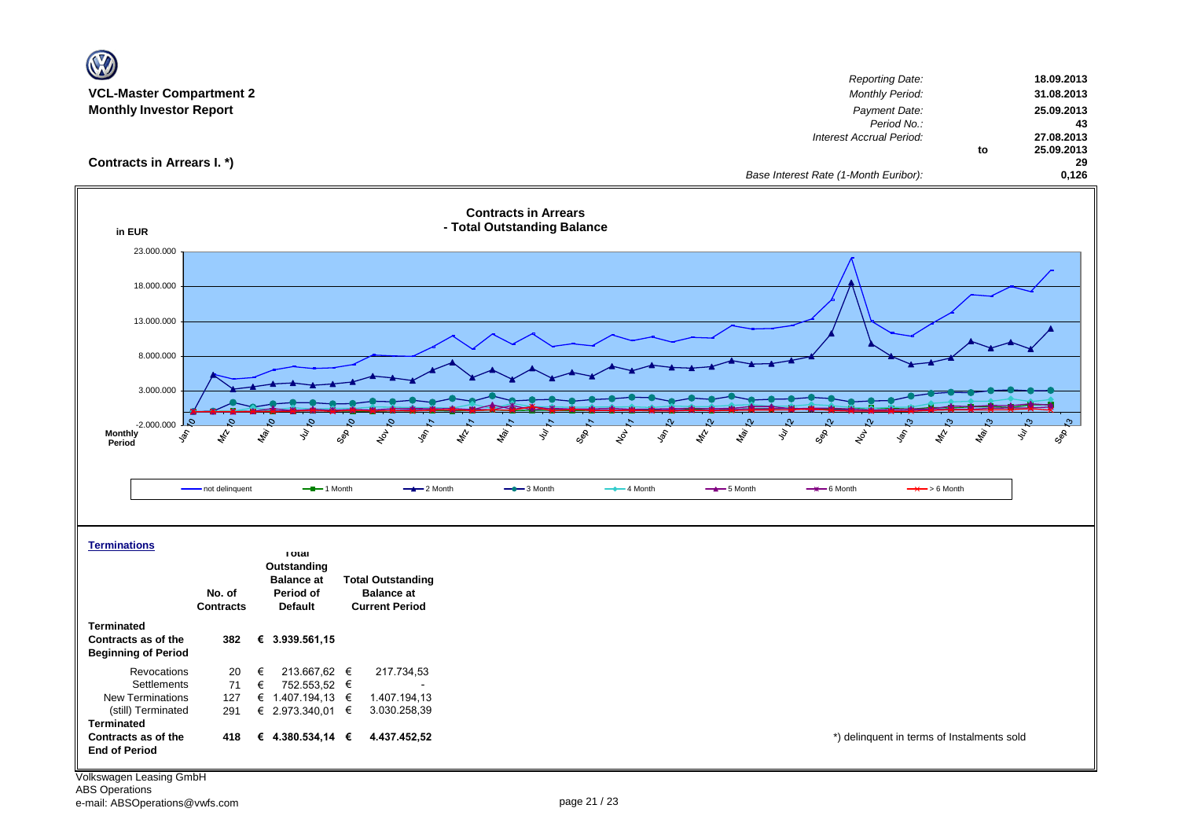| $\mathbf{V}$                                      |                  |                                        |                                               |                                                                                     |                                                                               |                                |
|---------------------------------------------------|------------------|----------------------------------------|-----------------------------------------------|-------------------------------------------------------------------------------------|-------------------------------------------------------------------------------|--------------------------------|
| <b>VCL-Master Compartment 2</b>                   |                  |                                        |                                               |                                                                                     | <b>Reporting Date:</b><br>Monthly Period:                                     | 18.09.2013<br>31.08.2013       |
| <b>Monthly Investor Report</b>                    |                  |                                        |                                               |                                                                                     | Payment Date:                                                                 | 25.09.2013                     |
|                                                   |                  |                                        |                                               |                                                                                     | Period No.:                                                                   | 43                             |
|                                                   |                  |                                        |                                               |                                                                                     | Interest Accrual Period:                                                      | 27.08.2013<br>25.09.2013<br>to |
| Contracts in Arrears I. *)                        |                  |                                        |                                               |                                                                                     |                                                                               | 29                             |
|                                                   |                  |                                        |                                               |                                                                                     | Base Interest Rate (1-Month Euribor):                                         | 0,126                          |
| in EUR                                            |                  |                                        |                                               | <b>Contracts in Arrears</b><br>- Total Outstanding Balance                          |                                                                               |                                |
| 23.000.000                                        |                  |                                        |                                               |                                                                                     |                                                                               |                                |
| 18.000.000                                        |                  |                                        |                                               |                                                                                     |                                                                               |                                |
| 13.000.000                                        |                  |                                        |                                               |                                                                                     |                                                                               |                                |
|                                                   |                  |                                        |                                               |                                                                                     |                                                                               |                                |
| 8.000.000                                         |                  |                                        |                                               |                                                                                     |                                                                               |                                |
| 3.000.000                                         |                  |                                        |                                               |                                                                                     |                                                                               |                                |
|                                                   |                  |                                        |                                               |                                                                                     |                                                                               |                                |
| $-2.000.000$<br><b>Monthly</b>                    |                  |                                        |                                               |                                                                                     |                                                                               | c,                             |
| ş,<br>Period                                      | \$               | ligi.<br>Lig<br>ş                      | Sep<br>$\chi^{\circ}_{\rho}$<br>\$,           | May<br>ş<br>$z_{\!\!\!\!\!\!\!/\,\!}^{\prime\prime}$<br><b>Le</b><br>SOS<br>Lo<br>P | <b>May</b><br>ş<br>$z_p^{\prime}$<br>cgR<br>لمحم<br>÷,<br>$\phi_{\!\!\!\chi}$ | ş<br>SOP<br><b>May</b>         |
|                                                   |                  |                                        |                                               |                                                                                     |                                                                               |                                |
|                                                   | - not delinquent | $-$ -1 Month                           | $-2$ Month                                    | $-$ 3 Month<br>$-$ 4 Month                                                          | $-$ 5 Month<br>$\rightarrow$ 6 Month<br>$\rightarrow$ > 6 Month               |                                |
|                                                   |                  |                                        |                                               |                                                                                     |                                                                               |                                |
|                                                   |                  |                                        |                                               |                                                                                     |                                                                               |                                |
| <b>Terminations</b>                               |                  | <b>Total</b>                           |                                               |                                                                                     |                                                                               |                                |
|                                                   |                  | Outstanding                            |                                               |                                                                                     |                                                                               |                                |
|                                                   | No. of           | <b>Balance at</b><br>Period of         | <b>Total Outstanding</b><br><b>Balance at</b> |                                                                                     |                                                                               |                                |
|                                                   | <b>Contracts</b> | <b>Default</b>                         | <b>Current Period</b>                         |                                                                                     |                                                                               |                                |
| <b>Terminated</b>                                 |                  |                                        |                                               |                                                                                     |                                                                               |                                |
| Contracts as of the<br><b>Beginning of Period</b> | 382              | € 3.939.561,15                         |                                               |                                                                                     |                                                                               |                                |
| Revocations                                       | 20               | €<br>213.667,62 €                      | 217.734,53                                    |                                                                                     |                                                                               |                                |
| Settlements                                       | 71               | 752.553,52 €<br>€                      |                                               |                                                                                     |                                                                               |                                |
| New Terminations<br>(still) Terminated            | 127<br>291       | € 1.407.194,13 $∈$<br>€ 2.973.340,01 € | 1.407.194,13<br>3.030.258,39                  |                                                                                     |                                                                               |                                |
| <b>Terminated</b>                                 |                  |                                        |                                               |                                                                                     |                                                                               |                                |
| Contracts as of the<br><b>End of Period</b>       | 418              | € 4.380.534,14 €                       | 4.437.452,52                                  |                                                                                     | *) delinquent in terms of Instalments sold                                    |                                |
|                                                   |                  |                                        |                                               |                                                                                     |                                                                               |                                |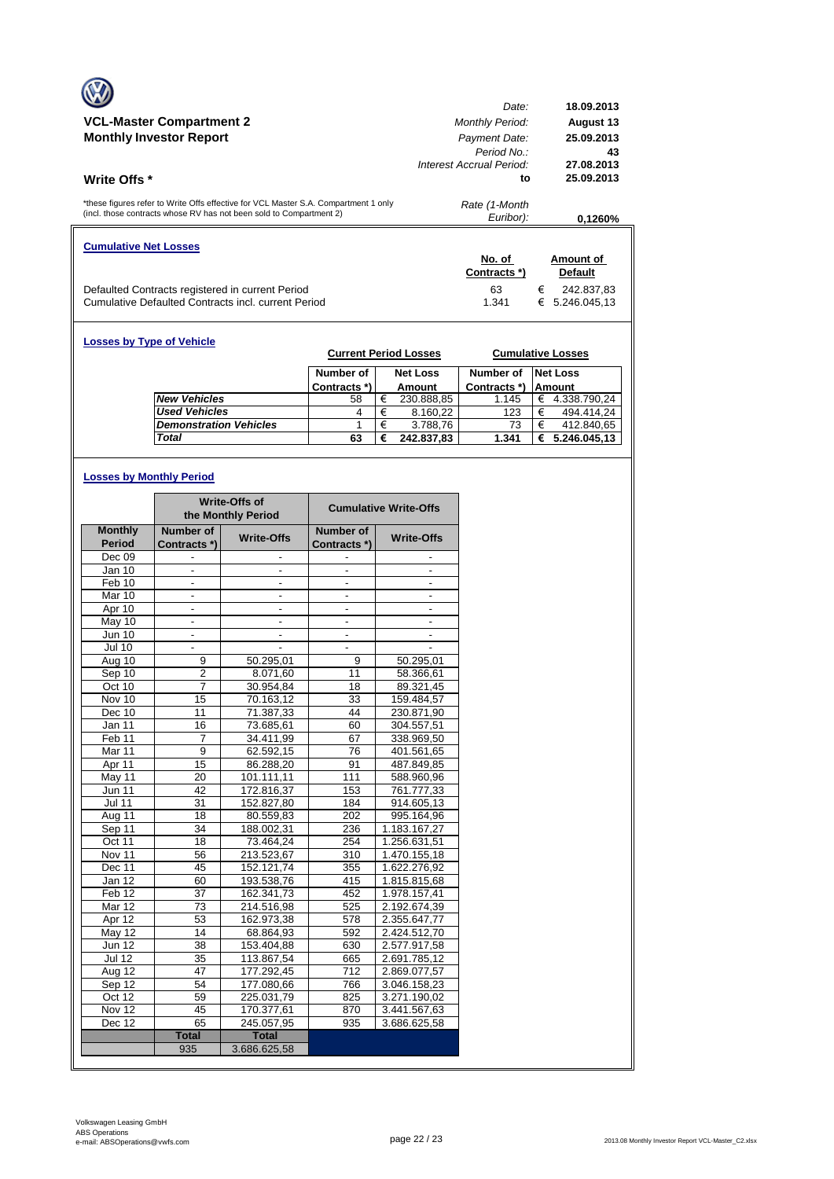| <b>VCL-Master Compartment 2</b><br><b>Monthly Investor Report</b><br><b>Write Offs</b> *                                                                   | Date:<br><b>Monthly Period:</b><br>Payment Date:<br>Period No.<br>Interest Accrual Period:<br>to | 18.09.2013<br><b>August 13</b><br>25.09.2013<br>43<br>27.08.2013<br>25.09.2013 |  |  |  |  |
|------------------------------------------------------------------------------------------------------------------------------------------------------------|--------------------------------------------------------------------------------------------------|--------------------------------------------------------------------------------|--|--|--|--|
|                                                                                                                                                            |                                                                                                  |                                                                                |  |  |  |  |
| *these figures refer to Write Offs effective for VCL Master S.A. Compartment 1 only<br>(incl. those contracts whose RV has not been sold to Compartment 2) | Rate (1-Month<br>Euribor):                                                                       | 0.1260%                                                                        |  |  |  |  |
| <b>Cumulative Net Losses</b>                                                                                                                               | No. of<br>Contracts *)                                                                           | Amount of<br><b>Default</b>                                                    |  |  |  |  |
| Defaulted Contracts registered in current Period<br>Cumulative Defaulted Contracts incl. current Period                                                    | 63<br>1.341                                                                                      | €<br>242.837.83<br>5.246.045.13<br>€                                           |  |  |  |  |

| <b>Losses by Type of Vehicle</b> | <b>Current Period Losses</b> |   |                 |                           | <b>Cumulative Losses</b><br><b>Net Loss</b> |               |
|----------------------------------|------------------------------|---|-----------------|---------------------------|---------------------------------------------|---------------|
|                                  | Number of<br>Contracts *)    |   | <b>Net Loss</b> | Number of<br>Contracts *) |                                             | <b>Amount</b> |
|                                  |                              |   | Amount          |                           |                                             |               |
| <b>New Vehicles</b>              | 58                           | € | 230.888,85      | 1.145                     | €                                           | 4.338.790,24  |
| <b>Used Vehicles</b>             | 4                            | € | 8.160.22        | 123                       | €                                           | 494.414.24    |
| <b>Demonstration Vehicles</b>    |                              | € | 3.788,76        | 73                        | €                                           | 412.840,65    |
| <b>Total</b>                     | 63                           | € | 242.837,83      | 1.341                     | €                                           | 5.246.045,13  |

# **Losses by Monthly Period**

|                |                          | <b>Write-Offs of</b><br>the Monthly Period |                          | <b>Cumulative Write-Offs</b> |
|----------------|--------------------------|--------------------------------------------|--------------------------|------------------------------|
| <b>Monthly</b> | Number of                | <b>Write-Offs</b>                          | Number of                | <b>Write-Offs</b>            |
| <b>Period</b>  | Contracts *)             |                                            | Contracts *)             |                              |
| Dec 09         |                          |                                            |                          |                              |
| Jan 10         |                          |                                            |                          |                              |
| Feb 10         | $\frac{1}{2}$            | $\qquad \qquad \blacksquare$               | $\overline{\phantom{a}}$ |                              |
| Mar 10         | ä,                       | $\overline{\phantom{a}}$                   | L.                       | ÷,                           |
| Apr 10         |                          |                                            |                          |                              |
| May 10         | $\overline{\phantom{a}}$ | $\frac{1}{2}$                              | $\overline{\phantom{a}}$ | $\overline{\phantom{a}}$     |
| <b>Jun 10</b>  | $\frac{1}{2}$            | $\overline{\phantom{a}}$                   | ٠                        |                              |
| <b>Jul 10</b>  |                          |                                            | L.                       |                              |
| Aug 10         | 9                        | 50.295,01                                  | 9                        | 50.295,01                    |
| Sep 10         | $\overline{2}$           | 8.071,60                                   | 11                       | 58.366,61                    |
| Oct 10         | $\overline{7}$           | 30.954,84                                  | 18                       | 89.321,45                    |
| Nov 10         | 15                       | 70.163,12                                  | 33                       | 159.484,57                   |
| Dec 10         | 11                       | 71.387,33                                  | 44                       | 230.871,90                   |
| Jan 11         | 16                       | 73.685,61                                  | 60                       | 304.557,51                   |
| Feb 11         | 7                        | 34.411.99                                  | 67                       | 338.969,50                   |
| Mar 11         | $\overline{9}$           | 62.592,15                                  | 76                       | 401.561,65                   |
| Apr 11         | $\overline{15}$          | 86.288,20                                  | 91                       | 487.849,85                   |
| May 11         | 20                       | 101.111,11                                 | 111                      | 588.960,96                   |
| <b>Jun 11</b>  | 42                       | 172.816,37                                 | 153                      | 761.777,33                   |
| <b>Jul 11</b>  | 31                       | 152.827,80                                 | 184                      | 914.605,13                   |
| Aug 11         | 18                       | 80.559,83                                  | 202                      | 995.164,96                   |
| Sep 11         | 34                       | 188.002,31                                 | 236                      | 1.183.167,27                 |
| Oct 11         | 18                       | 73.464,24                                  | 254                      | 1.256.631,51                 |
| Nov 11         | 56                       | 213.523,67                                 | 310                      | 1.470.155.18                 |
| Dec 11         | 45                       | 152.121,74                                 | 355                      | 1.622.276,92                 |
| Jan 12         | 60                       | 193.538,76                                 | 415                      | 1.815.815,68                 |
| Feb 12         | 37                       | 162.341,73                                 | 452                      | 1.978.157,41                 |
| Mar 12         | 73                       | 214.516,98                                 | 525                      | 2.192.674,39                 |
| Apr 12         | 53                       | 162.973,38                                 | 578                      | 2.355.647,77                 |
| May 12         | 14                       | 68.864.93                                  | 592                      | 2.424.512,70                 |
| Jun 12         | 38                       | 153.404,88                                 | 630                      | 2.577.917,58                 |
| <b>Jul 12</b>  | 35                       | 113.867,54                                 | 665                      | 2.691.785,12                 |
| Aug $12$       | 47                       | 177.292,45                                 | 712                      | 2.869.077,57                 |
| Sep 12         | 54                       | 177.080,66                                 | 766                      | 3.046.158,23                 |
| Oct 12         | 59                       | 225.031,79                                 | 825                      | 3.271.190,02                 |
| Nov 12         | 45                       | 170.377,61                                 | 870                      | 3.441.567,63                 |
| Dec 12         | 65                       | 245.057,95                                 | 935                      | 3.686.625,58                 |
|                | <b>Total</b>             | <b>Total</b>                               |                          |                              |
|                | 935                      | 3.686.625.58                               |                          |                              |